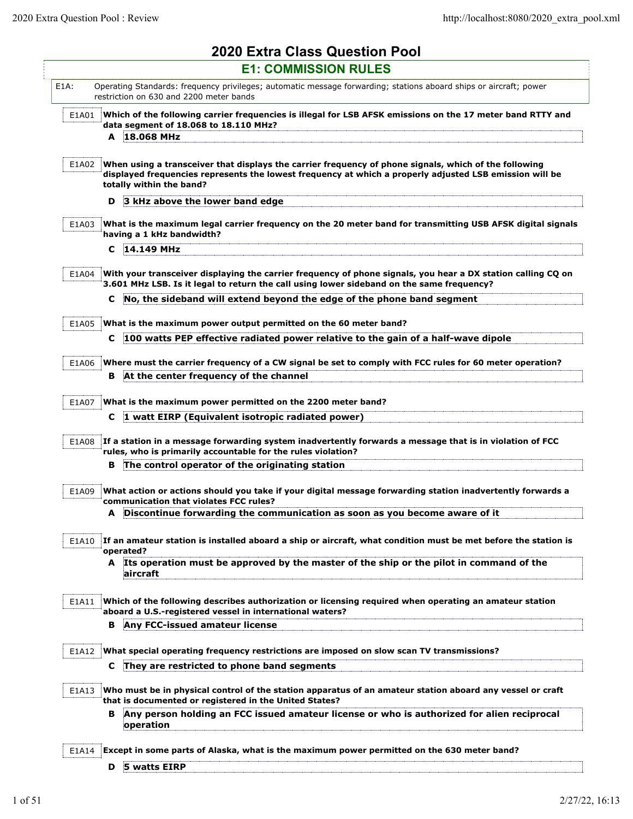|         | <b>2020 Extra Class Question Pool</b>                                                                                                                                                                                                        |
|---------|----------------------------------------------------------------------------------------------------------------------------------------------------------------------------------------------------------------------------------------------|
|         | <b>E1: COMMISSION RULES</b>                                                                                                                                                                                                                  |
| $E1A$ : | Operating Standards: frequency privileges; automatic message forwarding; stations aboard ships or aircraft; power<br>restriction on 630 and 2200 meter bands                                                                                 |
| E1A01   | Which of the following carrier frequencies is illegal for LSB AFSK emissions on the 17 meter band RTTY and<br>data segment of 18.068 to 18.110 MHz?<br>A 18.068 MHz                                                                          |
|         |                                                                                                                                                                                                                                              |
| E1A02   | When using a transceiver that displays the carrier frequency of phone signals, which of the following<br>displayed frequencies represents the lowest frequency at which a properly adjusted LSB emission will be<br>totally within the band? |
|         | 3 kHz above the lower band edge<br>D                                                                                                                                                                                                         |
| E1A03   | What is the maximum legal carrier frequency on the 20 meter band for transmitting USB AFSK digital signals<br>having a 1 kHz bandwidth?                                                                                                      |
|         | 14.149 MHz<br>C                                                                                                                                                                                                                              |
| E1A04   | With your transceiver displaying the carrier frequency of phone signals, you hear a DX station calling CQ on<br>3.601 MHz LSB. Is it legal to return the call using lower sideband on the same frequency?                                    |
|         | No, the sideband will extend beyond the edge of the phone band segment<br>c                                                                                                                                                                  |
|         |                                                                                                                                                                                                                                              |
| E1A05   | What is the maximum power output permitted on the 60 meter band?                                                                                                                                                                             |
|         | 100 watts PEP effective radiated power relative to the gain of a half-wave dipole<br>C                                                                                                                                                       |
| E1A06   | Where must the carrier frequency of a CW signal be set to comply with FCC rules for 60 meter operation?                                                                                                                                      |
|         | At the center frequency of the channel<br>в                                                                                                                                                                                                  |
|         |                                                                                                                                                                                                                                              |
| E1A07   | What is the maximum power permitted on the 2200 meter band?                                                                                                                                                                                  |
|         | 1 watt EIRP (Equivalent isotropic radiated power)<br>C                                                                                                                                                                                       |
| E1A08   | If a station in a message forwarding system inadvertently forwards a message that is in violation of FCC<br>rules, who is primarily accountable for the rules violation?                                                                     |
|         | The control operator of the originating station<br>в                                                                                                                                                                                         |
|         |                                                                                                                                                                                                                                              |
| E1A09   | What action or actions should you take if your digital message forwarding station inadvertently forwards a                                                                                                                                   |
|         | communication that violates FCC rules?<br>A Discontinue forwarding the communication as soon as you become aware of it                                                                                                                       |
|         |                                                                                                                                                                                                                                              |
| E1A10   | If an amateur station is installed aboard a ship or aircraft, what condition must be met before the station is<br>operated?                                                                                                                  |
|         | A Its operation must be approved by the master of the ship or the pilot in command of the<br>aircraft                                                                                                                                        |
| E1A11   | Which of the following describes authorization or licensing required when operating an amateur station<br>aboard a U.S.-registered vessel in international waters?                                                                           |
|         | Any FCC-issued amateur license<br>в                                                                                                                                                                                                          |
|         |                                                                                                                                                                                                                                              |
| E1A12   | What special operating frequency restrictions are imposed on slow scan TV transmissions?                                                                                                                                                     |
|         | C They are restricted to phone band segments                                                                                                                                                                                                 |
| E1A13   | Who must be in physical control of the station apparatus of an amateur station aboard any vessel or craft<br>that is documented or registered in the United States?                                                                          |
|         | Any person holding an FCC issued amateur license or who is authorized for alien reciprocal<br>в<br>operation                                                                                                                                 |
| E1A14   | Except in some parts of Alaska, what is the maximum power permitted on the 630 meter band?                                                                                                                                                   |
|         | D 5 watts EIRP                                                                                                                                                                                                                               |
|         |                                                                                                                                                                                                                                              |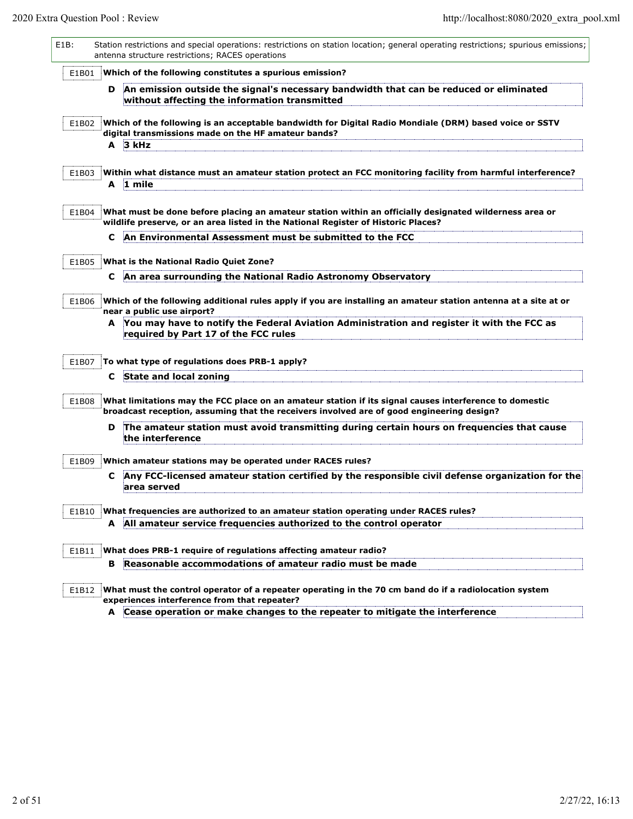| E1B:  | Station restrictions and special operations: restrictions on station location; general operating restrictions; spurious emissions;<br>antenna structure restrictions; RACES operations              |
|-------|-----------------------------------------------------------------------------------------------------------------------------------------------------------------------------------------------------|
| E1B01 | Which of the following constitutes a spurious emission?                                                                                                                                             |
|       | An emission outside the signal's necessary bandwidth that can be reduced or eliminated<br>D<br>without affecting the information transmitted                                                        |
| E1B02 | Which of the following is an acceptable bandwidth for Digital Radio Mondiale (DRM) based voice or SSTV<br>digital transmissions made on the HF amateur bands?                                       |
|       | A 3 kHz                                                                                                                                                                                             |
| E1B03 | Within what distance must an amateur station protect an FCC monitoring facility from harmful interference?                                                                                          |
|       | A 1 mile                                                                                                                                                                                            |
| E1B04 | What must be done before placing an amateur station within an officially designated wilderness area or<br>wildlife preserve, or an area listed in the National Register of Historic Places?         |
|       | An Environmental Assessment must be submitted to the FCC<br>c                                                                                                                                       |
| E1B05 | What is the National Radio Quiet Zone?                                                                                                                                                              |
|       | An area surrounding the National Radio Astronomy Observatory<br>C                                                                                                                                   |
| E1B06 | Which of the following additional rules apply if you are installing an amateur station antenna at a site at or<br>near a public use airport?                                                        |
|       | A You may have to notify the Federal Aviation Administration and register it with the FCC as<br>required by Part 17 of the FCC rules                                                                |
| E1B07 | To what type of regulations does PRB-1 apply?                                                                                                                                                       |
|       | State and local zoning<br>C                                                                                                                                                                         |
| E1B08 | What limitations may the FCC place on an amateur station if its signal causes interference to domestic<br>broadcast reception, assuming that the receivers involved are of good engineering design? |
|       | The amateur station must avoid transmitting during certain hours on frequencies that cause<br>D<br>the interference                                                                                 |
| E1B09 | Which amateur stations may be operated under RACES rules?                                                                                                                                           |
|       | Any FCC-licensed amateur station certified by the responsible civil defense organization for the<br>C<br>area served                                                                                |
| E1B10 | What frequencies are authorized to an amateur station operating under RACES rules?                                                                                                                  |
|       | A All amateur service frequencies authorized to the control operator                                                                                                                                |
| E1B11 | What does PRB-1 require of regulations affecting amateur radio?                                                                                                                                     |
|       | Reasonable accommodations of amateur radio must be made<br>в                                                                                                                                        |
| E1B12 | What must the control operator of a repeater operating in the 70 cm band do if a radiolocation system<br>experiences interference from that repeater?                                               |
|       | A Cease operation or make changes to the repeater to mitigate the interference                                                                                                                      |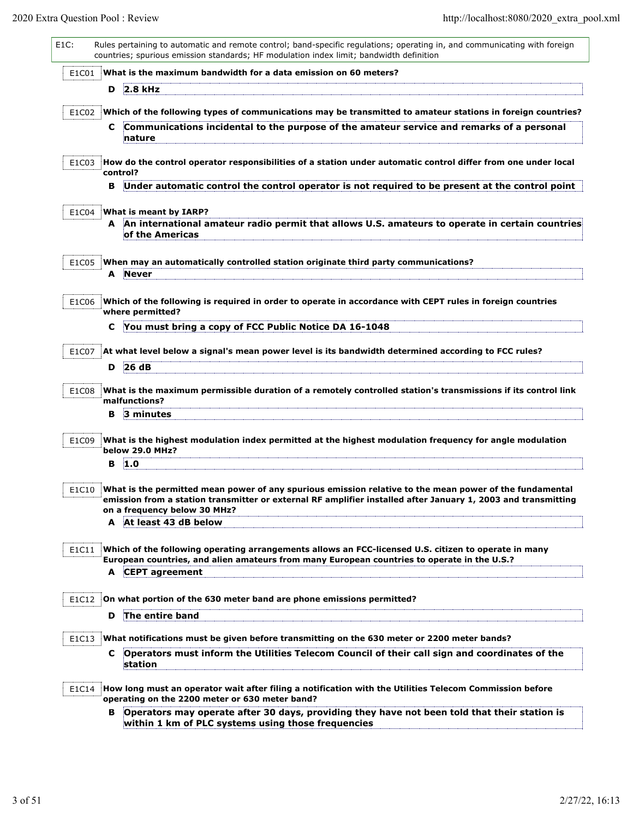| $E1C$ : |    | Rules pertaining to automatic and remote control; band-specific regulations; operating in, and communicating with foreign<br>countries; spurious emission standards; HF modulation index limit; bandwidth definition                                     |
|---------|----|----------------------------------------------------------------------------------------------------------------------------------------------------------------------------------------------------------------------------------------------------------|
| E1C01   |    | What is the maximum bandwidth for a data emission on 60 meters?                                                                                                                                                                                          |
|         | D  | 2.8 kHz                                                                                                                                                                                                                                                  |
| E1C02   |    | Which of the following types of communications may be transmitted to amateur stations in foreign countries?                                                                                                                                              |
|         | C. | Communications incidental to the purpose of the amateur service and remarks of a personal<br>nature                                                                                                                                                      |
| E1C03   |    | How do the control operator responsibilities of a station under automatic control differ from one under local<br>control?                                                                                                                                |
|         | в  | Under automatic control the control operator is not required to be present at the control point                                                                                                                                                          |
| E1C04   |    | What is meant by IARP?                                                                                                                                                                                                                                   |
|         |    | An international amateur radio permit that allows U.S. amateurs to operate in certain countries<br>of the Americas                                                                                                                                       |
| E1C05   | A  | When may an automatically controlled station originate third party communications?<br><b>Never</b>                                                                                                                                                       |
| E1C06   |    | Which of the following is required in order to operate in accordance with CEPT rules in foreign countries<br>where permitted?                                                                                                                            |
|         | c  | You must bring a copy of FCC Public Notice DA 16-1048                                                                                                                                                                                                    |
| E1C07   |    | At what level below a signal's mean power level is its bandwidth determined according to FCC rules?                                                                                                                                                      |
|         | D  | 26 dB                                                                                                                                                                                                                                                    |
| E1C08   |    | What is the maximum permissible duration of a remotely controlled station's transmissions if its control link<br>malfunctions?                                                                                                                           |
|         | в  | 3 minutes                                                                                                                                                                                                                                                |
| E1C09   |    | What is the highest modulation index permitted at the highest modulation frequency for angle modulation<br>below 29.0 MHz?                                                                                                                               |
|         | в  | 1.0                                                                                                                                                                                                                                                      |
| E1C10   |    | What is the permitted mean power of any spurious emission relative to the mean power of the fundamental<br>emission from a station transmitter or external RF amplifier installed after January 1, 2003 and transmitting<br>on a frequency below 30 MHz? |
|         |    | A At least 43 dB below                                                                                                                                                                                                                                   |
| E1C11   |    | Which of the following operating arrangements allows an FCC-licensed U.S. citizen to operate in many<br>European countries, and alien amateurs from many European countries to operate in the U.S.?<br>A CEPT agreement                                  |
|         |    |                                                                                                                                                                                                                                                          |
| E1C12   | D  | On what portion of the 630 meter band are phone emissions permitted?<br>The entire band                                                                                                                                                                  |
|         |    |                                                                                                                                                                                                                                                          |
| E1C13   | C. | What notifications must be given before transmitting on the 630 meter or 2200 meter bands?<br>Operators must inform the Utilities Telecom Council of their call sign and coordinates of the                                                              |
|         |    | station                                                                                                                                                                                                                                                  |
| E1C14   |    | How long must an operator wait after filing a notification with the Utilities Telecom Commission before<br>operating on the 2200 meter or 630 meter band?                                                                                                |
|         | в  | Operators may operate after 30 days, providing they have not been told that their station is<br>within 1 km of PLC systems using those frequencies                                                                                                       |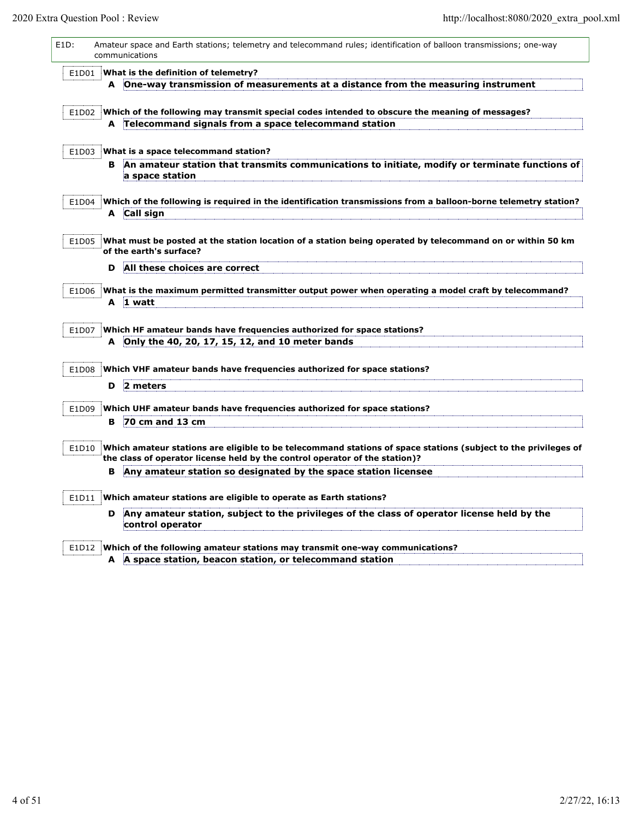| E1D:  |   | Amateur space and Earth stations; telemetry and telecommand rules; identification of balloon transmissions; one-way<br>communications                                                         |
|-------|---|-----------------------------------------------------------------------------------------------------------------------------------------------------------------------------------------------|
| E1D01 |   | What is the definition of telemetry?                                                                                                                                                          |
|       |   | A One-way transmission of measurements at a distance from the measuring instrument                                                                                                            |
| E1D02 |   | Which of the following may transmit special codes intended to obscure the meaning of messages?                                                                                                |
|       |   | A Telecommand signals from a space telecommand station                                                                                                                                        |
| E1D03 |   | What is a space telecommand station?                                                                                                                                                          |
|       | в | An amateur station that transmits communications to initiate, modify or terminate functions of<br>a space station                                                                             |
| E1D04 |   | Which of the following is required in the identification transmissions from a balloon-borne telemetry station?<br>A Call sign                                                                 |
| E1D05 |   | What must be posted at the station location of a station being operated by telecommand on or within 50 km<br>of the earth's surface?                                                          |
|       | D | All these choices are correct                                                                                                                                                                 |
| E1D06 |   | What is the maximum permitted transmitter output power when operating a model craft by telecommand?                                                                                           |
|       |   | A 1 watt                                                                                                                                                                                      |
| E1D07 |   | Which HF amateur bands have frequencies authorized for space stations?<br>A Only the 40, 20, 17, 15, 12, and 10 meter bands                                                                   |
| E1D08 |   | Which VHF amateur bands have frequencies authorized for space stations?                                                                                                                       |
|       | D | 2 meters                                                                                                                                                                                      |
| E1D09 |   | Which UHF amateur bands have frequencies authorized for space stations?                                                                                                                       |
|       |   | <b>B</b> 70 cm and 13 cm                                                                                                                                                                      |
| E1D10 |   | Which amateur stations are eligible to be telecommand stations of space stations (subject to the privileges of<br>the class of operator license held by the control operator of the station)? |
|       | в | Any amateur station so designated by the space station licensee                                                                                                                               |
| E1D11 |   | Which amateur stations are eligible to operate as Earth stations?                                                                                                                             |
|       | D | Any amateur station, subject to the privileges of the class of operator license held by the<br>control operator                                                                               |
| E1D12 |   | Which of the following amateur stations may transmit one-way communications?                                                                                                                  |
|       |   | A A space station, beacon station, or telecommand station                                                                                                                                     |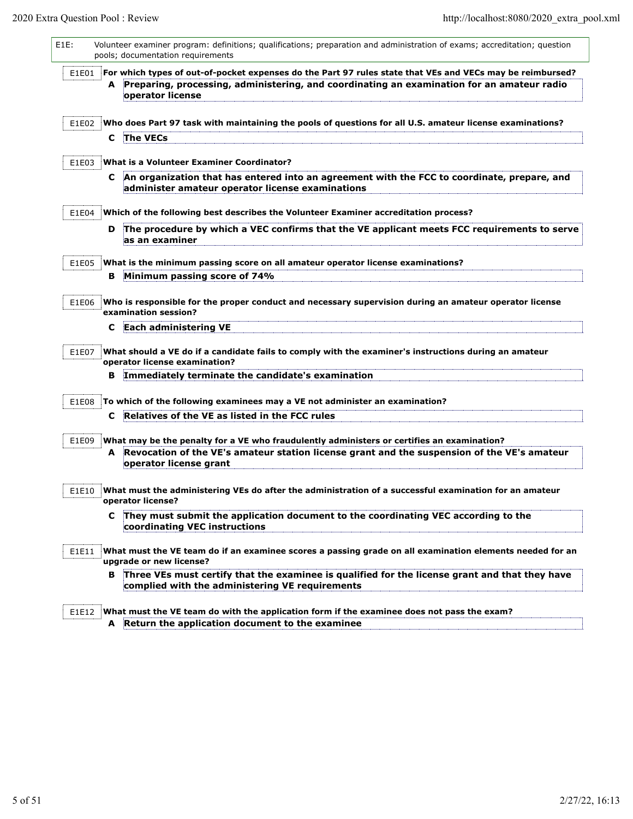| $E1E$ : |    | Volunteer examiner program: definitions; qualifications; preparation and administration of exams; accreditation; question<br>pools; documentation requirements |
|---------|----|----------------------------------------------------------------------------------------------------------------------------------------------------------------|
| E1E01   |    | For which types of out-of-pocket expenses do the Part 97 rules state that VEs and VECs may be reimbursed?                                                      |
|         | A  | Preparing, processing, administering, and coordinating an examination for an amateur radio<br>operator license                                                 |
| E1E02   |    | Who does Part 97 task with maintaining the pools of questions for all U.S. amateur license examinations?                                                       |
|         | C. | The VECs                                                                                                                                                       |
| E1E03   |    | What is a Volunteer Examiner Coordinator?                                                                                                                      |
|         |    | C An organization that has entered into an agreement with the FCC to coordinate, prepare, and<br>administer amateur operator license examinations              |
| E1E04   |    | Which of the following best describes the Volunteer Examiner accreditation process?                                                                            |
|         | D  | The procedure by which a VEC confirms that the VE applicant meets FCC requirements to serve<br>as an examiner                                                  |
| E1E05   |    | What is the minimum passing score on all amateur operator license examinations?                                                                                |
|         | в  | Minimum passing score of 74%                                                                                                                                   |
| E1E06   |    | Who is responsible for the proper conduct and necessary supervision during an amateur operator license<br>examination session?                                 |
|         | C  | <b>Each administering VE</b>                                                                                                                                   |
| E1E07   |    | What should a VE do if a candidate fails to comply with the examiner's instructions during an amateur<br>operator license examination?                         |
|         | в  | Immediately terminate the candidate's examination                                                                                                              |
| E1E08   |    | To which of the following examinees may a VE not administer an examination?                                                                                    |
|         | C  | Relatives of the VE as listed in the FCC rules                                                                                                                 |
|         |    |                                                                                                                                                                |
| E1E09   |    | What may be the penalty for a VE who fraudulently administers or certifies an examination?                                                                     |
|         |    | A Revocation of the VE's amateur station license grant and the suspension of the VE's amateur<br>operator license grant                                        |
| E1E10   |    | What must the administering VEs do after the administration of a successful examination for an amateur<br>operator license?                                    |
|         | C. | They must submit the application document to the coordinating VEC according to the<br>coordinating VEC instructions                                            |
| E1E11   |    | What must the VE team do if an examinee scores a passing grade on all examination elements needed for an<br>upgrade or new license?                            |
|         | в  | Three VEs must certify that the examinee is qualified for the license grant and that they have<br>complied with the administering VE requirements              |
| E1E12   |    | What must the VE team do with the application form if the examinee does not pass the exam?                                                                     |

**A Return the application document to the examinee**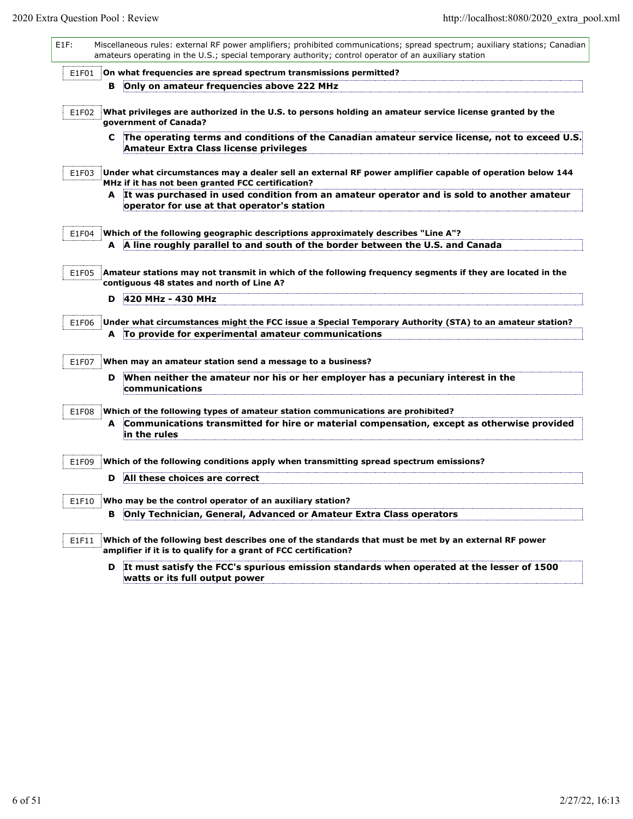L

| E1F:  |   | Miscellaneous rules: external RF power amplifiers; prohibited communications; spread spectrum; auxiliary stations; Canadian<br>amateurs operating in the U.S.; special temporary authority; control operator of an auxiliary station |
|-------|---|--------------------------------------------------------------------------------------------------------------------------------------------------------------------------------------------------------------------------------------|
| E1F01 |   | On what frequencies are spread spectrum transmissions permitted?                                                                                                                                                                     |
|       | в | Only on amateur frequencies above 222 MHz                                                                                                                                                                                            |
| E1F02 |   | What privileges are authorized in the U.S. to persons holding an amateur service license granted by the<br>government of Canada?                                                                                                     |
|       | C | The operating terms and conditions of the Canadian amateur service license, not to exceed U.S.<br>Amateur Extra Class license privileges                                                                                             |
| E1F03 |   | Under what circumstances may a dealer sell an external RF power amplifier capable of operation below 144<br>MHz if it has not been granted FCC certification?                                                                        |
|       | A | It was purchased in used condition from an amateur operator and is sold to another amateur<br>operator for use at that operator's station                                                                                            |
| E1F04 |   | Which of the following geographic descriptions approximately describes "Line A"?                                                                                                                                                     |
|       |   | A A line roughly parallel to and south of the border between the U.S. and Canada                                                                                                                                                     |
| E1F05 |   | Amateur stations may not transmit in which of the following frequency segments if they are located in the<br>contiguous 48 states and north of Line A?                                                                               |
|       | D | 420 MHz - 430 MHz                                                                                                                                                                                                                    |
| E1F06 |   | Under what circumstances might the FCC issue a Special Temporary Authority (STA) to an amateur station?                                                                                                                              |
|       |   | A To provide for experimental amateur communications                                                                                                                                                                                 |
| E1F07 |   | When may an amateur station send a message to a business?                                                                                                                                                                            |
|       | D | When neither the amateur nor his or her employer has a pecuniary interest in the<br>communications                                                                                                                                   |
| E1F08 |   | Which of the following types of amateur station communications are prohibited?                                                                                                                                                       |
|       | A | Communications transmitted for hire or material compensation, except as otherwise provided<br>in the rules                                                                                                                           |
| E1F09 |   | Which of the following conditions apply when transmitting spread spectrum emissions?                                                                                                                                                 |
|       | D | All these choices are correct                                                                                                                                                                                                        |
| E1F10 |   | Who may be the control operator of an auxiliary station?                                                                                                                                                                             |
|       | в | Only Technician, General, Advanced or Amateur Extra Class operators                                                                                                                                                                  |
| E1F11 |   | Which of the following best describes one of the standards that must be met by an external RF power<br>amplifier if it is to qualify for a grant of FCC certification?                                                               |
|       | D | It must satisfy the FCC's spurious emission standards when operated at the lesser of 1500<br>watts or its full output power                                                                                                          |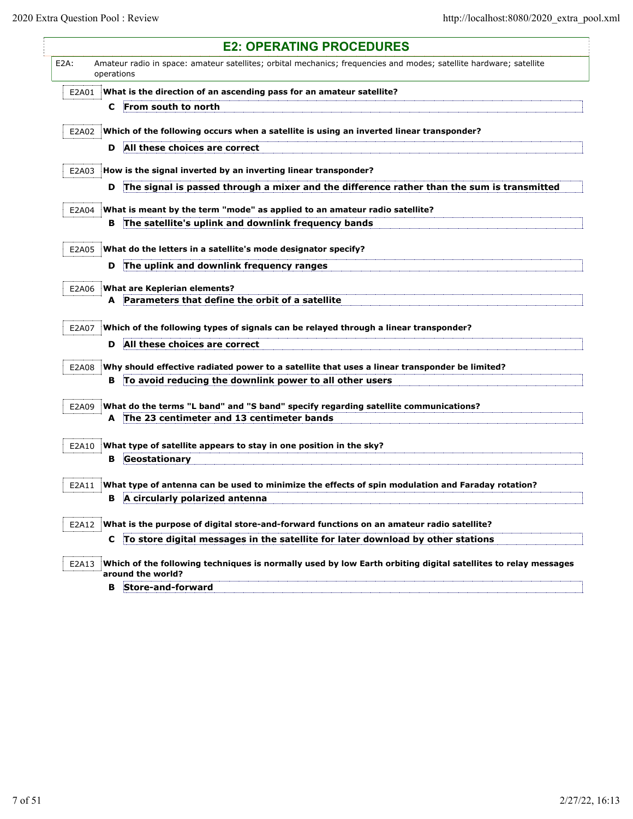Ę

|         |            | <b>E2: OPERATING PROCEDURES</b>                                                                                                   |
|---------|------------|-----------------------------------------------------------------------------------------------------------------------------------|
| $E2A$ : | operations | Amateur radio in space: amateur satellites; orbital mechanics; frequencies and modes; satellite hardware; satellite               |
| E2A01   |            | What is the direction of an ascending pass for an amateur satellite?                                                              |
|         | C          | From south to north                                                                                                               |
|         |            |                                                                                                                                   |
| E2A02   |            | Which of the following occurs when a satellite is using an inverted linear transponder?                                           |
|         | D          | All these choices are correct                                                                                                     |
| E2A03   |            | How is the signal inverted by an inverting linear transponder?                                                                    |
|         | D          | The signal is passed through a mixer and the difference rather than the sum is transmitted                                        |
|         |            |                                                                                                                                   |
| E2A04   | в          | What is meant by the term "mode" as applied to an amateur radio satellite?<br>The satellite's uplink and downlink frequency bands |
|         |            |                                                                                                                                   |
| E2A05   |            | What do the letters in a satellite's mode designator specify?                                                                     |
|         | D          | The uplink and downlink frequency ranges                                                                                          |
|         |            |                                                                                                                                   |
| E2A06   | A          | What are Keplerian elements?<br>Parameters that define the orbit of a satellite                                                   |
|         |            |                                                                                                                                   |
| E2A07   |            | Which of the following types of signals can be relayed through a linear transponder?                                              |
|         | D          | All these choices are correct                                                                                                     |
| E2A08   |            | Why should effective radiated power to a satellite that uses a linear transponder be limited?                                     |
|         | в          | To avoid reducing the downlink power to all other users                                                                           |
|         |            |                                                                                                                                   |
| E2A09   |            | What do the terms "L band" and "S band" specify regarding satellite communications?                                               |
|         |            | A The 23 centimeter and 13 centimeter bands                                                                                       |
|         |            |                                                                                                                                   |
| E2A10   | в          | What type of satellite appears to stay in one position in the sky?<br>Geostationary                                               |
|         |            |                                                                                                                                   |
| E2A11   |            | What type of antenna can be used to minimize the effects of spin modulation and Faraday rotation?                                 |
|         | в          | A circularly polarized antenna                                                                                                    |
|         |            |                                                                                                                                   |
| E2A12   |            | What is the purpose of digital store-and-forward functions on an amateur radio satellite?                                         |
|         | C          | To store digital messages in the satellite for later download by other stations                                                   |
| E2A13   |            | Which of the following techniques is normally used by low Earth orbiting digital satellites to relay messages                     |
|         |            | around the world?                                                                                                                 |
|         | в          | Store-and-forward                                                                                                                 |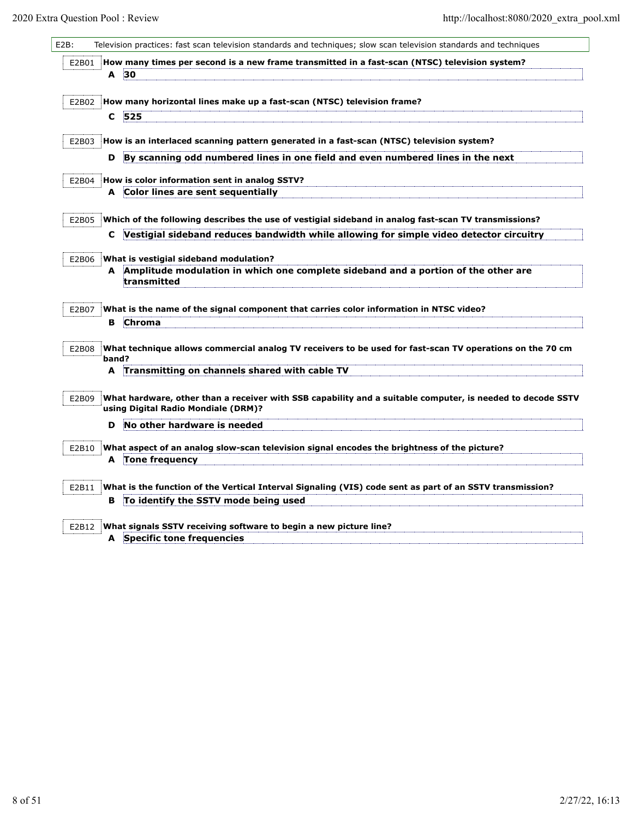| E2B01 |       |                                                                                                                                                                                                                                                                |
|-------|-------|----------------------------------------------------------------------------------------------------------------------------------------------------------------------------------------------------------------------------------------------------------------|
|       | A     | How many times per second is a new frame transmitted in a fast-scan (NTSC) television system?<br>30                                                                                                                                                            |
|       |       |                                                                                                                                                                                                                                                                |
| E2B02 |       | How many horizontal lines make up a fast-scan (NTSC) television frame?                                                                                                                                                                                         |
|       | C     | 525                                                                                                                                                                                                                                                            |
| E2B03 |       | How is an interlaced scanning pattern generated in a fast-scan (NTSC) television system?                                                                                                                                                                       |
|       | D     | By scanning odd numbered lines in one field and even numbered lines in the next                                                                                                                                                                                |
| E2B04 |       | How is color information sent in analog SSTV?                                                                                                                                                                                                                  |
|       | A     | Color lines are sent sequentially                                                                                                                                                                                                                              |
| E2B05 |       | Which of the following describes the use of vestigial sideband in analog fast-scan TV transmissions?                                                                                                                                                           |
|       | C     | Vestigial sideband reduces bandwidth while allowing for simple video detector circuitry                                                                                                                                                                        |
| E2B06 |       | What is vestigial sideband modulation?                                                                                                                                                                                                                         |
|       | A     | Amplitude modulation in which one complete sideband and a portion of the other are<br>transmitted                                                                                                                                                              |
| E2B07 |       | What is the name of the signal component that carries color information in NTSC video?                                                                                                                                                                         |
|       | в     | <b>Chroma</b>                                                                                                                                                                                                                                                  |
| E2B08 |       | What technique allows commercial analog TV receivers to be used for fast-scan TV operations on the 70 cm                                                                                                                                                       |
|       |       |                                                                                                                                                                                                                                                                |
|       | band? |                                                                                                                                                                                                                                                                |
|       | A     | Transmitting on channels shared with cable TV                                                                                                                                                                                                                  |
| E2B09 |       | using Digital Radio Mondiale (DRM)?                                                                                                                                                                                                                            |
|       | D     | No other hardware is needed                                                                                                                                                                                                                                    |
| E2B10 |       | What aspect of an analog slow-scan television signal encodes the brightness of the picture?                                                                                                                                                                    |
|       | A     | <b>Tone frequency</b>                                                                                                                                                                                                                                          |
|       |       |                                                                                                                                                                                                                                                                |
| E2B11 | в     | What hardware, other than a receiver with SSB capability and a suitable computer, is needed to decode SSTV<br>What is the function of the Vertical Interval Signaling (VIS) code sent as part of an SSTV transmission?<br>To identify the SSTV mode being used |
|       |       |                                                                                                                                                                                                                                                                |
| E2B12 |       | What signals SSTV receiving software to begin a new picture line?<br>A Specific tone frequencies                                                                                                                                                               |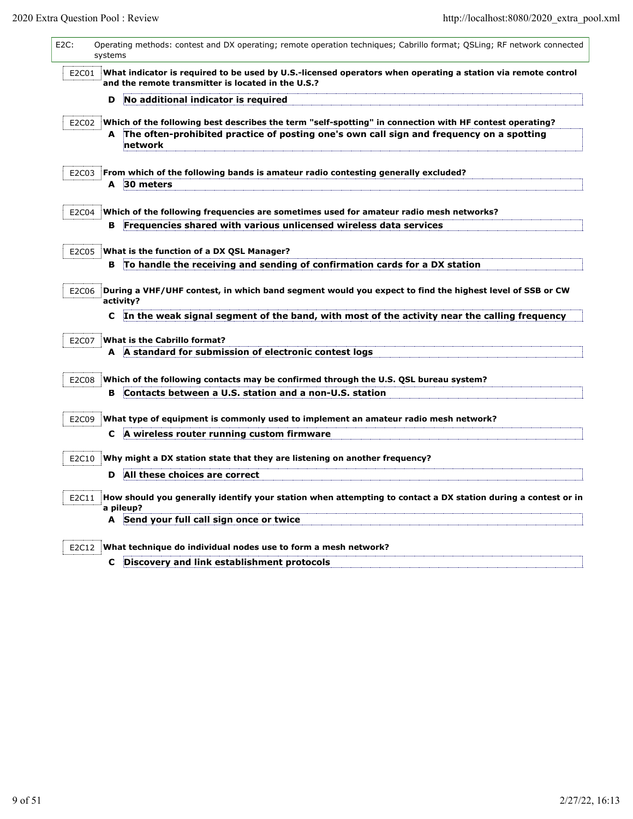L

| $E2C$ : | systems | Operating methods: contest and DX operating; remote operation techniques; Cabrillo format; QSLing; RF network connected                                                                                              |
|---------|---------|----------------------------------------------------------------------------------------------------------------------------------------------------------------------------------------------------------------------|
| E2C01   |         | What indicator is required to be used by U.S.-licensed operators when operating a station via remote control<br>and the remote transmitter is located in the U.S.?                                                   |
|         | D       | No additional indicator is required                                                                                                                                                                                  |
| E2C02   |         | Which of the following best describes the term "self-spotting" in connection with HF contest operating?                                                                                                              |
|         | A       | The often-prohibited practice of posting one's own call sign and frequency on a spotting<br>network                                                                                                                  |
| E2C03   |         | From which of the following bands is amateur radio contesting generally excluded?                                                                                                                                    |
|         |         | A 30 meters                                                                                                                                                                                                          |
| E2C04   |         | Which of the following frequencies are sometimes used for amateur radio mesh networks?                                                                                                                               |
|         | в       | Frequencies shared with various unlicensed wireless data services                                                                                                                                                    |
| E2C05   |         | What is the function of a DX QSL Manager?                                                                                                                                                                            |
|         | в       | To handle the receiving and sending of confirmation cards for a DX station                                                                                                                                           |
| E2C06   | C       | During a VHF/UHF contest, in which band segment would you expect to find the highest level of SSB or CW<br>activity?<br>In the weak signal segment of the band, with most of the activity near the calling frequency |
|         |         |                                                                                                                                                                                                                      |
| E2C07   |         | <b>What is the Cabrillo format?</b><br>A A standard for submission of electronic contest logs                                                                                                                        |
|         |         |                                                                                                                                                                                                                      |
| E2C08   |         | Which of the following contacts may be confirmed through the U.S. QSL bureau system?                                                                                                                                 |
|         | в       | Contacts between a U.S. station and a non-U.S. station                                                                                                                                                               |
| E2C09   |         | What type of equipment is commonly used to implement an amateur radio mesh network?                                                                                                                                  |
|         | C       | A wireless router running custom firmware                                                                                                                                                                            |
| E2C10   |         | Why might a DX station state that they are listening on another frequency?                                                                                                                                           |
|         | D       | All these choices are correct                                                                                                                                                                                        |
| E2C11   |         | How should you generally identify your station when attempting to contact a DX station during a contest or in<br>a pileup?                                                                                           |
|         |         | A Send your full call sign once or twice                                                                                                                                                                             |
|         |         |                                                                                                                                                                                                                      |
| E2C12   | C       | What technique do individual nodes use to form a mesh network?<br>Discovery and link establishment protocols                                                                                                         |
|         |         |                                                                                                                                                                                                                      |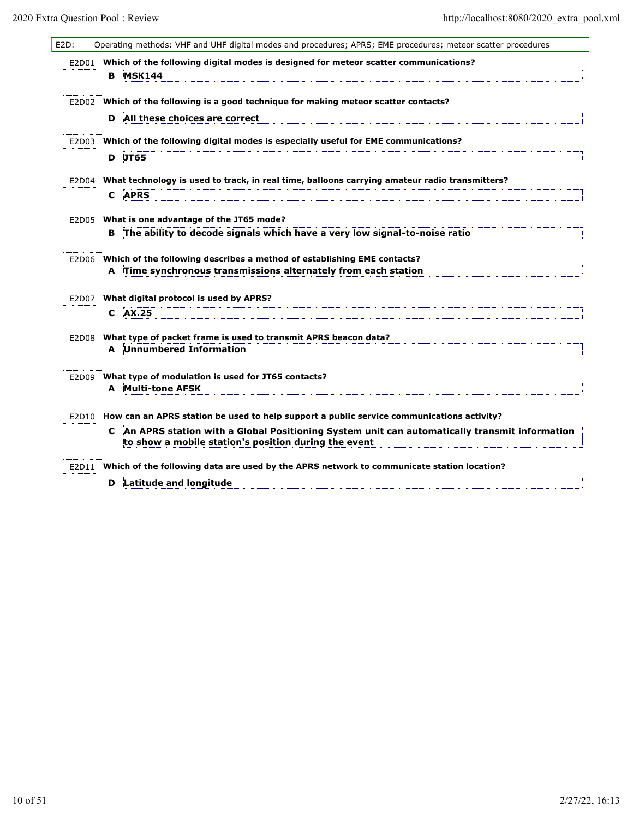| E2D:  |   | Operating methods: VHF and UHF digital modes and procedures; APRS; EME procedures; meteor scatter procedures                                         |
|-------|---|------------------------------------------------------------------------------------------------------------------------------------------------------|
| E2D01 |   | Which of the following digital modes is designed for meteor scatter communications?                                                                  |
|       | в | <b>MSK144</b>                                                                                                                                        |
|       |   |                                                                                                                                                      |
|       |   | E2D02 Which of the following is a good technique for making meteor scatter contacts?                                                                 |
|       | D | All these choices are correct                                                                                                                        |
| E2D03 |   | Which of the following digital modes is especially useful for EME communications?                                                                    |
|       | D | <b>JT65</b>                                                                                                                                          |
|       |   |                                                                                                                                                      |
| E2D04 |   | What technology is used to track, in real time, balloons carrying amateur radio transmitters?                                                        |
|       | C | <b>APRS</b>                                                                                                                                          |
|       |   | E2D05 What is one advantage of the JT65 mode?                                                                                                        |
|       | в | The ability to decode signals which have a very low signal-to-noise ratio                                                                            |
|       |   |                                                                                                                                                      |
| E2D06 |   | Which of the following describes a method of establishing EME contacts?                                                                              |
|       |   | A Time synchronous transmissions alternately from each station                                                                                       |
| E2D07 |   | What digital protocol is used by APRS?                                                                                                               |
|       | C | AX.25                                                                                                                                                |
|       |   |                                                                                                                                                      |
| E2D08 |   | What type of packet frame is used to transmit APRS beacon data?<br><b>A</b> Unnumbered Information                                                   |
|       |   |                                                                                                                                                      |
| E2D09 |   | What type of modulation is used for JT65 contacts?                                                                                                   |
|       | A | Multi-tone AFSK                                                                                                                                      |
|       |   |                                                                                                                                                      |
| E2D10 |   | How can an APRS station be used to help support a public service communications activity?                                                            |
|       | C | An APRS station with a Global Positioning System unit can automatically transmit information<br>to show a mobile station's position during the event |
| E2D11 |   | Which of the following data are used by the APRS network to communicate station location?                                                            |
|       | D | Latitude and longitude                                                                                                                               |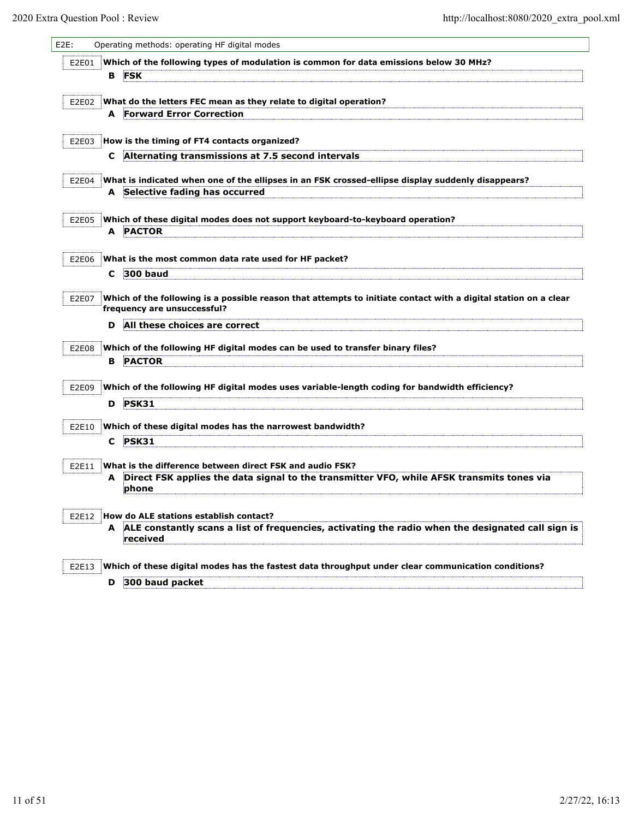| E <sub>2</sub> E: |   | Operating methods: operating HF digital modes                                                                                                         |
|-------------------|---|-------------------------------------------------------------------------------------------------------------------------------------------------------|
| E2E01             | в | Which of the following types of modulation is common for data emissions below 30 MHz?<br><b>FSK</b>                                                   |
| E2E02             |   | What do the letters FEC mean as they relate to digital operation?<br><b>Forward Error Correction</b>                                                  |
|                   | A |                                                                                                                                                       |
| E2E03             |   | How is the timing of FT4 contacts organized?                                                                                                          |
|                   | C | Alternating transmissions at 7.5 second intervals                                                                                                     |
| E2E04             |   | What is indicated when one of the ellipses in an FSK crossed-ellipse display suddenly disappears?<br>A Selective fading has occurred                  |
|                   |   |                                                                                                                                                       |
| E2E05             |   | Which of these digital modes does not support keyboard-to-keyboard operation?                                                                         |
|                   | A | <b>PACTOR</b>                                                                                                                                         |
| E2E06             |   | What is the most common data rate used for HF packet?                                                                                                 |
|                   | C | 300 baud                                                                                                                                              |
| E2E07             |   | Which of the following is a possible reason that attempts to initiate contact with a digital station on a clear<br>frequency are unsuccessful?        |
|                   | D | All these choices are correct                                                                                                                         |
| E2E08             |   | Which of the following HF digital modes can be used to transfer binary files?                                                                         |
|                   | в | <b>PACTOR</b>                                                                                                                                         |
| E2E09             |   | Which of the following HF digital modes uses variable-length coding for bandwidth efficiency?                                                         |
|                   | D | <b>PSK31</b>                                                                                                                                          |
| E2E10             |   | Which of these digital modes has the narrowest bandwidth?                                                                                             |
|                   | C | <b>PSK31</b>                                                                                                                                          |
| E2E11             |   | What is the difference between direct FSK and audio FSK?<br>Direct FSK applies the data signal to the transmitter VFO, while AFSK transmits tones via |
|                   | A | phone                                                                                                                                                 |
| E2E12             |   | How do ALE stations establish contact?                                                                                                                |
|                   | A | ALE constantly scans a list of frequencies, activating the radio when the designated call sign is<br>received                                         |
|                   |   |                                                                                                                                                       |
| E2E13             |   | Which of these digital modes has the fastest data throughput under clear communication conditions?<br>D 300 baud packet                               |
|                   |   |                                                                                                                                                       |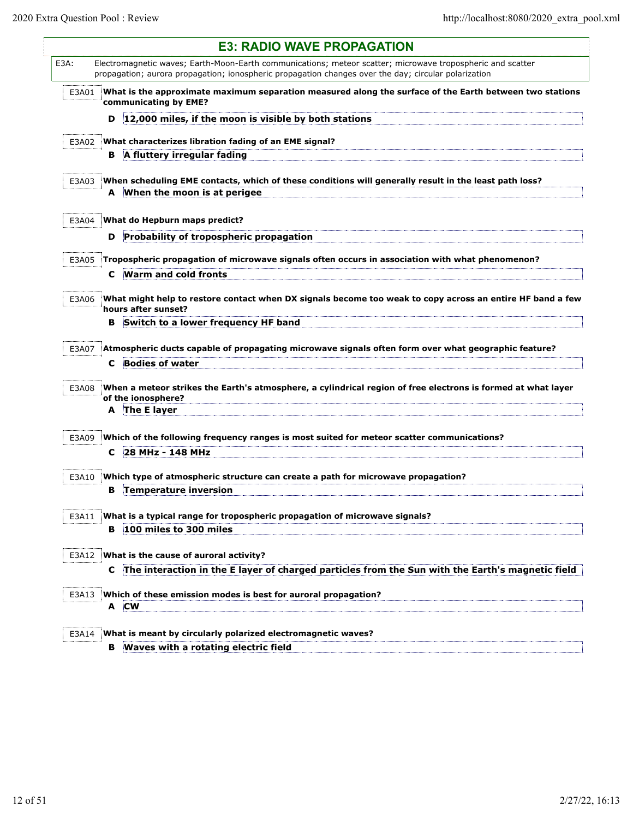Ę

|       |    | <b>E3: RADIO WAVE PROPAGATION</b>                                                                                                                                                                                  |
|-------|----|--------------------------------------------------------------------------------------------------------------------------------------------------------------------------------------------------------------------|
| E3A:  |    | Electromagnetic waves; Earth-Moon-Earth communications; meteor scatter; microwave tropospheric and scatter<br>propagation; aurora propagation; ionospheric propagation changes over the day; circular polarization |
| E3A01 |    | What is the approximate maximum separation measured along the surface of the Earth between two stations<br>communicating by EME?                                                                                   |
|       | D  | 12,000 miles, if the moon is visible by both stations                                                                                                                                                              |
| E3A02 |    | What characterizes libration fading of an EME signal?                                                                                                                                                              |
|       | в. | A fluttery irregular fading                                                                                                                                                                                        |
|       |    |                                                                                                                                                                                                                    |
| E3A03 |    | When scheduling EME contacts, which of these conditions will generally result in the least path loss?                                                                                                              |
|       | A  | When the moon is at perigee                                                                                                                                                                                        |
| E3A04 |    | What do Hepburn maps predict?                                                                                                                                                                                      |
|       | D  | Probability of tropospheric propagation                                                                                                                                                                            |
|       |    |                                                                                                                                                                                                                    |
| E3A05 |    | Tropospheric propagation of microwave signals often occurs in association with what phenomenon?                                                                                                                    |
|       | C  | Warm and cold fronts                                                                                                                                                                                               |
| E3A06 |    | What might help to restore contact when DX signals become too weak to copy across an entire HF band a few                                                                                                          |
|       | в  | hours after sunset?<br>Switch to a lower frequency HF band                                                                                                                                                         |
|       |    |                                                                                                                                                                                                                    |
| E3A07 |    | Atmospheric ducts capable of propagating microwave signals often form over what geographic feature?                                                                                                                |
|       | C  | <b>Bodies of water</b>                                                                                                                                                                                             |
|       |    | When a meteor strikes the Earth's atmosphere, a cylindrical region of free electrons is formed at what layer                                                                                                       |
| E3A08 |    | of the ionosphere?                                                                                                                                                                                                 |
|       | A  | The E layer                                                                                                                                                                                                        |
|       |    |                                                                                                                                                                                                                    |
| E3A09 |    | Which of the following frequency ranges is most suited for meteor scatter communications?                                                                                                                          |
|       | C  | 28 MHz - 148 MHz                                                                                                                                                                                                   |
| E3A10 |    | Which type of atmospheric structure can create a path for microwave propagation?                                                                                                                                   |
|       | в  | Temperature inversion                                                                                                                                                                                              |
|       |    |                                                                                                                                                                                                                    |
| E3A11 | в  | What is a typical range for tropospheric propagation of microwave signals?<br>100 miles to 300 miles                                                                                                               |
|       |    |                                                                                                                                                                                                                    |
| E3A12 |    | What is the cause of auroral activity?                                                                                                                                                                             |
|       | C  | The interaction in the E layer of charged particles from the Sun with the Earth's magnetic field                                                                                                                   |
|       |    | Which of these emission modes is best for auroral propagation?                                                                                                                                                     |
| E3A13 | A  | <b>CW</b>                                                                                                                                                                                                          |
|       |    |                                                                                                                                                                                                                    |
| E3A14 |    | What is meant by circularly polarized electromagnetic waves?                                                                                                                                                       |
|       | в  | Waves with a rotating electric field                                                                                                                                                                               |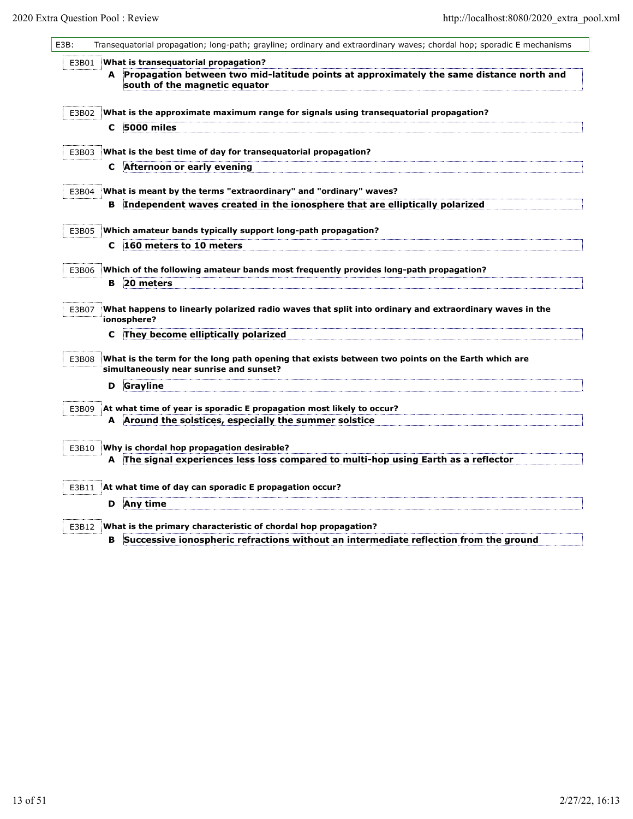| E3B:  |    | Transequatorial propagation; long-path; grayline; ordinary and extraordinary waves; chordal hop; sporadic E mechanisms                      |
|-------|----|---------------------------------------------------------------------------------------------------------------------------------------------|
| E3B01 |    | What is transequatorial propagation?                                                                                                        |
|       |    | A Propagation between two mid-latitude points at approximately the same distance north and                                                  |
|       |    | south of the magnetic equator                                                                                                               |
| E3B02 |    | What is the approximate maximum range for signals using transequatorial propagation?                                                        |
|       | C  | 5000 miles                                                                                                                                  |
| E3B03 |    | What is the best time of day for transequatorial propagation?                                                                               |
|       | C  | Afternoon or early evening                                                                                                                  |
| E3B04 |    | What is meant by the terms "extraordinary" and "ordinary" waves?                                                                            |
|       |    | B Independent waves created in the ionosphere that are elliptically polarized                                                               |
|       |    |                                                                                                                                             |
| E3B05 | C  | Which amateur bands typically support long-path propagation?<br>160 meters to 10 meters                                                     |
|       |    |                                                                                                                                             |
| E3B06 |    | Which of the following amateur bands most frequently provides long-path propagation?                                                        |
|       | в. | 20 meters                                                                                                                                   |
| E3B07 |    | What happens to linearly polarized radio waves that split into ordinary and extraordinary waves in the<br>ionosphere?                       |
|       | c  | They become elliptically polarized                                                                                                          |
| E3B08 |    | What is the term for the long path opening that exists between two points on the Earth which are<br>simultaneously near sunrise and sunset? |
|       | D  | Grayline                                                                                                                                    |
| E3B09 |    | At what time of year is sporadic E propagation most likely to occur?                                                                        |
|       |    | A Around the solstices, especially the summer solstice                                                                                      |
| E3B10 |    | Why is chordal hop propagation desirable?                                                                                                   |
|       |    | A The signal experiences less loss compared to multi-hop using Earth as a reflector                                                         |
|       |    |                                                                                                                                             |
| E3B11 |    | At what time of day can sporadic E propagation occur?                                                                                       |
|       | D  | Any time                                                                                                                                    |
| E3B12 |    | What is the primary characteristic of chordal hop propagation?                                                                              |
|       | в  | Successive ionospheric refractions without an intermediate reflection from the ground                                                       |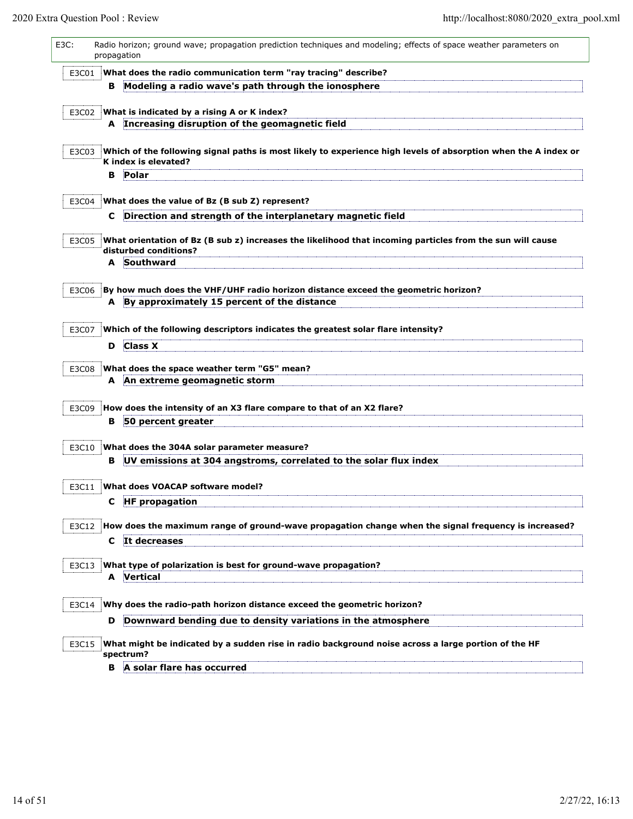| E3C:  |    | Radio horizon; ground wave; propagation prediction techniques and modeling; effects of space weather parameters on<br>propagation      |
|-------|----|----------------------------------------------------------------------------------------------------------------------------------------|
| E3C01 |    | What does the radio communication term "ray tracing" describe?                                                                         |
|       | в  | Modeling a radio wave's path through the ionosphere                                                                                    |
|       |    | E3C02 What is indicated by a rising A or K index?<br>A Increasing disruption of the geomagnetic field                                  |
| E3C03 |    | Which of the following signal paths is most likely to experience high levels of absorption when the A index or<br>K index is elevated? |
|       | в  | Polar                                                                                                                                  |
| E3C04 |    | What does the value of Bz (B sub Z) represent?                                                                                         |
|       | C  | Direction and strength of the interplanetary magnetic field                                                                            |
| E3C05 |    | What orientation of Bz (B sub z) increases the likelihood that incoming particles from the sun will cause<br>disturbed conditions?     |
|       | A  | Southward                                                                                                                              |
| E3C06 |    | By how much does the VHF/UHF radio horizon distance exceed the geometric horizon?<br>A By approximately 15 percent of the distance     |
|       |    |                                                                                                                                        |
| E3C07 |    | Which of the following descriptors indicates the greatest solar flare intensity?                                                       |
|       | D  | <b>Class X</b>                                                                                                                         |
| E3C08 |    | What does the space weather term "G5" mean?                                                                                            |
|       |    | A An extreme geomagnetic storm                                                                                                         |
| E3C09 |    | How does the intensity of an X3 flare compare to that of an X2 flare?                                                                  |
|       | в  | 50 percent greater                                                                                                                     |
| E3C10 |    | What does the 304A solar parameter measure?                                                                                            |
|       | в. | UV emissions at 304 angstroms, correlated to the solar flux index                                                                      |
|       |    |                                                                                                                                        |
| E3C11 |    | What does VOACAP software model?<br>C HF propagation                                                                                   |
|       |    |                                                                                                                                        |
| E3C12 |    | How does the maximum range of ground-wave propagation change when the signal frequency is increased?                                   |
|       | C  | It decreases                                                                                                                           |
| E3C13 |    | What type of polarization is best for ground-wave propagation?<br><b>A</b> Vertical                                                    |
| E3C14 |    | Why does the radio-path horizon distance exceed the geometric horizon?                                                                 |
|       | D  | Downward bending due to density variations in the atmosphere                                                                           |
| E3C15 |    | What might be indicated by a sudden rise in radio background noise across a large portion of the HF<br>spectrum?                       |
|       | в  | A solar flare has occurred                                                                                                             |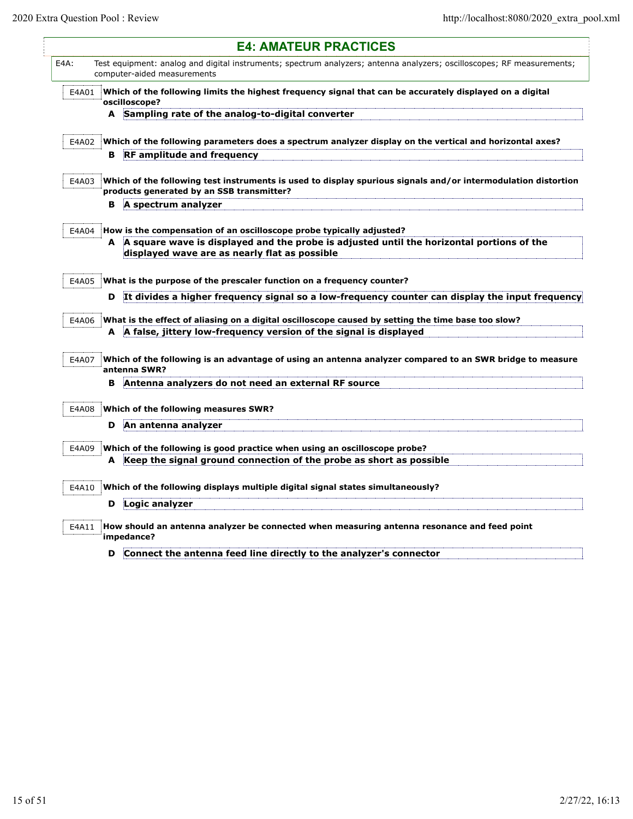Ę

|       |   | <b>E4: AMATEUR PRACTICES</b>                                                                                                                               |
|-------|---|------------------------------------------------------------------------------------------------------------------------------------------------------------|
| E4A:  |   | Test equipment: analog and digital instruments; spectrum analyzers; antenna analyzers; oscilloscopes; RF measurements;<br>computer-aided measurements      |
| E4A01 |   | Which of the following limits the highest frequency signal that can be accurately displayed on a digital<br>oscilloscope?                                  |
|       |   | A Sampling rate of the analog-to-digital converter                                                                                                         |
|       |   |                                                                                                                                                            |
| E4A02 | В | Which of the following parameters does a spectrum analyzer display on the vertical and horizontal axes?<br><b>RF</b> amplitude and frequency               |
|       |   |                                                                                                                                                            |
| E4A03 |   | Which of the following test instruments is used to display spurious signals and/or intermodulation distortion<br>products generated by an SSB transmitter? |
|       | в | A spectrum analyzer                                                                                                                                        |
| E4A04 |   | How is the compensation of an oscilloscope probe typically adjusted?                                                                                       |
|       | A | A square wave is displayed and the probe is adjusted until the horizontal portions of the<br>displayed wave are as nearly flat as possible                 |
| E4A05 |   | What is the purpose of the prescaler function on a frequency counter?                                                                                      |
|       | D | It divides a higher frequency signal so a low-frequency counter can display the input frequency                                                            |
| E4A06 |   | What is the effect of aliasing on a digital oscilloscope caused by setting the time base too slow?                                                         |
|       |   | A A false, jittery low-frequency version of the signal is displayed                                                                                        |
| E4A07 |   | Which of the following is an advantage of using an antenna analyzer compared to an SWR bridge to measure<br>antenna SWR?                                   |
|       | в | Antenna analyzers do not need an external RF source                                                                                                        |
| E4A08 |   | Which of the following measures SWR?                                                                                                                       |
|       | D | An antenna analyzer                                                                                                                                        |
|       |   |                                                                                                                                                            |
| E4A09 |   | Which of the following is good practice when using an oscilloscope probe?                                                                                  |
|       |   | A Keep the signal ground connection of the probe as short as possible                                                                                      |
| E4A10 |   | Which of the following displays multiple digital signal states simultaneously?                                                                             |
|       | D | Logic analyzer                                                                                                                                             |
| E4A11 |   | How should an antenna analyzer be connected when measuring antenna resonance and feed point<br>impedance?                                                  |
|       | D | Connect the antenna feed line directly to the analyzer's connector                                                                                         |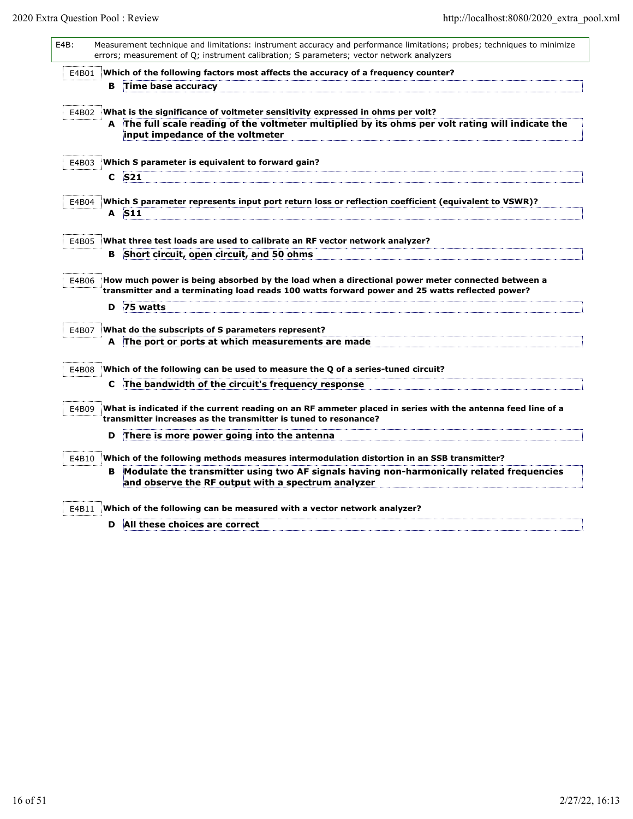| $E4B$ : |       |    | Measurement technique and limitations: instrument accuracy and performance limitations; probes; techniques to minimize<br>errors; measurement of Q; instrument calibration; S parameters; vector network analyzers    |
|---------|-------|----|-----------------------------------------------------------------------------------------------------------------------------------------------------------------------------------------------------------------------|
|         | E4B01 |    | Which of the following factors most affects the accuracy of a frequency counter?                                                                                                                                      |
|         |       | в. | Time base accuracy                                                                                                                                                                                                    |
|         | E4B02 |    | What is the significance of voltmeter sensitivity expressed in ohms per volt?<br>The full scale reading of the voltmeter multiplied by its ohms per volt rating will indicate the<br>input impedance of the voltmeter |
|         | E4B03 |    | Which S parameter is equivalent to forward gain?                                                                                                                                                                      |
|         |       |    | $C$ S <sub>21</sub>                                                                                                                                                                                                   |
|         |       |    |                                                                                                                                                                                                                       |
|         | E4B04 |    | Which S parameter represents input port return loss or reflection coefficient (equivalent to VSWR)?<br>A S11                                                                                                          |
|         |       |    |                                                                                                                                                                                                                       |
|         | E4B05 |    | What three test loads are used to calibrate an RF vector network analyzer?                                                                                                                                            |
|         |       | в  | Short circuit, open circuit, and 50 ohms                                                                                                                                                                              |
|         | E4B06 | D  | How much power is being absorbed by the load when a directional power meter connected between a<br>transmitter and a terminating load reads 100 watts forward power and 25 watts reflected power?<br>75 watts         |
|         | E4B07 |    | What do the subscripts of S parameters represent?                                                                                                                                                                     |
|         |       |    | A The port or ports at which measurements are made                                                                                                                                                                    |
|         |       |    |                                                                                                                                                                                                                       |
|         | E4B08 |    | Which of the following can be used to measure the Q of a series-tuned circuit?                                                                                                                                        |
|         |       | C  | The bandwidth of the circuit's frequency response                                                                                                                                                                     |
|         | E4B09 |    | What is indicated if the current reading on an RF ammeter placed in series with the antenna feed line of a<br>transmitter increases as the transmitter is tuned to resonance?                                         |
|         |       | D  | There is more power going into the antenna                                                                                                                                                                            |
|         | E4B10 |    | Which of the following methods measures intermodulation distortion in an SSB transmitter?                                                                                                                             |
|         |       | в  | Modulate the transmitter using two AF signals having non-harmonically related frequencies<br>and observe the RF output with a spectrum analyzer                                                                       |
|         | E4B11 |    | Which of the following can be measured with a vector network analyzer?                                                                                                                                                |
|         |       | D  | All these choices are correct                                                                                                                                                                                         |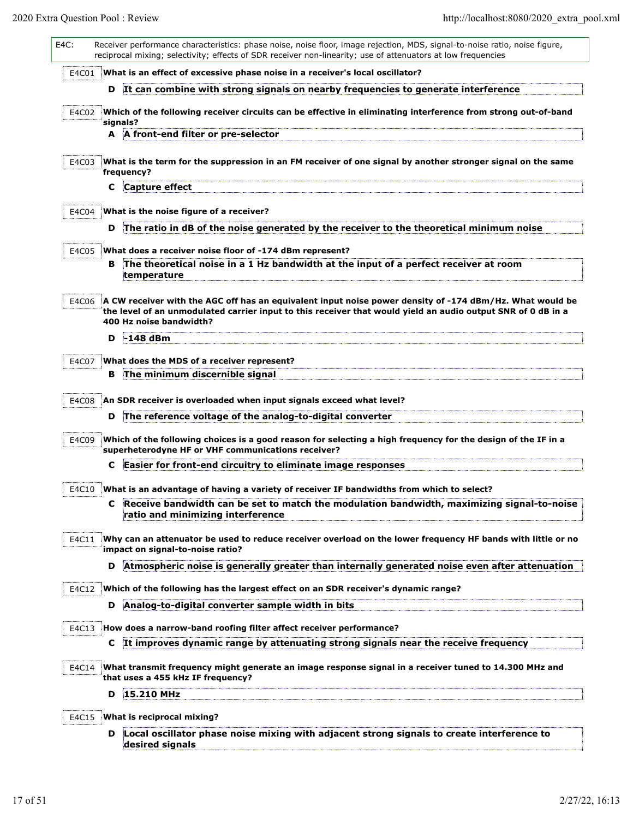| E4C:  |   | Receiver performance characteristics: phase noise, noise floor, image rejection, MDS, signal-to-noise ratio, noise figure,<br>reciprocal mixing; selectivity; effects of SDR receiver non-linearity; use of attenuators at low frequencies          |
|-------|---|-----------------------------------------------------------------------------------------------------------------------------------------------------------------------------------------------------------------------------------------------------|
| E4C01 |   | What is an effect of excessive phase noise in a receiver's local oscillator?                                                                                                                                                                        |
|       | D | It can combine with strong signals on nearby frequencies to generate interference                                                                                                                                                                   |
| E4C02 |   | Which of the following receiver circuits can be effective in eliminating interference from strong out-of-band<br>signals?                                                                                                                           |
|       |   | A A front-end filter or pre-selector                                                                                                                                                                                                                |
| E4C03 |   | What is the term for the suppression in an FM receiver of one signal by another stronger signal on the same<br>frequency?                                                                                                                           |
|       | с | Capture effect                                                                                                                                                                                                                                      |
| E4C04 |   | What is the noise figure of a receiver?                                                                                                                                                                                                             |
|       | D | The ratio in dB of the noise generated by the receiver to the theoretical minimum noise                                                                                                                                                             |
| E4C05 |   | What does a receiver noise floor of -174 dBm represent?                                                                                                                                                                                             |
|       | в | The theoretical noise in a 1 Hz bandwidth at the input of a perfect receiver at room<br>temperature                                                                                                                                                 |
| E4C06 |   | A CW receiver with the AGC off has an equivalent input noise power density of -174 dBm/Hz. What would be<br>the level of an unmodulated carrier input to this receiver that would yield an audio output SNR of 0 dB in a<br>400 Hz noise bandwidth? |
|       | D | -148 dBm                                                                                                                                                                                                                                            |
| E4C07 |   | What does the MDS of a receiver represent?                                                                                                                                                                                                          |
|       | в | The minimum discernible signal                                                                                                                                                                                                                      |
| E4C08 |   | An SDR receiver is overloaded when input signals exceed what level?                                                                                                                                                                                 |
|       | D | The reference voltage of the analog-to-digital converter                                                                                                                                                                                            |
| E4C09 |   | Which of the following choices is a good reason for selecting a high frequency for the design of the IF in a<br>superheterodyne HF or VHF communications receiver?                                                                                  |
|       | С | Easier for front-end circuitry to eliminate image responses                                                                                                                                                                                         |
| E4C10 |   | What is an advantage of having a variety of receiver IF bandwidths from which to select?                                                                                                                                                            |
|       |   | Receive bandwidth can be set to match the modulation bandwidth, maximizing signal-to-noise<br>ratio and minimizing interference                                                                                                                     |
| E4C11 |   | Why can an attenuator be used to reduce receiver overload on the lower frequency HF bands with little or no<br>impact on signal-to-noise ratio?                                                                                                     |
|       | D | Atmospheric noise is generally greater than internally generated noise even after attenuation                                                                                                                                                       |
| E4C12 |   | Which of the following has the largest effect on an SDR receiver's dynamic range?                                                                                                                                                                   |
|       | D | Analog-to-digital converter sample width in bits                                                                                                                                                                                                    |
| E4C13 |   | How does a narrow-band roofing filter affect receiver performance?                                                                                                                                                                                  |
|       | C | It improves dynamic range by attenuating strong signals near the receive frequency                                                                                                                                                                  |
| E4C14 |   | What transmit frequency might generate an image response signal in a receiver tuned to 14.300 MHz and<br>that uses a 455 kHz IF frequency?                                                                                                          |
|       | D | 15.210 MHz                                                                                                                                                                                                                                          |
| E4C15 |   | What is reciprocal mixing?                                                                                                                                                                                                                          |
|       | D | Local oscillator phase noise mixing with adjacent strong signals to create interference to<br>desired signals                                                                                                                                       |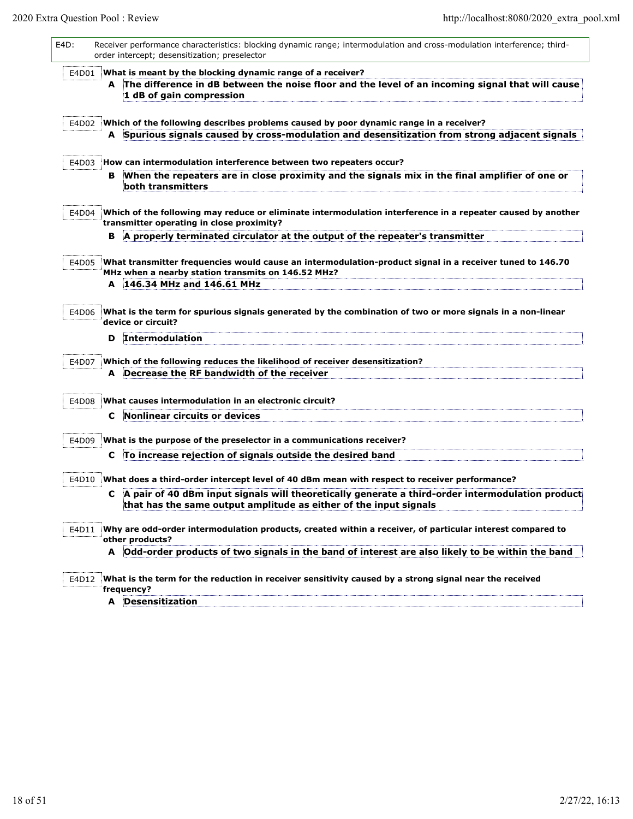| E4D:  | Receiver performance characteristics: blocking dynamic range; intermodulation and cross-modulation interference; third-<br>order intercept; desensitization; preselector                                                                                                              |
|-------|---------------------------------------------------------------------------------------------------------------------------------------------------------------------------------------------------------------------------------------------------------------------------------------|
| E4D01 | What is meant by the blocking dynamic range of a receiver?<br>A The difference in dB between the noise floor and the level of an incoming signal that will cause<br>1 dB of gain compression                                                                                          |
| E4D02 | Which of the following describes problems caused by poor dynamic range in a receiver?<br>A Spurious signals caused by cross-modulation and desensitization from strong adjacent signals                                                                                               |
| E4D03 | How can intermodulation interference between two repeaters occur?<br>When the repeaters are in close proximity and the signals mix in the final amplifier of one or<br>в<br>both transmitters                                                                                         |
| E4D04 | Which of the following may reduce or eliminate intermodulation interference in a repeater caused by another<br>transmitter operating in close proximity?                                                                                                                              |
| E4D05 | A properly terminated circulator at the output of the repeater's transmitter<br>в<br>What transmitter frequencies would cause an intermodulation-product signal in a receiver tuned to 146.70<br>MHz when a nearby station transmits on 146.52 MHz?<br>146.34 MHz and 146.61 MHz<br>A |
| E4D06 | What is the term for spurious signals generated by the combination of two or more signals in a non-linear<br>device or circuit?<br>Intermodulation<br>D                                                                                                                               |
| E4D07 | Which of the following reduces the likelihood of receiver desensitization?<br>Decrease the RF bandwidth of the receiver<br>A                                                                                                                                                          |
| E4D08 | What causes intermodulation in an electronic circuit?<br>Nonlinear circuits or devices<br>C                                                                                                                                                                                           |
| E4D09 | What is the purpose of the preselector in a communications receiver?<br>To increase rejection of signals outside the desired band<br>C.                                                                                                                                               |
| E4D10 | What does a third-order intercept level of 40 dBm mean with respect to receiver performance?<br>A pair of 40 dBm input signals will theoretically generate a third-order intermodulation product<br>C<br>that has the same output amplitude as either of the input signals            |
| E4D11 | Why are odd-order intermodulation products, created within a receiver, of particular interest compared to<br>other products?<br>A Odd-order products of two signals in the band of interest are also likely to be within the band                                                     |
| E4D12 | What is the term for the reduction in receiver sensitivity caused by a strong signal near the received<br>frequency?<br>A Desensitization                                                                                                                                             |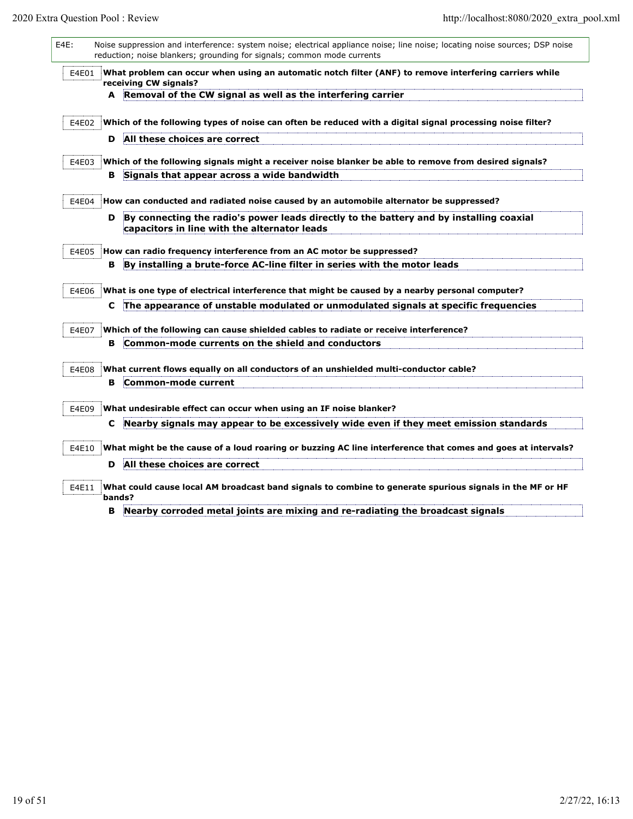|       |    | What problem can occur when using an automatic notch filter (ANF) to remove interfering carriers while<br>receiving CW signals?         |
|-------|----|-----------------------------------------------------------------------------------------------------------------------------------------|
|       |    | A Removal of the CW signal as well as the interfering carrier                                                                           |
| E4E02 |    | Which of the following types of noise can often be reduced with a digital signal processing noise filter?                               |
|       | D  | All these choices are correct                                                                                                           |
| E4E03 |    | Which of the following signals might a receiver noise blanker be able to remove from desired signals?                                   |
|       | в. | Signals that appear across a wide bandwidth                                                                                             |
| E4E04 |    | How can conducted and radiated noise caused by an automobile alternator be suppressed?                                                  |
|       | D  | By connecting the radio's power leads directly to the battery and by installing coaxial<br>capacitors in line with the alternator leads |
| E4E05 |    | How can radio frequency interference from an AC motor be suppressed?                                                                    |
|       | в  | By installing a brute-force AC-line filter in series with the motor leads                                                               |
| E4E06 |    | What is one type of electrical interference that might be caused by a nearby personal computer?                                         |
|       | C  | The appearance of unstable modulated or unmodulated signals at specific frequencies                                                     |
| E4E07 |    | Which of the following can cause shielded cables to radiate or receive interference?                                                    |
|       | в  | Common-mode currents on the shield and conductors                                                                                       |
| E4E08 |    | What current flows equally on all conductors of an unshielded multi-conductor cable?                                                    |
|       | в  | Common-mode current                                                                                                                     |
| E4E09 |    | What undesirable effect can occur when using an IF noise blanker?                                                                       |
|       | C  | Nearby signals may appear to be excessively wide even if they meet emission standards                                                   |
|       |    | What might be the cause of a loud roaring or buzzing AC line interference that comes and goes at intervals?                             |
| E4E10 |    |                                                                                                                                         |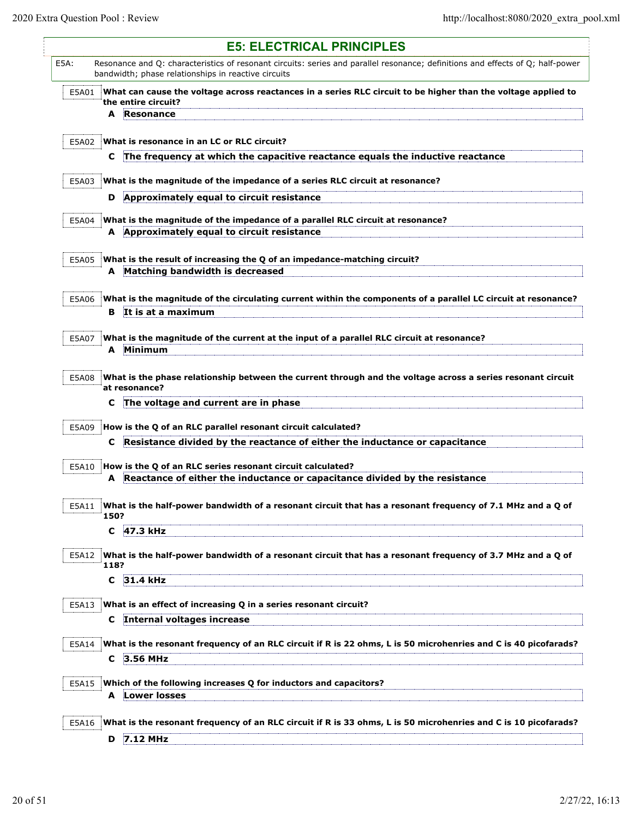$\mathsf{l}$ 

| <b>E5: ELECTRICAL PRINCIPLES</b>                                                                                                                                                              |  |
|-----------------------------------------------------------------------------------------------------------------------------------------------------------------------------------------------|--|
| E5A:<br>Resonance and Q: characteristics of resonant circuits: series and parallel resonance; definitions and effects of Q; half-power<br>bandwidth; phase relationships in reactive circuits |  |
| What can cause the voltage across reactances in a series RLC circuit to be higher than the voltage applied to<br>E5A01                                                                        |  |
| the entire circuit?<br>Resonance<br>A                                                                                                                                                         |  |
|                                                                                                                                                                                               |  |
| What is resonance in an LC or RLC circuit?<br>E5A02                                                                                                                                           |  |
| The frequency at which the capacitive reactance equals the inductive reactance<br>C                                                                                                           |  |
| E5A03<br>What is the magnitude of the impedance of a series RLC circuit at resonance?                                                                                                         |  |
| Approximately equal to circuit resistance<br>D                                                                                                                                                |  |
|                                                                                                                                                                                               |  |
| E5A04<br>What is the magnitude of the impedance of a parallel RLC circuit at resonance?                                                                                                       |  |
| A Approximately equal to circuit resistance                                                                                                                                                   |  |
| What is the result of increasing the Q of an impedance-matching circuit?<br>E5A05                                                                                                             |  |
| A Matching bandwidth is decreased                                                                                                                                                             |  |
|                                                                                                                                                                                               |  |
| What is the magnitude of the circulating current within the components of a parallel LC circuit at resonance?<br>E5A06<br>It is at a maximum                                                  |  |
| в.                                                                                                                                                                                            |  |
| E5A07<br>What is the magnitude of the current at the input of a parallel RLC circuit at resonance?                                                                                            |  |
| Minimum<br>A                                                                                                                                                                                  |  |
|                                                                                                                                                                                               |  |
| What is the phase relationship between the current through and the voltage across a series resonant circuit<br>E5A08<br>at resonance?                                                         |  |
| The voltage and current are in phase<br>С                                                                                                                                                     |  |
|                                                                                                                                                                                               |  |
| How is the Q of an RLC parallel resonant circuit calculated?<br>E5A09<br>Resistance divided by the reactance of either the inductance or capacitance<br>C                                     |  |
|                                                                                                                                                                                               |  |
| How is the Q of an RLC series resonant circuit calculated?<br>E5A10                                                                                                                           |  |
| Reactance of either the inductance or capacitance divided by the resistance<br>A                                                                                                              |  |
| E5A11<br>What is the half-power bandwidth of a resonant circuit that has a resonant frequency of 7.1 MHz and a Q of                                                                           |  |
| 150?                                                                                                                                                                                          |  |
| C<br>47.3 kHz                                                                                                                                                                                 |  |
| What is the half-power bandwidth of a resonant circuit that has a resonant frequency of 3.7 MHz and a Q of<br>E5A12                                                                           |  |
| 118?                                                                                                                                                                                          |  |
| 31.4 kHz<br>C                                                                                                                                                                                 |  |
| What is an effect of increasing Q in a series resonant circuit?                                                                                                                               |  |
| E5A13<br>C Internal voltages increase                                                                                                                                                         |  |
|                                                                                                                                                                                               |  |
| What is the resonant frequency of an RLC circuit if R is 22 ohms, L is 50 microhenries and C is 40 picofarads?<br>E5A14                                                                       |  |
| 3.56 MHz<br>C.                                                                                                                                                                                |  |
| Which of the following increases Q for inductors and capacitors?<br>E5A15                                                                                                                     |  |
| <b>A</b> Lower losses                                                                                                                                                                         |  |
|                                                                                                                                                                                               |  |
| What is the resonant frequency of an RLC circuit if R is 33 ohms, L is 50 microhenries and C is 10 picofarads?<br>E5A16                                                                       |  |
| 7.12 MHz<br>D                                                                                                                                                                                 |  |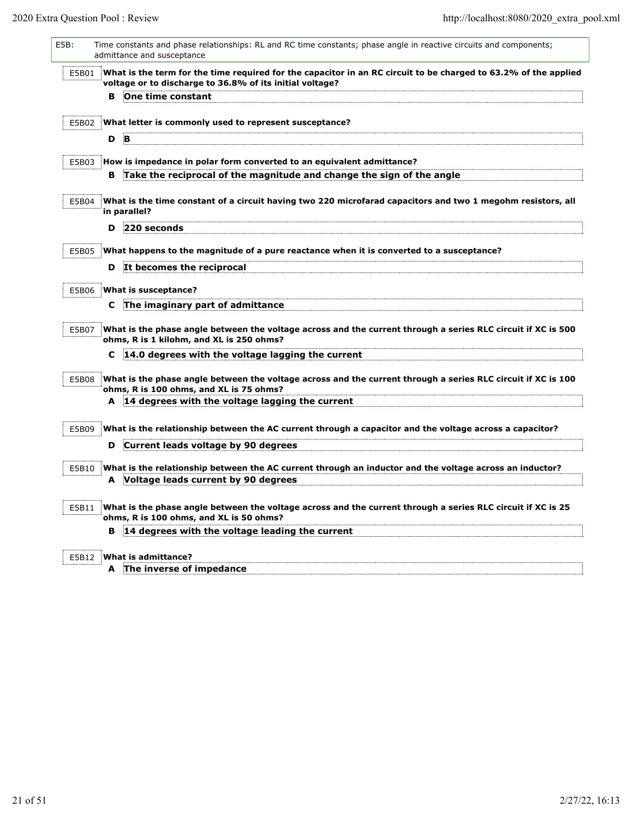| E5B:  | Time constants and phase relationships: RL and RC time constants; phase angle in reactive circuits and components;<br>admittance and susceptance                            |
|-------|-----------------------------------------------------------------------------------------------------------------------------------------------------------------------------|
| E5B01 | What is the term for the time required for the capacitor in an RC circuit to be charged to 63.2% of the applied<br>voltage or to discharge to 36.8% of its initial voltage? |
|       | One time constant<br>в                                                                                                                                                      |
| E5B02 | What letter is commonly used to represent susceptance?                                                                                                                      |
|       | B<br>D                                                                                                                                                                      |
|       |                                                                                                                                                                             |
| E5B03 | How is impedance in polar form converted to an equivalent admittance?                                                                                                       |
|       | Take the reciprocal of the magnitude and change the sign of the angle<br>в.                                                                                                 |
| E5B04 | What is the time constant of a circuit having two 220 microfarad capacitors and two 1 megohm resistors, all<br>in parallel?                                                 |
|       | 220 seconds<br>D                                                                                                                                                            |
| E5B05 | What happens to the magnitude of a pure reactance when it is converted to a susceptance?                                                                                    |
|       | It becomes the reciprocal<br>D                                                                                                                                              |
| E5B06 | What is susceptance?                                                                                                                                                        |
|       | The imaginary part of admittance<br>C                                                                                                                                       |
| E5B07 | What is the phase angle between the voltage across and the current through a series RLC circuit if XC is 500<br>ohms, R is 1 kilohm, and XL is 250 ohms?                    |
|       | 14.0 degrees with the voltage lagging the current<br>C                                                                                                                      |
| E5B08 | What is the phase angle between the voltage across and the current through a series RLC circuit if XC is 100<br>ohms, R is 100 ohms, and XL is 75 ohms?                     |
|       | A 14 degrees with the voltage lagging the current                                                                                                                           |
| E5B09 | What is the relationship between the AC current through a capacitor and the voltage across a capacitor?                                                                     |
|       | Current leads voltage by 90 degrees<br>D                                                                                                                                    |
| E5B10 | What is the relationship between the AC current through an inductor and the voltage across an inductor?                                                                     |
|       | Voltage leads current by 90 degrees<br>A                                                                                                                                    |
| E5B11 | What is the phase angle between the voltage across and the current through a series RLC circuit if XC is 25                                                                 |
|       | ohms, R is 100 ohms, and XL is 50 ohms?                                                                                                                                     |
|       | 14 degrees with the voltage leading the current<br>в                                                                                                                        |
| E5B12 | What is admittance?                                                                                                                                                         |
|       | A The inverse of impedance                                                                                                                                                  |
|       |                                                                                                                                                                             |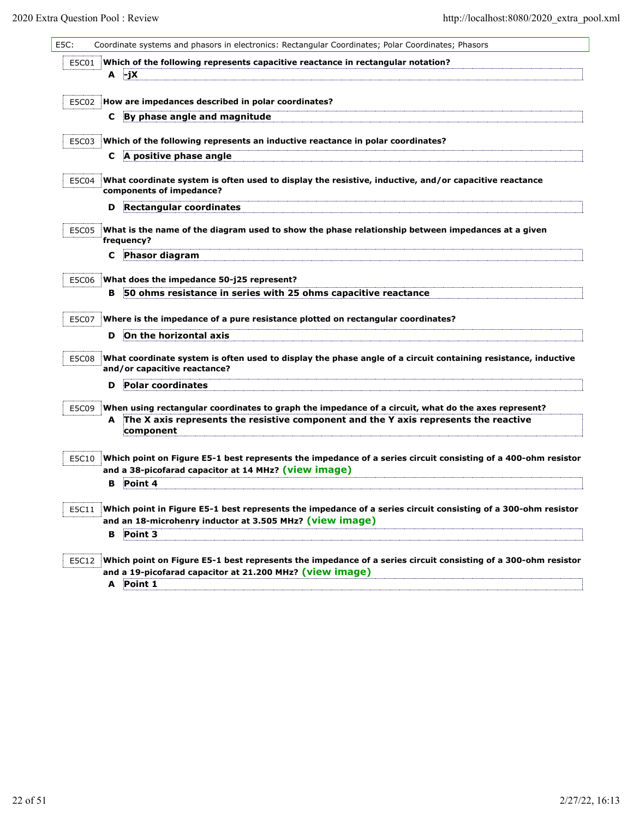| E5C:  | Coordinate systems and phasors in electronics: Rectangular Coordinates; Polar Coordinates; Phasors                                                                    |
|-------|-----------------------------------------------------------------------------------------------------------------------------------------------------------------------|
| E5C01 | Which of the following represents capacitive reactance in rectangular notation?<br>∤-jX<br>A                                                                          |
| E5C02 | How are impedances described in polar coordinates?                                                                                                                    |
|       | By phase angle and magnitude<br>C.                                                                                                                                    |
|       |                                                                                                                                                                       |
| E5C03 | Which of the following represents an inductive reactance in polar coordinates?<br>A positive phase angle<br>C                                                         |
|       |                                                                                                                                                                       |
| E5C04 | What coordinate system is often used to display the resistive, inductive, and/or capacitive reactance<br>components of impedance?                                     |
|       | <b>Rectangular coordinates</b><br>D                                                                                                                                   |
| E5C05 | What is the name of the diagram used to show the phase relationship between impedances at a given<br>frequency?                                                       |
|       | Phasor diagram<br>С                                                                                                                                                   |
| E5C06 | What does the impedance 50-j25 represent?                                                                                                                             |
|       | 50 ohms resistance in series with 25 ohms capacitive reactance<br>в                                                                                                   |
|       |                                                                                                                                                                       |
| E5C07 | Where is the impedance of a pure resistance plotted on rectangular coordinates?                                                                                       |
|       | On the horizontal axis<br>D                                                                                                                                           |
| E5C08 | What coordinate system is often used to display the phase angle of a circuit containing resistance, inductive<br>and/or capacitive reactance?                         |
|       | Polar coordinates<br>D                                                                                                                                                |
| E5C09 | When using rectangular coordinates to graph the impedance of a circuit, what do the axes represent?                                                                   |
|       | The X axis represents the resistive component and the Y axis represents the reactive<br>A<br>component                                                                |
| E5C10 | Which point on Figure E5-1 best represents the impedance of a series circuit consisting of a 400-ohm resistor<br>and a 38-picofarad capacitor at 14 MHz? (view image) |
|       | Point 4<br>в                                                                                                                                                          |
| E5C11 | Which point in Figure E5-1 best represents the impedance of a series circuit consisting of a 300-ohm resistor                                                         |
|       | and an 18-microhenry inductor at 3.505 MHz? (view image)<br>Point 3<br>в                                                                                              |
|       |                                                                                                                                                                       |
| E5C12 | Which point on Figure E5-1 best represents the impedance of a series circuit consisting of a 300-ohm resistor                                                         |
|       | and a 19-picofarad capacitor at 21.200 MHz? (view image)                                                                                                              |
|       | A Point 1                                                                                                                                                             |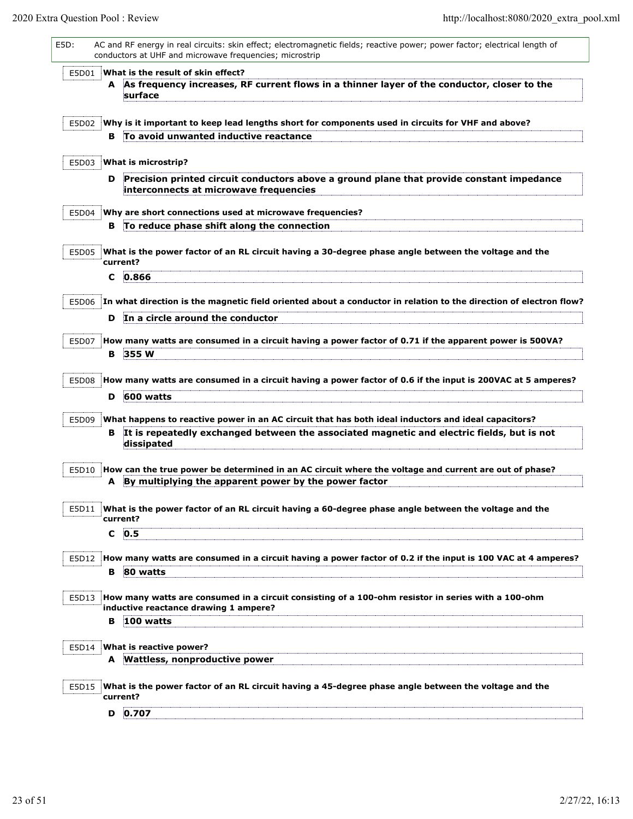| E5D:  |          | AC and RF energy in real circuits: skin effect; electromagnetic fields; reactive power; power factor; electrical length of<br>conductors at UHF and microwave frequencies; microstrip |
|-------|----------|---------------------------------------------------------------------------------------------------------------------------------------------------------------------------------------|
| E5D01 |          | What is the result of skin effect?                                                                                                                                                    |
|       |          | A As frequency increases, RF current flows in a thinner layer of the conductor, closer to the<br>surface                                                                              |
| E5D02 |          | Why is it important to keep lead lengths short for components used in circuits for VHF and above?                                                                                     |
|       | в.       | To avoid unwanted inductive reactance                                                                                                                                                 |
|       |          |                                                                                                                                                                                       |
| E5D03 |          | What is microstrip?                                                                                                                                                                   |
|       | D        | Precision printed circuit conductors above a ground plane that provide constant impedance<br>interconnects at microwave frequencies                                                   |
| E5D04 |          | Why are short connections used at microwave frequencies?                                                                                                                              |
|       |          | B To reduce phase shift along the connection                                                                                                                                          |
|       |          |                                                                                                                                                                                       |
| E5D05 | current? | What is the power factor of an RL circuit having a 30-degree phase angle between the voltage and the                                                                                  |
|       |          | $C$ 0.866                                                                                                                                                                             |
|       |          |                                                                                                                                                                                       |
|       |          | E5D06 In what direction is the magnetic field oriented about a conductor in relation to the direction of electron flow?                                                               |
|       | D        | In a circle around the conductor                                                                                                                                                      |
|       |          |                                                                                                                                                                                       |
| E5D07 |          | How many watts are consumed in a circuit having a power factor of 0.71 if the apparent power is 500VA?                                                                                |
|       | в        | 355 W                                                                                                                                                                                 |
|       |          |                                                                                                                                                                                       |
| E5D08 |          | How many watts are consumed in a circuit having a power factor of 0.6 if the input is 200VAC at 5 amperes?                                                                            |
|       | D        | 600 watts                                                                                                                                                                             |
|       |          |                                                                                                                                                                                       |
| E5D09 |          | What happens to reactive power in an AC circuit that has both ideal inductors and ideal capacitors?                                                                                   |
|       |          | B It is repeatedly exchanged between the associated magnetic and electric fields, but is not<br>dissipated                                                                            |
|       |          |                                                                                                                                                                                       |
| E5D10 |          | How can the true power be determined in an AC circuit where the voltage and current are out of phase?                                                                                 |
|       | A        | By multiplying the apparent power by the power factor                                                                                                                                 |
|       |          |                                                                                                                                                                                       |
| E5D11 |          | What is the power factor of an RL circuit having a 60-degree phase angle between the voltage and the                                                                                  |
|       | current? |                                                                                                                                                                                       |
|       | C        | 0.5                                                                                                                                                                                   |
|       |          |                                                                                                                                                                                       |
| E5D12 |          | How many watts are consumed in a circuit having a power factor of 0.2 if the input is 100 VAC at 4 amperes?                                                                           |
|       |          | <b>B</b> 80 watts                                                                                                                                                                     |
|       |          |                                                                                                                                                                                       |
| E5D13 |          | How many watts are consumed in a circuit consisting of a 100-ohm resistor in series with a 100-ohm                                                                                    |
|       |          | inductive reactance drawing 1 ampere?                                                                                                                                                 |
|       | в        | 100 watts                                                                                                                                                                             |
|       |          |                                                                                                                                                                                       |
| E5D14 |          | What is reactive power?                                                                                                                                                               |
|       |          | A Wattless, nonproductive power                                                                                                                                                       |
|       |          |                                                                                                                                                                                       |
| E5D15 |          | What is the power factor of an RL circuit having a 45-degree phase angle between the voltage and the                                                                                  |
|       | current? |                                                                                                                                                                                       |
|       | D        | 0.707                                                                                                                                                                                 |
|       |          |                                                                                                                                                                                       |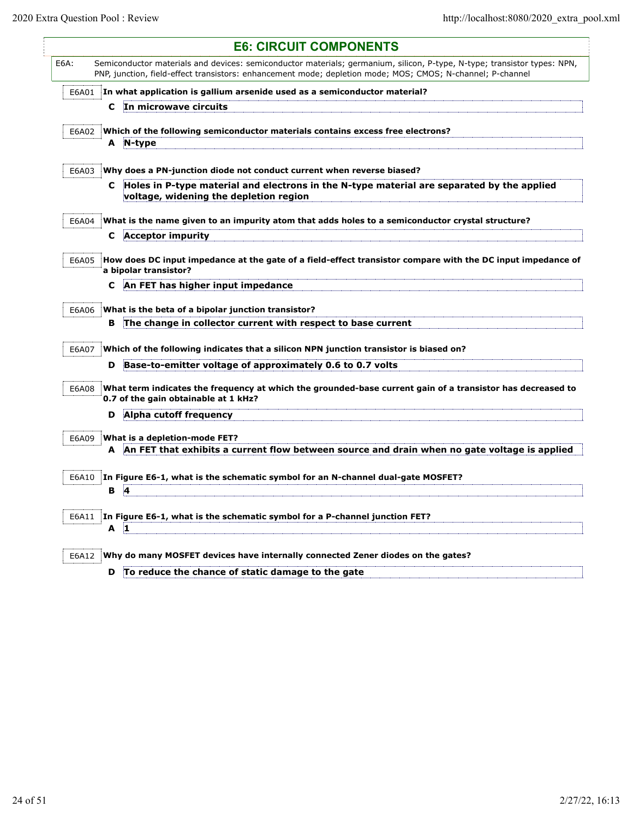$\mathsf{l}$ 

|       | <b>E6: CIRCUIT COMPONENTS</b>                                                                                                                                                                                                          |
|-------|----------------------------------------------------------------------------------------------------------------------------------------------------------------------------------------------------------------------------------------|
| E6A:  | Semiconductor materials and devices: semiconductor materials; germanium, silicon, P-type, N-type; transistor types: NPN,<br>PNP, junction, field-effect transistors: enhancement mode; depletion mode; MOS; CMOS; N-channel; P-channel |
| E6A01 | In what application is gallium arsenide used as a semiconductor material?                                                                                                                                                              |
|       | C In microwave circuits                                                                                                                                                                                                                |
|       |                                                                                                                                                                                                                                        |
| E6A02 | Which of the following semiconductor materials contains excess free electrons?<br>A N-type                                                                                                                                             |
|       |                                                                                                                                                                                                                                        |
| E6A03 | Why does a PN-junction diode not conduct current when reverse biased?                                                                                                                                                                  |
|       | Holes in P-type material and electrons in the N-type material are separated by the applied<br>C.<br>voltage, widening the depletion region                                                                                             |
| E6A04 | What is the name given to an impurity atom that adds holes to a semiconductor crystal structure?                                                                                                                                       |
|       | <b>Acceptor impurity</b><br>C.                                                                                                                                                                                                         |
| E6A05 | How does DC input impedance at the gate of a field-effect transistor compare with the DC input impedance of<br>a bipolar transistor?                                                                                                   |
|       | An FET has higher input impedance<br>C                                                                                                                                                                                                 |
|       |                                                                                                                                                                                                                                        |
| E6A06 | What is the beta of a bipolar junction transistor?<br>The change in collector current with respect to base current<br>в                                                                                                                |
|       |                                                                                                                                                                                                                                        |
| E6A07 | Which of the following indicates that a silicon NPN junction transistor is biased on?                                                                                                                                                  |
|       | Base-to-emitter voltage of approximately 0.6 to 0.7 volts<br>D                                                                                                                                                                         |
| E6A08 | What term indicates the frequency at which the grounded-base current gain of a transistor has decreased to<br>0.7 of the gain obtainable at 1 kHz?                                                                                     |
|       | Alpha cutoff frequency<br>D                                                                                                                                                                                                            |
| E6A09 | What is a depletion-mode FET?                                                                                                                                                                                                          |
|       | A An FET that exhibits a current flow between source and drain when no gate voltage is applied                                                                                                                                         |
|       |                                                                                                                                                                                                                                        |
| E6A10 | In Figure E6-1, what is the schematic symbol for an N-channel dual-gate MOSFET?                                                                                                                                                        |
|       | <b>B</b> 4                                                                                                                                                                                                                             |
| E6A11 | In Figure E6-1, what is the schematic symbol for a P-channel junction FET?<br>$A$ 1                                                                                                                                                    |
| E6A12 | Why do many MOSFET devices have internally connected Zener diodes on the gates?                                                                                                                                                        |
|       | To reduce the chance of static damage to the gate<br>D                                                                                                                                                                                 |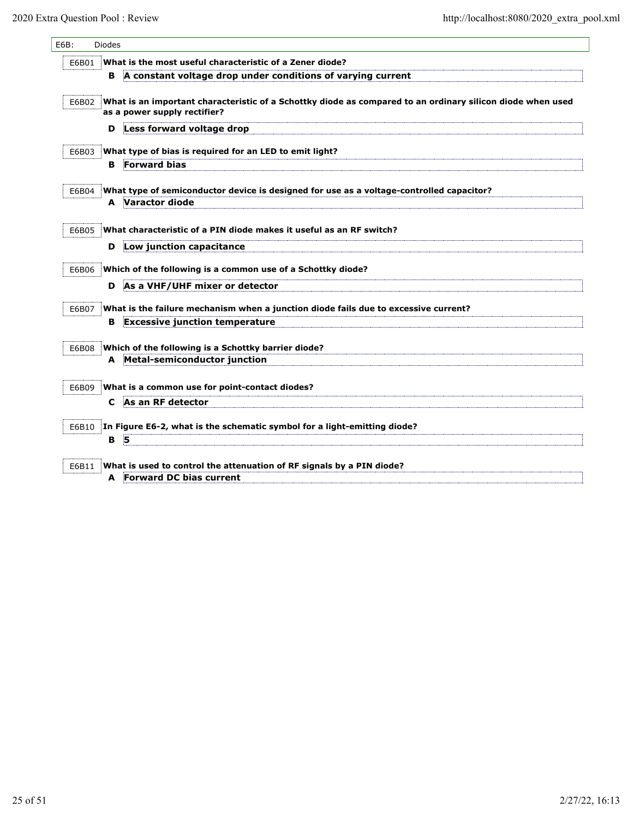| E6B:  | <b>Diodes</b> |                                                                                                                                            |
|-------|---------------|--------------------------------------------------------------------------------------------------------------------------------------------|
| E6B01 |               | What is the most useful characteristic of a Zener diode?                                                                                   |
|       | в             | A constant voltage drop under conditions of varying current                                                                                |
| E6B02 |               | What is an important characteristic of a Schottky diode as compared to an ordinary silicon diode when used<br>as a power supply rectifier? |
|       | D             | Less forward voltage drop                                                                                                                  |
| E6B03 |               | What type of bias is required for an LED to emit light?                                                                                    |
|       | в             | <b>Forward bias</b>                                                                                                                        |
| E6B04 | A             | What type of semiconductor device is designed for use as a voltage-controlled capacitor?<br>Varactor diode                                 |
| E6B05 |               | What characteristic of a PIN diode makes it useful as an RF switch?                                                                        |
|       | D             | Low junction capacitance                                                                                                                   |
| E6B06 |               | Which of the following is a common use of a Schottky diode?                                                                                |
|       | D             | As a VHF/UHF mixer or detector                                                                                                             |
| E6B07 |               | What is the failure mechanism when a junction diode fails due to excessive current?                                                        |
|       | в             | <b>Excessive junction temperature</b>                                                                                                      |
|       |               |                                                                                                                                            |
| E6B08 | A             | Which of the following is a Schottky barrier diode?<br>Metal-semiconductor junction                                                        |
|       |               |                                                                                                                                            |
| E6B09 |               | What is a common use for point-contact diodes?                                                                                             |
|       | C             | As an RF detector                                                                                                                          |
| E6B10 |               | In Figure E6-2, what is the schematic symbol for a light-emitting diode?                                                                   |
|       | в             | 5                                                                                                                                          |
|       |               |                                                                                                                                            |
| E6B11 |               | What is used to control the attenuation of RF signals by a PIN diode?                                                                      |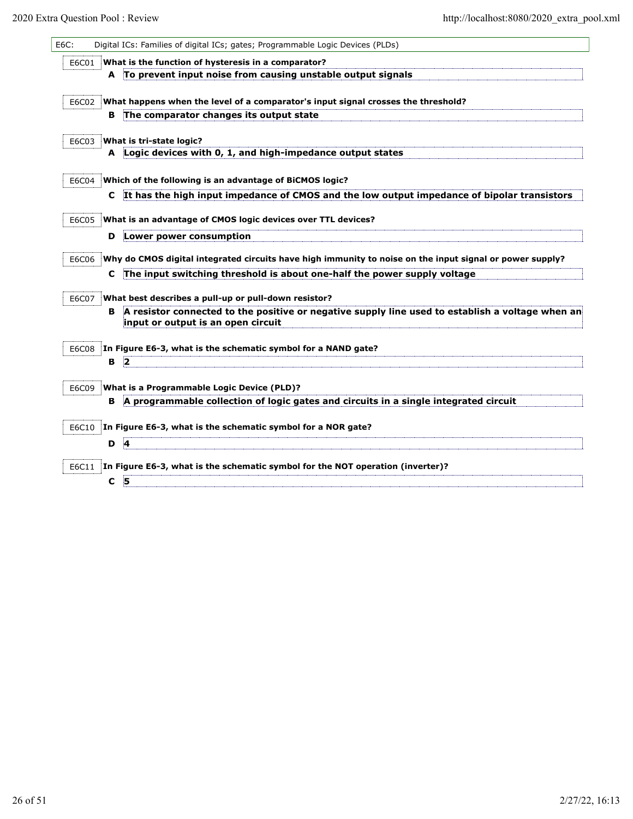| E6C: |       |   | Digital ICs: Families of digital ICs; gates; Programmable Logic Devices (PLDs)                                                         |
|------|-------|---|----------------------------------------------------------------------------------------------------------------------------------------|
|      | E6C01 |   | What is the function of hysteresis in a comparator?                                                                                    |
|      |       |   | A To prevent input noise from causing unstable output signals                                                                          |
|      |       |   |                                                                                                                                        |
|      | E6C02 |   | What happens when the level of a comparator's input signal crosses the threshold?                                                      |
|      |       | в | The comparator changes its output state                                                                                                |
|      | E6C03 |   | What is tri-state logic?                                                                                                               |
|      |       |   | A Logic devices with 0, 1, and high-impedance output states                                                                            |
|      | E6C04 |   | Which of the following is an advantage of BiCMOS logic?                                                                                |
|      |       | C | It has the high input impedance of CMOS and the low output impedance of bipolar transistors                                            |
|      |       |   |                                                                                                                                        |
|      | E6C05 |   | What is an advantage of CMOS logic devices over TTL devices?                                                                           |
|      |       | D | Lower power consumption                                                                                                                |
|      | E6C06 |   | Why do CMOS digital integrated circuits have high immunity to noise on the input signal or power supply?                               |
|      |       | C | The input switching threshold is about one-half the power supply voltage                                                               |
|      | E6C07 |   | What best describes a pull-up or pull-down resistor?                                                                                   |
|      |       | в | A resistor connected to the positive or negative supply line used to establish a voltage when an<br>input or output is an open circuit |
|      | E6C08 |   | In Figure E6-3, what is the schematic symbol for a NAND gate?                                                                          |
|      |       | В | 2                                                                                                                                      |
|      | E6C09 |   | What is a Programmable Logic Device (PLD)?                                                                                             |
|      |       | в | A programmable collection of logic gates and circuits in a single integrated circuit                                                   |
|      | E6C10 |   | In Figure E6-3, what is the schematic symbol for a NOR gate?                                                                           |
|      |       | D | $\overline{a}$                                                                                                                         |
|      | E6C11 |   | In Figure E6-3, what is the schematic symbol for the NOT operation (inverter)?                                                         |
|      |       | C | 5                                                                                                                                      |
|      |       |   |                                                                                                                                        |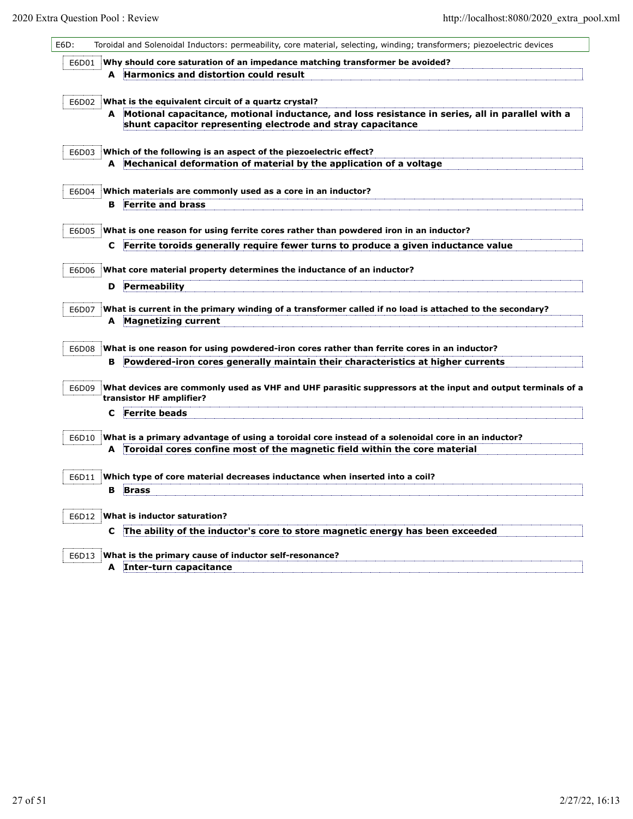| E6D:  | Toroidal and Solenoidal Inductors: permeability, core material, selecting, winding; transformers; piezoelectric devices                                                         |
|-------|---------------------------------------------------------------------------------------------------------------------------------------------------------------------------------|
| E6D01 | Why should core saturation of an impedance matching transformer be avoided?                                                                                                     |
|       | A Harmonics and distortion could result                                                                                                                                         |
|       |                                                                                                                                                                                 |
| E6D02 | What is the equivalent circuit of a quartz crystal?                                                                                                                             |
|       | A Motional capacitance, motional inductance, and loss resistance in series, all in parallel with a                                                                              |
|       | shunt capacitor representing electrode and stray capacitance                                                                                                                    |
|       |                                                                                                                                                                                 |
| E6D03 | Which of the following is an aspect of the piezoelectric effect?                                                                                                                |
|       | A Mechanical deformation of material by the application of a voltage                                                                                                            |
|       | Which materials are commonly used as a core in an inductor?                                                                                                                     |
| E6D04 | <b>Ferrite and brass</b><br>в                                                                                                                                                   |
|       |                                                                                                                                                                                 |
| E6D05 | What is one reason for using ferrite cores rather than powdered iron in an inductor?                                                                                            |
|       | Ferrite toroids generally require fewer turns to produce a given inductance value<br>C                                                                                          |
|       |                                                                                                                                                                                 |
| E6D06 | What core material property determines the inductance of an inductor?                                                                                                           |
|       | Permeability<br>D                                                                                                                                                               |
|       |                                                                                                                                                                                 |
| E6D07 | What is current in the primary winding of a transformer called if no load is attached to the secondary?                                                                         |
|       | A Magnetizing current                                                                                                                                                           |
|       |                                                                                                                                                                                 |
| E6D08 | What is one reason for using powdered-iron cores rather than ferrite cores in an inductor?<br>B Powdered-iron cores generally maintain their characteristics at higher currents |
|       |                                                                                                                                                                                 |
| E6D09 | What devices are commonly used as VHF and UHF parasitic suppressors at the input and output terminals of a                                                                      |
|       | transistor HF amplifier?                                                                                                                                                        |
|       | <b>Ferrite beads</b><br>c                                                                                                                                                       |
|       |                                                                                                                                                                                 |
| E6D10 | What is a primary advantage of using a toroidal core instead of a solenoidal core in an inductor?                                                                               |
|       | A Toroidal cores confine most of the magnetic field within the core material                                                                                                    |
|       |                                                                                                                                                                                 |
| E6D11 | Which type of core material decreases inductance when inserted into a coil?                                                                                                     |
|       | <b>Brass</b><br>в                                                                                                                                                               |
| E6D12 | What is inductor saturation?                                                                                                                                                    |
|       |                                                                                                                                                                                 |
|       | C The ability of the inductor's core to store magnetic energy has been exceeded                                                                                                 |
| E6D13 | What is the primary cause of inductor self-resonance?                                                                                                                           |
|       | A Inter-turn capacitance                                                                                                                                                        |
|       |                                                                                                                                                                                 |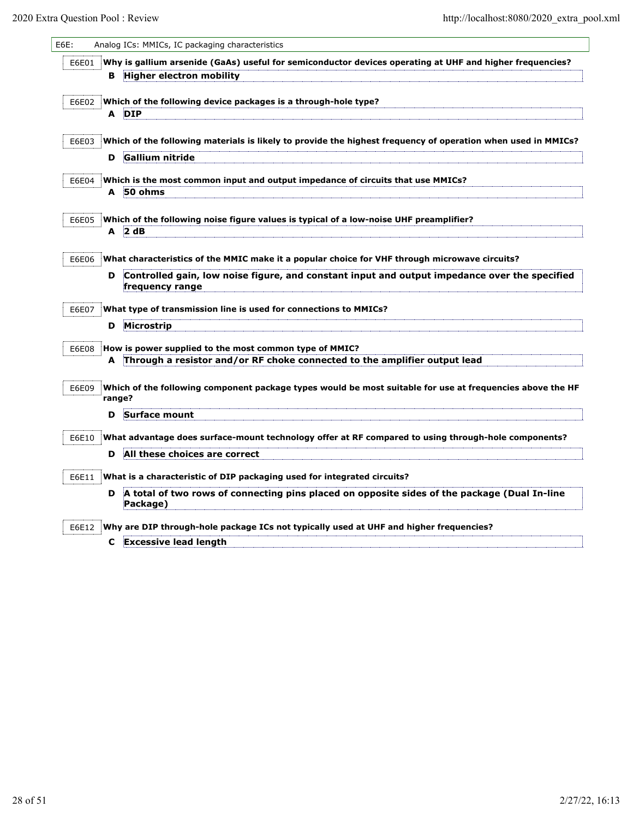| E6E:  |        | Analog ICs: MMICs, IC packaging characteristics                                                                                     |
|-------|--------|-------------------------------------------------------------------------------------------------------------------------------------|
| E6E01 |        | Why is gallium arsenide (GaAs) useful for semiconductor devices operating at UHF and higher frequencies?                            |
|       | в      | <b>Higher electron mobility</b>                                                                                                     |
|       |        |                                                                                                                                     |
| E6E02 |        | Which of the following device packages is a through-hole type?<br>A DIP                                                             |
|       |        |                                                                                                                                     |
| E6E03 |        | Which of the following materials is likely to provide the highest frequency of operation when used in MMICs?                        |
|       | D      | <b>Gallium nitride</b>                                                                                                              |
| E6E04 |        | Which is the most common input and output impedance of circuits that use MMICs?                                                     |
|       |        | A 50 ohms                                                                                                                           |
|       |        |                                                                                                                                     |
| E6E05 |        | Which of the following noise figure values is typical of a low-noise UHF preamplifier?                                              |
|       | A      | 2 dB                                                                                                                                |
| E6E06 |        | What characteristics of the MMIC make it a popular choice for VHF through microwave circuits?                                       |
|       | D      | Controlled gain, low noise figure, and constant input and output impedance over the specified                                       |
|       |        | frequency range                                                                                                                     |
| E6E07 |        | What type of transmission line is used for connections to MMICs?                                                                    |
|       | D      | Microstrip                                                                                                                          |
|       |        |                                                                                                                                     |
| E6E08 |        | How is power supplied to the most common type of MMIC?<br>Through a resistor and/or RF choke connected to the amplifier output lead |
|       | A      |                                                                                                                                     |
| E6E09 |        | Which of the following component package types would be most suitable for use at frequencies above the HF                           |
|       | range? |                                                                                                                                     |
|       | D      | Surface mount                                                                                                                       |
| E6E10 |        | What advantage does surface-mount technology offer at RF compared to using through-hole components?                                 |
|       | D      | All these choices are correct                                                                                                       |
|       |        |                                                                                                                                     |
| E6E11 |        | What is a characteristic of DIP packaging used for integrated circuits?                                                             |
|       | D      | A total of two rows of connecting pins placed on opposite sides of the package (Dual In-line<br>Package)                            |
| E6E12 |        | Why are DIP through-hole package ICs not typically used at UHF and higher frequencies?                                              |
|       | C      | <b>Excessive lead length</b>                                                                                                        |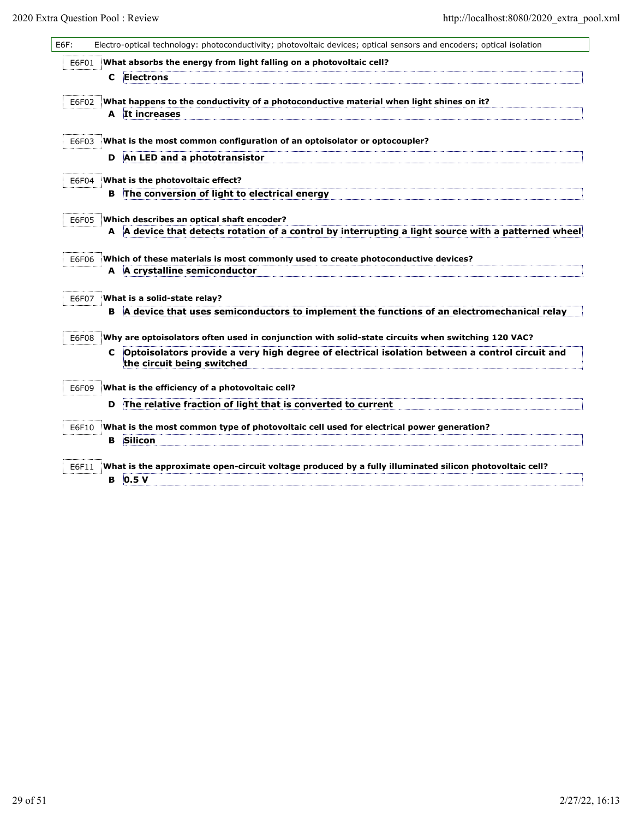| E6F:  |   | Electro-optical technology: photoconductivity; photovoltaic devices; optical sensors and encoders; optical isolation         |
|-------|---|------------------------------------------------------------------------------------------------------------------------------|
| E6F01 |   | What absorbs the energy from light falling on a photovoltaic cell?                                                           |
|       | C | Electrons                                                                                                                    |
| E6F02 |   | What happens to the conductivity of a photoconductive material when light shines on it?                                      |
|       |   | A It increases                                                                                                               |
| E6F03 |   | What is the most common configuration of an optoisolator or optocoupler?                                                     |
|       | D | An LED and a phototransistor                                                                                                 |
| E6F04 |   | What is the photovoltaic effect?                                                                                             |
|       | в | The conversion of light to electrical energy                                                                                 |
| E6F05 |   | Which describes an optical shaft encoder?                                                                                    |
|       |   | A A device that detects rotation of a control by interrupting a light source with a patterned wheel                          |
| E6F06 |   | Which of these materials is most commonly used to create photoconductive devices?                                            |
|       |   | A A crystalline semiconductor                                                                                                |
| E6F07 |   | What is a solid-state relay?                                                                                                 |
|       | в | A device that uses semiconductors to implement the functions of an electromechanical relay                                   |
| E6F08 |   | Why are optoisolators often used in conjunction with solid-state circuits when switching 120 VAC?                            |
|       | C | Optoisolators provide a very high degree of electrical isolation between a control circuit and<br>the circuit being switched |
| E6F09 |   | What is the efficiency of a photovoltaic cell?                                                                               |
|       | D | The relative fraction of light that is converted to current                                                                  |
| E6F10 |   | What is the most common type of photovoltaic cell used for electrical power generation?                                      |
|       | в | Silicon                                                                                                                      |
| E6F11 |   | What is the approximate open-circuit voltage produced by a fully illuminated silicon photovoltaic cell?                      |
|       | в | 0.5V                                                                                                                         |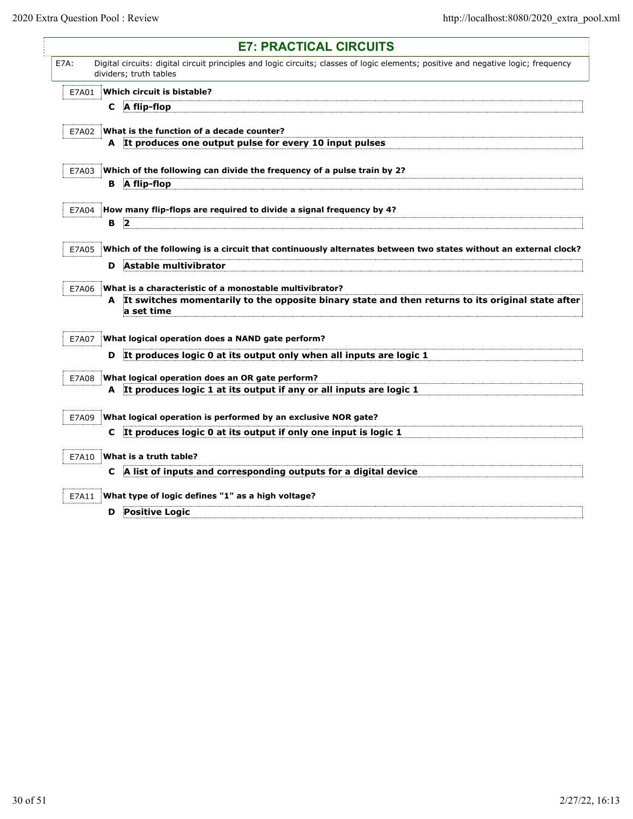$\mathsf{l}$ 

|             |   | <b>E7: PRACTICAL CIRCUITS</b>                                                                                                                                |
|-------------|---|--------------------------------------------------------------------------------------------------------------------------------------------------------------|
| <b>E7A:</b> |   | Digital circuits: digital circuit principles and logic circuits; classes of logic elements; positive and negative logic; frequency<br>dividers; truth tables |
| E7A01       |   | Which circuit is bistable?                                                                                                                                   |
|             | C | A flip-flop                                                                                                                                                  |
| E7A02       |   | What is the function of a decade counter?                                                                                                                    |
|             |   | A It produces one output pulse for every 10 input pulses                                                                                                     |
| E7A03       |   | Which of the following can divide the frequency of a pulse train by 2?                                                                                       |
|             | в | A flip-flop                                                                                                                                                  |
| E7A04       |   | How many flip-flops are required to divide a signal frequency by 4?                                                                                          |
|             | В | $\vert$ 2                                                                                                                                                    |
| E7A05       |   | Which of the following is a circuit that continuously alternates between two states without an external clock?                                               |
|             | D | Astable multivibrator                                                                                                                                        |
| E7A06       |   | What is a characteristic of a monostable multivibrator?                                                                                                      |
|             | A | It switches momentarily to the opposite binary state and then returns to its original state after<br>a set time                                              |
| E7A07       |   | What logical operation does a NAND gate perform?                                                                                                             |
|             | D | It produces logic 0 at its output only when all inputs are logic 1                                                                                           |
| E7A08       |   | What logical operation does an OR gate perform?                                                                                                              |
|             |   | A It produces logic 1 at its output if any or all inputs are logic 1                                                                                         |
| E7A09       |   | What logical operation is performed by an exclusive NOR gate?                                                                                                |
|             | C | It produces logic 0 at its output if only one input is logic 1                                                                                               |
| E7A10       |   | What is a truth table?                                                                                                                                       |
|             | C | A list of inputs and corresponding outputs for a digital device                                                                                              |
| E7A11       |   | What type of logic defines "1" as a high voltage?                                                                                                            |
|             | D | <b>Positive Logic</b>                                                                                                                                        |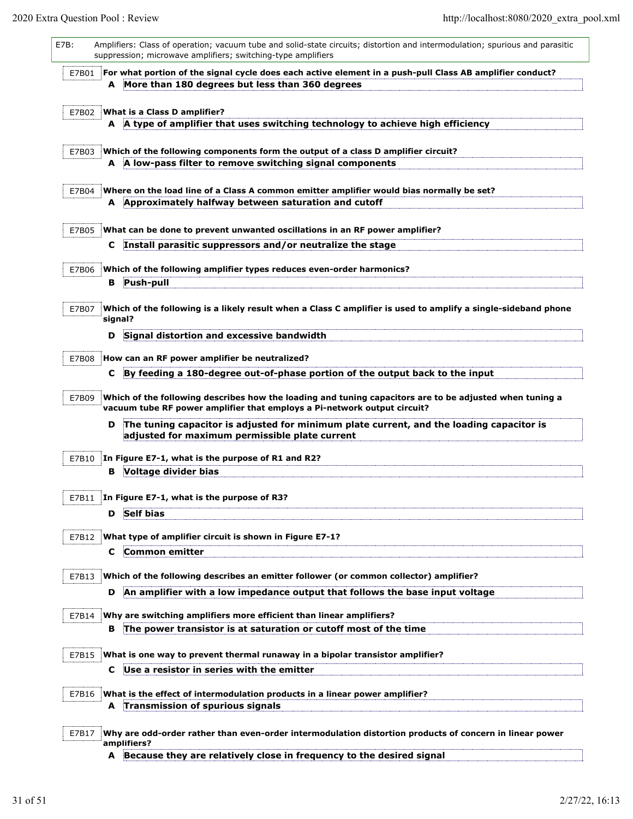| E7B:  |    | Amplifiers: Class of operation; vacuum tube and solid-state circuits; distortion and intermodulation; spurious and parasitic<br>suppression; microwave amplifiers; switching-type amplifiers |
|-------|----|----------------------------------------------------------------------------------------------------------------------------------------------------------------------------------------------|
| E7B01 |    | For what portion of the signal cycle does each active element in a push-pull Class AB amplifier conduct?                                                                                     |
|       | A  | More than 180 degrees but less than 360 degrees                                                                                                                                              |
|       |    |                                                                                                                                                                                              |
| E7B02 |    | What is a Class D amplifier?<br>A A type of amplifier that uses switching technology to achieve high efficiency                                                                              |
|       |    |                                                                                                                                                                                              |
| E7B03 |    | Which of the following components form the output of a class D amplifier circuit?                                                                                                            |
|       |    | A A low-pass filter to remove switching signal components                                                                                                                                    |
|       |    |                                                                                                                                                                                              |
| E7B04 |    | Where on the load line of a Class A common emitter amplifier would bias normally be set?<br>A Approximately halfway between saturation and cutoff                                            |
|       |    |                                                                                                                                                                                              |
| E7B05 |    | What can be done to prevent unwanted oscillations in an RF power amplifier?                                                                                                                  |
|       | C. | Install parasitic suppressors and/or neutralize the stage                                                                                                                                    |
|       |    |                                                                                                                                                                                              |
| E7B06 |    | Which of the following amplifier types reduces even-order harmonics?                                                                                                                         |
|       | В  | Push-pull                                                                                                                                                                                    |
| E7B07 |    | Which of the following is a likely result when a Class C amplifier is used to amplify a single-sideband phone                                                                                |
|       |    | signal?                                                                                                                                                                                      |
|       | D  | Signal distortion and excessive bandwidth                                                                                                                                                    |
|       |    |                                                                                                                                                                                              |
| E7B08 |    | How can an RF power amplifier be neutralized?                                                                                                                                                |
|       | c  | By feeding a 180-degree out-of-phase portion of the output back to the input                                                                                                                 |
| E7B09 |    | Which of the following describes how the loading and tuning capacitors are to be adjusted when tuning a<br>vacuum tube RF power amplifier that employs a Pi-network output circuit?          |
|       | D  | The tuning capacitor is adjusted for minimum plate current, and the loading capacitor is                                                                                                     |
|       |    | adjusted for maximum permissible plate current                                                                                                                                               |
| E7B10 |    | In Figure E7-1, what is the purpose of R1 and R2?                                                                                                                                            |
|       | в  | Voltage divider bias                                                                                                                                                                         |
|       |    |                                                                                                                                                                                              |
| E7B11 |    | In Figure E7-1, what is the purpose of R3?                                                                                                                                                   |
|       | D  | <b>Self bias</b>                                                                                                                                                                             |
|       |    |                                                                                                                                                                                              |
| E7B12 |    | What type of amplifier circuit is shown in Figure E7-1?                                                                                                                                      |
|       | C  | <b>Common emitter</b>                                                                                                                                                                        |
| E7B13 |    | Which of the following describes an emitter follower (or common collector) amplifier?                                                                                                        |
|       | D  | An amplifier with a low impedance output that follows the base input voltage                                                                                                                 |
|       |    |                                                                                                                                                                                              |
| E7B14 |    | Why are switching amplifiers more efficient than linear amplifiers?                                                                                                                          |
|       | в  | The power transistor is at saturation or cutoff most of the time                                                                                                                             |
| E7B15 |    | What is one way to prevent thermal runaway in a bipolar transistor amplifier?                                                                                                                |
|       | c  | Use a resistor in series with the emitter                                                                                                                                                    |
|       |    |                                                                                                                                                                                              |
| E7B16 |    | What is the effect of intermodulation products in a linear power amplifier?                                                                                                                  |
|       |    | A Transmission of spurious signals                                                                                                                                                           |
|       |    |                                                                                                                                                                                              |
| E7B17 |    | Why are odd-order rather than even-order intermodulation distortion products of concern in linear power<br>amplifiers?                                                                       |
|       |    | A Because they are relatively close in frequency to the desired signal                                                                                                                       |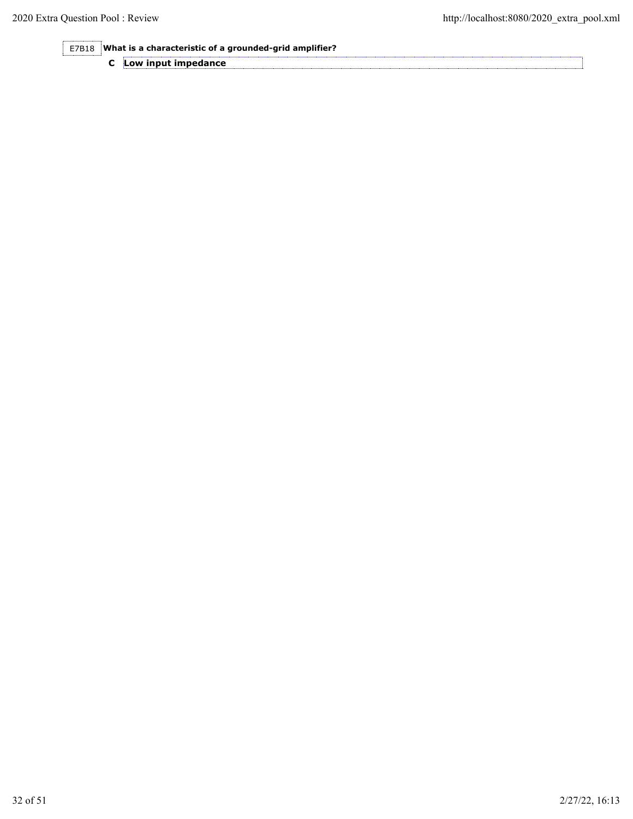E7B18 **What is a characteristic of a grounded-grid amplifier?**

|  | Low input impedance |
|--|---------------------|
|--|---------------------|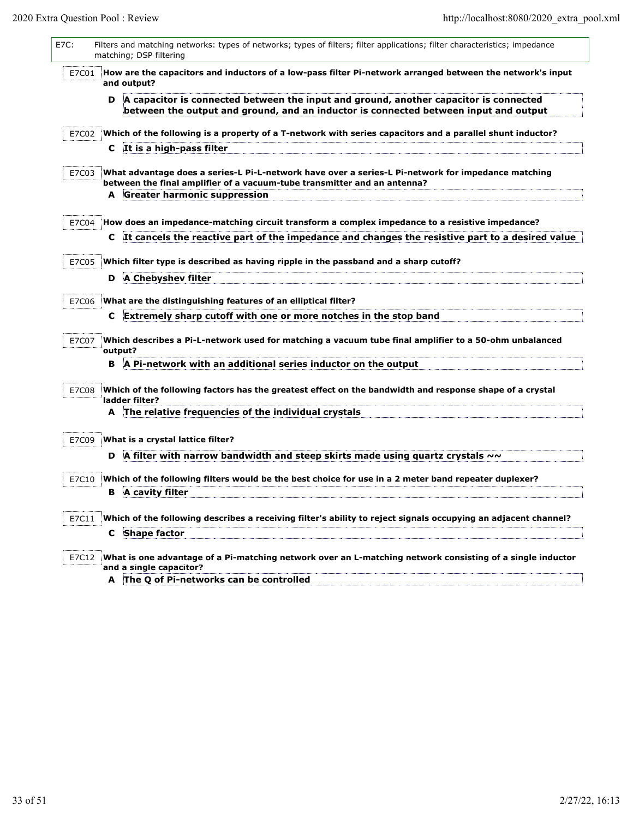| E7C: |       |   | Filters and matching networks: types of networks; types of filters; filter applications; filter characteristics; impedance<br>matching; DSP filtering                          |
|------|-------|---|--------------------------------------------------------------------------------------------------------------------------------------------------------------------------------|
|      | E7C01 |   | How are the capacitors and inductors of a low-pass filter Pi-network arranged between the network's input<br>and output?                                                       |
|      |       | D | A capacitor is connected between the input and ground, another capacitor is connected<br>between the output and ground, and an inductor is connected between input and output  |
|      | E7C02 |   | Which of the following is a property of a T-network with series capacitors and a parallel shunt inductor?                                                                      |
|      |       |   | C It is a high-pass filter                                                                                                                                                     |
|      | E7C03 |   | What advantage does a series-L Pi-L-network have over a series-L Pi-network for impedance matching<br>between the final amplifier of a vacuum-tube transmitter and an antenna? |
|      |       |   | A Greater harmonic suppression                                                                                                                                                 |
|      |       |   | E7C04   How does an impedance-matching circuit transform a complex impedance to a resistive impedance?                                                                         |
|      |       | C | It cancels the reactive part of the impedance and changes the resistive part to a desired value                                                                                |
|      |       |   |                                                                                                                                                                                |
|      | E7C05 |   | Which filter type is described as having ripple in the passband and a sharp cutoff?                                                                                            |
|      |       | D | A Chebyshev filter                                                                                                                                                             |
|      | E7C06 |   | What are the distinguishing features of an elliptical filter?                                                                                                                  |
|      |       | C | Extremely sharp cutoff with one or more notches in the stop band                                                                                                               |
|      | E7C07 |   | Which describes a Pi-L-network used for matching a vacuum tube final amplifier to a 50-ohm unbalanced<br>output?                                                               |
|      |       | В | A Pi-network with an additional series inductor on the output                                                                                                                  |
|      | E7C08 |   | Which of the following factors has the greatest effect on the bandwidth and response shape of a crystal<br>ladder filter?                                                      |
|      |       |   | A The relative frequencies of the individual crystals                                                                                                                          |
|      |       |   |                                                                                                                                                                                |
|      | E7C09 |   | What is a crystal lattice filter?                                                                                                                                              |
|      |       | D | A filter with narrow bandwidth and steep skirts made using quartz crystals $\sim\sim$                                                                                          |
|      | E7C10 |   | Which of the following filters would be the best choice for use in a 2 meter band repeater duplexer?                                                                           |
|      |       | В | A cavity filter                                                                                                                                                                |
|      | E7C11 |   | Which of the following describes a receiving filter's ability to reject signals occupying an adjacent channel?                                                                 |
|      |       |   | C Shape factor                                                                                                                                                                 |
|      | E7C12 |   | What is one advantage of a Pi-matching network over an L-matching network consisting of a single inductor<br>and a single capacitor?                                           |
|      |       |   | A The Q of Pi-networks can be controlled                                                                                                                                       |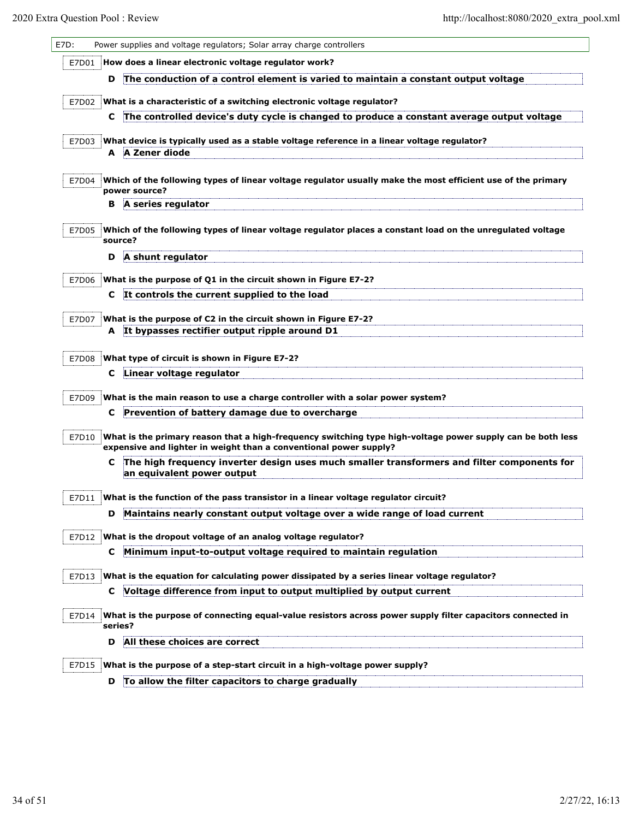| E7D:  |    | Power supplies and voltage regulators; Solar array charge controllers                                                                                                           |
|-------|----|---------------------------------------------------------------------------------------------------------------------------------------------------------------------------------|
| E7D01 |    | How does a linear electronic voltage regulator work?                                                                                                                            |
|       | D  | The conduction of a control element is varied to maintain a constant output voltage                                                                                             |
| E7D02 |    | What is a characteristic of a switching electronic voltage regulator?                                                                                                           |
|       | C  | The controlled device's duty cycle is changed to produce a constant average output voltage                                                                                      |
| E7D03 |    | What device is typically used as a stable voltage reference in a linear voltage regulator?                                                                                      |
|       |    | A A Zener diode                                                                                                                                                                 |
|       |    |                                                                                                                                                                                 |
| E7D04 |    | Which of the following types of linear voltage regulator usually make the most efficient use of the primary<br>power source?                                                    |
|       | в  | A series regulator                                                                                                                                                              |
| E7D05 |    | Which of the following types of linear voltage regulator places a constant load on the unregulated voltage<br>source?                                                           |
|       | D  | A shunt regulator                                                                                                                                                               |
| E7D06 |    | What is the purpose of Q1 in the circuit shown in Figure E7-2?                                                                                                                  |
|       | C. | It controls the current supplied to the load                                                                                                                                    |
| E7D07 |    | What is the purpose of C2 in the circuit shown in Figure E7-2?                                                                                                                  |
|       |    | A It bypasses rectifier output ripple around D1                                                                                                                                 |
|       |    |                                                                                                                                                                                 |
| E7D08 |    | What type of circuit is shown in Figure E7-2?                                                                                                                                   |
|       | С  | Linear voltage regulator                                                                                                                                                        |
| E7D09 |    | What is the main reason to use a charge controller with a solar power system?                                                                                                   |
|       | C  | Prevention of battery damage due to overcharge                                                                                                                                  |
| E7D10 |    | What is the primary reason that a high-frequency switching type high-voltage power supply can be both less<br>expensive and lighter in weight than a conventional power supply? |
|       | C  | The high frequency inverter design uses much smaller transformers and filter components for<br>an equivalent power output                                                       |
| E7D11 |    | What is the function of the pass transistor in a linear voltage regulator circuit?                                                                                              |
|       | D  | Maintains nearly constant output voltage over a wide range of load current                                                                                                      |
| E7D12 |    | What is the dropout voltage of an analog voltage regulator?                                                                                                                     |
|       | С  | Minimum input-to-output voltage required to maintain regulation                                                                                                                 |
|       |    |                                                                                                                                                                                 |
| E7D13 |    | What is the equation for calculating power dissipated by a series linear voltage regulator?                                                                                     |
|       | C  | Voltage difference from input to output multiplied by output current                                                                                                            |
| E7D14 |    | What is the purpose of connecting equal-value resistors across power supply filter capacitors connected in<br>series?                                                           |
|       | D  | All these choices are correct                                                                                                                                                   |
| E7D15 |    | What is the purpose of a step-start circuit in a high-voltage power supply?                                                                                                     |
|       |    | D To allow the filter capacitors to charge gradually                                                                                                                            |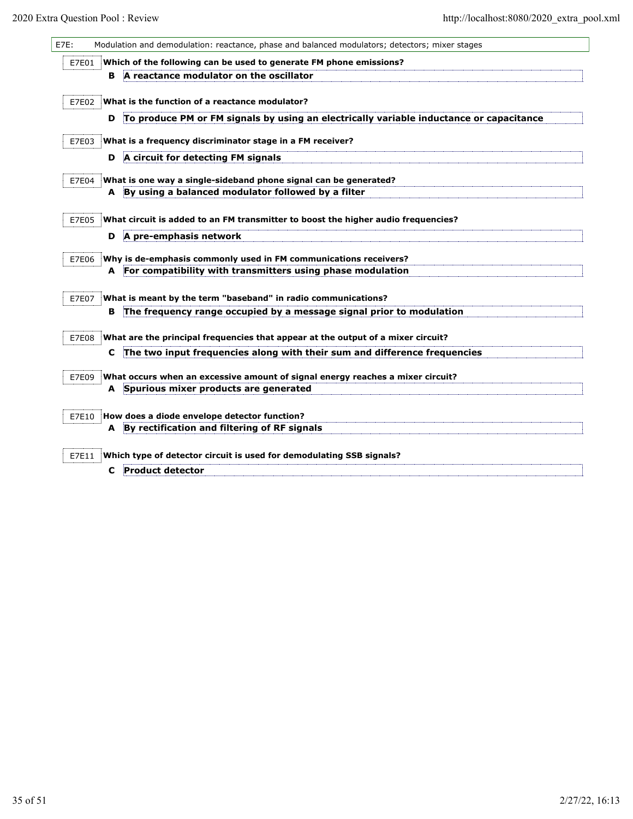| E7E: |       |   | Modulation and demodulation: reactance, phase and balanced modulators; detectors; mixer stages |
|------|-------|---|------------------------------------------------------------------------------------------------|
|      | E7E01 |   | Which of the following can be used to generate FM phone emissions?                             |
|      |       | в | A reactance modulator on the oscillator                                                        |
|      |       |   |                                                                                                |
|      | E7E02 |   | What is the function of a reactance modulator?                                                 |
|      |       | D | To produce PM or FM signals by using an electrically variable inductance or capacitance        |
|      | E7E03 |   | What is a frequency discriminator stage in a FM receiver?                                      |
|      |       | D | A circuit for detecting FM signals                                                             |
|      | E7E04 |   | What is one way a single-sideband phone signal can be generated?                               |
|      |       |   | A By using a balanced modulator followed by a filter                                           |
|      |       |   |                                                                                                |
|      | E7E05 |   | What circuit is added to an FM transmitter to boost the higher audio frequencies?              |
|      |       | D | A pre-emphasis network                                                                         |
|      | E7E06 |   | Why is de-emphasis commonly used in FM communications receivers?                               |
|      |       | A | For compatibility with transmitters using phase modulation                                     |
|      |       |   |                                                                                                |
|      | E7E07 |   | What is meant by the term "baseband" in radio communications?                                  |
|      |       | в | The frequency range occupied by a message signal prior to modulation                           |
|      | E7E08 |   | What are the principal frequencies that appear at the output of a mixer circuit?               |
|      |       | c | The two input frequencies along with their sum and difference frequencies                      |
|      | E7E09 |   | What occurs when an excessive amount of signal energy reaches a mixer circuit?                 |
|      |       |   | A Spurious mixer products are generated                                                        |
|      |       |   |                                                                                                |
|      | E7E10 |   | How does a diode envelope detector function?                                                   |
|      |       | A | By rectification and filtering of RF signals                                                   |
|      | E7E11 |   | Which type of detector circuit is used for demodulating SSB signals?                           |
|      |       | c | <b>Product detector</b>                                                                        |
|      |       |   |                                                                                                |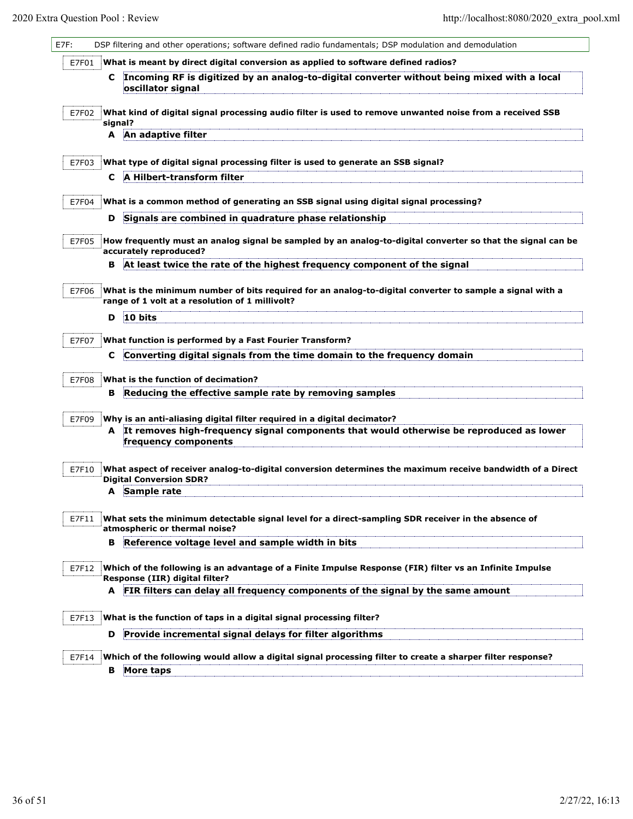| What is meant by direct digital conversion as applied to software defined radios?<br>E7F01<br>C Incoming RF is digitized by an analog-to-digital converter without being mixed with a local<br>oscillator signal<br>E7F02<br>What kind of digital signal processing audio filter is used to remove unwanted noise from a received SSB<br>signal?<br>An adaptive filter<br>A<br>E7F03<br>What type of digital signal processing filter is used to generate an SSB signal?<br>A Hilbert-transform filter<br>C<br>What is a common method of generating an SSB signal using digital signal processing?<br>E7F04<br>Signals are combined in quadrature phase relationship<br>D<br>How frequently must an analog signal be sampled by an analog-to-digital converter so that the signal can be<br>E7F05<br>accurately reproduced?<br>At least twice the rate of the highest frequency component of the signal<br>в<br>What is the minimum number of bits required for an analog-to-digital converter to sample a signal with a<br>E7F06<br>range of 1 volt at a resolution of 1 millivolt?<br>10 bits<br>D<br>What function is performed by a Fast Fourier Transform?<br>E7F07<br>Converting digital signals from the time domain to the frequency domain<br>С<br>What is the function of decimation?<br>E7F08<br>Reducing the effective sample rate by removing samples<br>в<br>Why is an anti-aliasing digital filter required in a digital decimator?<br>E7F09<br>It removes high-frequency signal components that would otherwise be reproduced as lower<br>A<br>frequency components<br>What aspect of receiver analog-to-digital conversion determines the maximum receive bandwidth of a Direct<br>E7F10<br><b>Digital Conversion SDR?</b><br>A Sample rate<br>What sets the minimum detectable signal level for a direct-sampling SDR receiver in the absence of<br>E7F11<br>atmospheric or thermal noise?<br>Reference voltage level and sample width in bits<br>В<br>Which of the following is an advantage of a Finite Impulse Response (FIR) filter vs an Infinite Impulse<br>E7F12<br>Response (IIR) digital filter? | E7F: | DSP filtering and other operations; software defined radio fundamentals; DSP modulation and demodulation |
|------------------------------------------------------------------------------------------------------------------------------------------------------------------------------------------------------------------------------------------------------------------------------------------------------------------------------------------------------------------------------------------------------------------------------------------------------------------------------------------------------------------------------------------------------------------------------------------------------------------------------------------------------------------------------------------------------------------------------------------------------------------------------------------------------------------------------------------------------------------------------------------------------------------------------------------------------------------------------------------------------------------------------------------------------------------------------------------------------------------------------------------------------------------------------------------------------------------------------------------------------------------------------------------------------------------------------------------------------------------------------------------------------------------------------------------------------------------------------------------------------------------------------------------------------------------------------------------------------------------------------------------------------------------------------------------------------------------------------------------------------------------------------------------------------------------------------------------------------------------------------------------------------------------------------------------------------------------------------------------------------------------------------------------------------------------------------------------------------------------------------|------|----------------------------------------------------------------------------------------------------------|
|                                                                                                                                                                                                                                                                                                                                                                                                                                                                                                                                                                                                                                                                                                                                                                                                                                                                                                                                                                                                                                                                                                                                                                                                                                                                                                                                                                                                                                                                                                                                                                                                                                                                                                                                                                                                                                                                                                                                                                                                                                                                                                                              |      |                                                                                                          |
|                                                                                                                                                                                                                                                                                                                                                                                                                                                                                                                                                                                                                                                                                                                                                                                                                                                                                                                                                                                                                                                                                                                                                                                                                                                                                                                                                                                                                                                                                                                                                                                                                                                                                                                                                                                                                                                                                                                                                                                                                                                                                                                              |      |                                                                                                          |
|                                                                                                                                                                                                                                                                                                                                                                                                                                                                                                                                                                                                                                                                                                                                                                                                                                                                                                                                                                                                                                                                                                                                                                                                                                                                                                                                                                                                                                                                                                                                                                                                                                                                                                                                                                                                                                                                                                                                                                                                                                                                                                                              |      |                                                                                                          |
|                                                                                                                                                                                                                                                                                                                                                                                                                                                                                                                                                                                                                                                                                                                                                                                                                                                                                                                                                                                                                                                                                                                                                                                                                                                                                                                                                                                                                                                                                                                                                                                                                                                                                                                                                                                                                                                                                                                                                                                                                                                                                                                              |      |                                                                                                          |
|                                                                                                                                                                                                                                                                                                                                                                                                                                                                                                                                                                                                                                                                                                                                                                                                                                                                                                                                                                                                                                                                                                                                                                                                                                                                                                                                                                                                                                                                                                                                                                                                                                                                                                                                                                                                                                                                                                                                                                                                                                                                                                                              |      |                                                                                                          |
|                                                                                                                                                                                                                                                                                                                                                                                                                                                                                                                                                                                                                                                                                                                                                                                                                                                                                                                                                                                                                                                                                                                                                                                                                                                                                                                                                                                                                                                                                                                                                                                                                                                                                                                                                                                                                                                                                                                                                                                                                                                                                                                              |      |                                                                                                          |
|                                                                                                                                                                                                                                                                                                                                                                                                                                                                                                                                                                                                                                                                                                                                                                                                                                                                                                                                                                                                                                                                                                                                                                                                                                                                                                                                                                                                                                                                                                                                                                                                                                                                                                                                                                                                                                                                                                                                                                                                                                                                                                                              |      |                                                                                                          |
|                                                                                                                                                                                                                                                                                                                                                                                                                                                                                                                                                                                                                                                                                                                                                                                                                                                                                                                                                                                                                                                                                                                                                                                                                                                                                                                                                                                                                                                                                                                                                                                                                                                                                                                                                                                                                                                                                                                                                                                                                                                                                                                              |      |                                                                                                          |
|                                                                                                                                                                                                                                                                                                                                                                                                                                                                                                                                                                                                                                                                                                                                                                                                                                                                                                                                                                                                                                                                                                                                                                                                                                                                                                                                                                                                                                                                                                                                                                                                                                                                                                                                                                                                                                                                                                                                                                                                                                                                                                                              |      |                                                                                                          |
|                                                                                                                                                                                                                                                                                                                                                                                                                                                                                                                                                                                                                                                                                                                                                                                                                                                                                                                                                                                                                                                                                                                                                                                                                                                                                                                                                                                                                                                                                                                                                                                                                                                                                                                                                                                                                                                                                                                                                                                                                                                                                                                              |      |                                                                                                          |
|                                                                                                                                                                                                                                                                                                                                                                                                                                                                                                                                                                                                                                                                                                                                                                                                                                                                                                                                                                                                                                                                                                                                                                                                                                                                                                                                                                                                                                                                                                                                                                                                                                                                                                                                                                                                                                                                                                                                                                                                                                                                                                                              |      |                                                                                                          |
|                                                                                                                                                                                                                                                                                                                                                                                                                                                                                                                                                                                                                                                                                                                                                                                                                                                                                                                                                                                                                                                                                                                                                                                                                                                                                                                                                                                                                                                                                                                                                                                                                                                                                                                                                                                                                                                                                                                                                                                                                                                                                                                              |      |                                                                                                          |
|                                                                                                                                                                                                                                                                                                                                                                                                                                                                                                                                                                                                                                                                                                                                                                                                                                                                                                                                                                                                                                                                                                                                                                                                                                                                                                                                                                                                                                                                                                                                                                                                                                                                                                                                                                                                                                                                                                                                                                                                                                                                                                                              |      |                                                                                                          |
|                                                                                                                                                                                                                                                                                                                                                                                                                                                                                                                                                                                                                                                                                                                                                                                                                                                                                                                                                                                                                                                                                                                                                                                                                                                                                                                                                                                                                                                                                                                                                                                                                                                                                                                                                                                                                                                                                                                                                                                                                                                                                                                              |      |                                                                                                          |
|                                                                                                                                                                                                                                                                                                                                                                                                                                                                                                                                                                                                                                                                                                                                                                                                                                                                                                                                                                                                                                                                                                                                                                                                                                                                                                                                                                                                                                                                                                                                                                                                                                                                                                                                                                                                                                                                                                                                                                                                                                                                                                                              |      |                                                                                                          |
|                                                                                                                                                                                                                                                                                                                                                                                                                                                                                                                                                                                                                                                                                                                                                                                                                                                                                                                                                                                                                                                                                                                                                                                                                                                                                                                                                                                                                                                                                                                                                                                                                                                                                                                                                                                                                                                                                                                                                                                                                                                                                                                              |      |                                                                                                          |
|                                                                                                                                                                                                                                                                                                                                                                                                                                                                                                                                                                                                                                                                                                                                                                                                                                                                                                                                                                                                                                                                                                                                                                                                                                                                                                                                                                                                                                                                                                                                                                                                                                                                                                                                                                                                                                                                                                                                                                                                                                                                                                                              |      |                                                                                                          |
|                                                                                                                                                                                                                                                                                                                                                                                                                                                                                                                                                                                                                                                                                                                                                                                                                                                                                                                                                                                                                                                                                                                                                                                                                                                                                                                                                                                                                                                                                                                                                                                                                                                                                                                                                                                                                                                                                                                                                                                                                                                                                                                              |      |                                                                                                          |
|                                                                                                                                                                                                                                                                                                                                                                                                                                                                                                                                                                                                                                                                                                                                                                                                                                                                                                                                                                                                                                                                                                                                                                                                                                                                                                                                                                                                                                                                                                                                                                                                                                                                                                                                                                                                                                                                                                                                                                                                                                                                                                                              |      |                                                                                                          |
|                                                                                                                                                                                                                                                                                                                                                                                                                                                                                                                                                                                                                                                                                                                                                                                                                                                                                                                                                                                                                                                                                                                                                                                                                                                                                                                                                                                                                                                                                                                                                                                                                                                                                                                                                                                                                                                                                                                                                                                                                                                                                                                              |      |                                                                                                          |
|                                                                                                                                                                                                                                                                                                                                                                                                                                                                                                                                                                                                                                                                                                                                                                                                                                                                                                                                                                                                                                                                                                                                                                                                                                                                                                                                                                                                                                                                                                                                                                                                                                                                                                                                                                                                                                                                                                                                                                                                                                                                                                                              |      |                                                                                                          |
|                                                                                                                                                                                                                                                                                                                                                                                                                                                                                                                                                                                                                                                                                                                                                                                                                                                                                                                                                                                                                                                                                                                                                                                                                                                                                                                                                                                                                                                                                                                                                                                                                                                                                                                                                                                                                                                                                                                                                                                                                                                                                                                              |      |                                                                                                          |
|                                                                                                                                                                                                                                                                                                                                                                                                                                                                                                                                                                                                                                                                                                                                                                                                                                                                                                                                                                                                                                                                                                                                                                                                                                                                                                                                                                                                                                                                                                                                                                                                                                                                                                                                                                                                                                                                                                                                                                                                                                                                                                                              |      |                                                                                                          |
|                                                                                                                                                                                                                                                                                                                                                                                                                                                                                                                                                                                                                                                                                                                                                                                                                                                                                                                                                                                                                                                                                                                                                                                                                                                                                                                                                                                                                                                                                                                                                                                                                                                                                                                                                                                                                                                                                                                                                                                                                                                                                                                              |      |                                                                                                          |
|                                                                                                                                                                                                                                                                                                                                                                                                                                                                                                                                                                                                                                                                                                                                                                                                                                                                                                                                                                                                                                                                                                                                                                                                                                                                                                                                                                                                                                                                                                                                                                                                                                                                                                                                                                                                                                                                                                                                                                                                                                                                                                                              |      |                                                                                                          |
|                                                                                                                                                                                                                                                                                                                                                                                                                                                                                                                                                                                                                                                                                                                                                                                                                                                                                                                                                                                                                                                                                                                                                                                                                                                                                                                                                                                                                                                                                                                                                                                                                                                                                                                                                                                                                                                                                                                                                                                                                                                                                                                              |      |                                                                                                          |
|                                                                                                                                                                                                                                                                                                                                                                                                                                                                                                                                                                                                                                                                                                                                                                                                                                                                                                                                                                                                                                                                                                                                                                                                                                                                                                                                                                                                                                                                                                                                                                                                                                                                                                                                                                                                                                                                                                                                                                                                                                                                                                                              |      |                                                                                                          |
| FIR filters can delay all frequency components of the signal by the same amount<br>A                                                                                                                                                                                                                                                                                                                                                                                                                                                                                                                                                                                                                                                                                                                                                                                                                                                                                                                                                                                                                                                                                                                                                                                                                                                                                                                                                                                                                                                                                                                                                                                                                                                                                                                                                                                                                                                                                                                                                                                                                                         |      |                                                                                                          |
| What is the function of taps in a digital signal processing filter?<br>E7F13                                                                                                                                                                                                                                                                                                                                                                                                                                                                                                                                                                                                                                                                                                                                                                                                                                                                                                                                                                                                                                                                                                                                                                                                                                                                                                                                                                                                                                                                                                                                                                                                                                                                                                                                                                                                                                                                                                                                                                                                                                                 |      |                                                                                                          |
| Provide incremental signal delays for filter algorithms<br>D                                                                                                                                                                                                                                                                                                                                                                                                                                                                                                                                                                                                                                                                                                                                                                                                                                                                                                                                                                                                                                                                                                                                                                                                                                                                                                                                                                                                                                                                                                                                                                                                                                                                                                                                                                                                                                                                                                                                                                                                                                                                 |      |                                                                                                          |
| Which of the following would allow a digital signal processing filter to create a sharper filter response?<br>E7F14                                                                                                                                                                                                                                                                                                                                                                                                                                                                                                                                                                                                                                                                                                                                                                                                                                                                                                                                                                                                                                                                                                                                                                                                                                                                                                                                                                                                                                                                                                                                                                                                                                                                                                                                                                                                                                                                                                                                                                                                          |      |                                                                                                          |
| More taps<br>в                                                                                                                                                                                                                                                                                                                                                                                                                                                                                                                                                                                                                                                                                                                                                                                                                                                                                                                                                                                                                                                                                                                                                                                                                                                                                                                                                                                                                                                                                                                                                                                                                                                                                                                                                                                                                                                                                                                                                                                                                                                                                                               |      |                                                                                                          |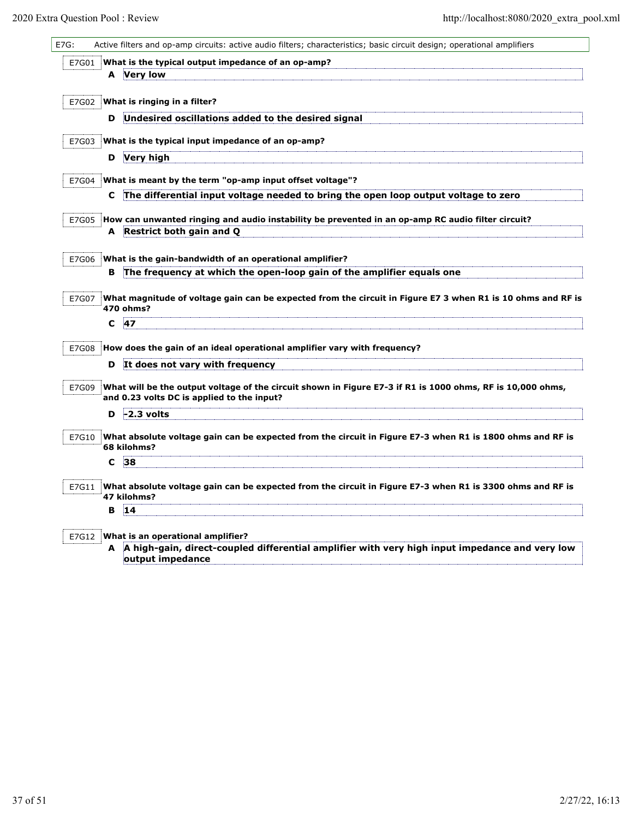| E7G:  |   | Active filters and op-amp circuits: active audio filters; characteristics; basic circuit design; operational amplifiers                         |
|-------|---|-------------------------------------------------------------------------------------------------------------------------------------------------|
| E7G01 |   | What is the typical output impedance of an op-amp?                                                                                              |
|       | A | Very low                                                                                                                                        |
| E7G02 |   | What is ringing in a filter?                                                                                                                    |
|       | D | Undesired oscillations added to the desired signal                                                                                              |
| E7G03 |   | What is the typical input impedance of an op-amp?                                                                                               |
|       | D | Very high                                                                                                                                       |
|       |   |                                                                                                                                                 |
| E7G04 | C | What is meant by the term "op-amp input offset voltage"?<br>The differential input voltage needed to bring the open loop output voltage to zero |
|       |   |                                                                                                                                                 |
| E7G05 |   | How can unwanted ringing and audio instability be prevented in an op-amp RC audio filter circuit?<br>A Restrict both gain and Q                 |
|       |   |                                                                                                                                                 |
| E7G06 |   | What is the gain-bandwidth of an operational amplifier?                                                                                         |
|       | в | The frequency at which the open-loop gain of the amplifier equals one                                                                           |
| E7G07 |   | What magnitude of voltage gain can be expected from the circuit in Figure E7 3 when R1 is 10 ohms and RF is                                     |
|       |   | 470 ohms?                                                                                                                                       |
|       | С | 47                                                                                                                                              |
| E7G08 |   | How does the gain of an ideal operational amplifier vary with frequency?                                                                        |
|       | D | It does not vary with frequency                                                                                                                 |
| E7G09 |   | What will be the output voltage of the circuit shown in Figure E7-3 if R1 is 1000 ohms, RF is 10,000 ohms,                                      |
|       |   | and 0.23 volts DC is applied to the input?                                                                                                      |
|       | D | $-2.3$ volts                                                                                                                                    |
| E7G10 |   | What absolute voltage gain can be expected from the circuit in Figure E7-3 when R1 is 1800 ohms and RF is<br>68 kilohms?                        |
|       | с | 38                                                                                                                                              |
|       |   |                                                                                                                                                 |
| E7G11 |   | What absolute voltage gain can be expected from the circuit in Figure E7-3 when R1 is 3300 ohms and RF is<br>47 kilohms?                        |
|       | в | 14                                                                                                                                              |
|       |   |                                                                                                                                                 |
| E7G12 | A | What is an operational amplifier?<br>A high-gain, direct-coupled differential amplifier with very high input impedance and very low             |
|       |   | output impedance                                                                                                                                |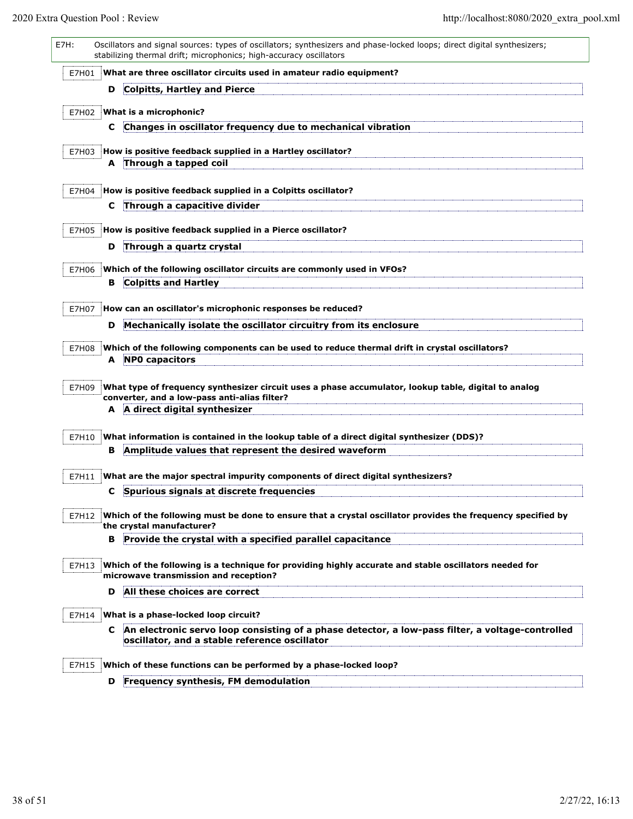| E7H:  |    | Oscillators and signal sources: types of oscillators; synthesizers and phase-locked loops; direct digital synthesizers;<br>stabilizing thermal drift; microphonics; high-accuracy oscillators |
|-------|----|-----------------------------------------------------------------------------------------------------------------------------------------------------------------------------------------------|
| E7H01 |    | What are three oscillator circuits used in amateur radio equipment?                                                                                                                           |
|       | D  | Colpitts, Hartley and Pierce                                                                                                                                                                  |
| E7H02 |    | What is a microphonic?                                                                                                                                                                        |
|       | C. | Changes in oscillator frequency due to mechanical vibration                                                                                                                                   |
|       |    |                                                                                                                                                                                               |
| E7H03 | A  | How is positive feedback supplied in a Hartley oscillator?<br>Through a tapped coil                                                                                                           |
|       |    |                                                                                                                                                                                               |
| E7H04 |    | How is positive feedback supplied in a Colpitts oscillator?                                                                                                                                   |
|       | c  | Through a capacitive divider                                                                                                                                                                  |
| E7H05 |    | How is positive feedback supplied in a Pierce oscillator?                                                                                                                                     |
|       | D  | Through a quartz crystal                                                                                                                                                                      |
|       |    |                                                                                                                                                                                               |
| E7H06 | в  | Which of the following oscillator circuits are commonly used in VFOs?<br><b>Colpitts and Hartley</b>                                                                                          |
|       |    |                                                                                                                                                                                               |
| E7H07 |    | How can an oscillator's microphonic responses be reduced?                                                                                                                                     |
|       | D  | Mechanically isolate the oscillator circuitry from its enclosure                                                                                                                              |
| E7H08 |    | Which of the following components can be used to reduce thermal drift in crystal oscillators?                                                                                                 |
|       |    | A NPO capacitors                                                                                                                                                                              |
| E7H09 |    | What type of frequency synthesizer circuit uses a phase accumulator, lookup table, digital to analog<br>converter, and a low-pass anti-alias filter?<br>A A direct digital synthesizer        |
|       |    |                                                                                                                                                                                               |
| E7H10 | в  | What information is contained in the lookup table of a direct digital synthesizer (DDS)?<br>Amplitude values that represent the desired waveform                                              |
|       |    |                                                                                                                                                                                               |
| E7H11 |    | What are the major spectral impurity components of direct digital synthesizers?                                                                                                               |
|       | C. | Spurious signals at discrete frequencies                                                                                                                                                      |
| E7H12 |    | Which of the following must be done to ensure that a crystal oscillator provides the frequency specified by<br>the crystal manufacturer?                                                      |
|       | в  | Provide the crystal with a specified parallel capacitance                                                                                                                                     |
| E7H13 |    | Which of the following is a technique for providing highly accurate and stable oscillators needed for<br>microwave transmission and reception?                                                |
|       | D  | All these choices are correct                                                                                                                                                                 |
| E7H14 |    | What is a phase-locked loop circuit?                                                                                                                                                          |
|       | C  | An electronic servo loop consisting of a phase detector, a low-pass filter, a voltage-controlled                                                                                              |
|       |    | oscillator, and a stable reference oscillator                                                                                                                                                 |
| E7H15 |    | Which of these functions can be performed by a phase-locked loop?                                                                                                                             |
|       | D  | Frequency synthesis, FM demodulation                                                                                                                                                          |
|       |    |                                                                                                                                                                                               |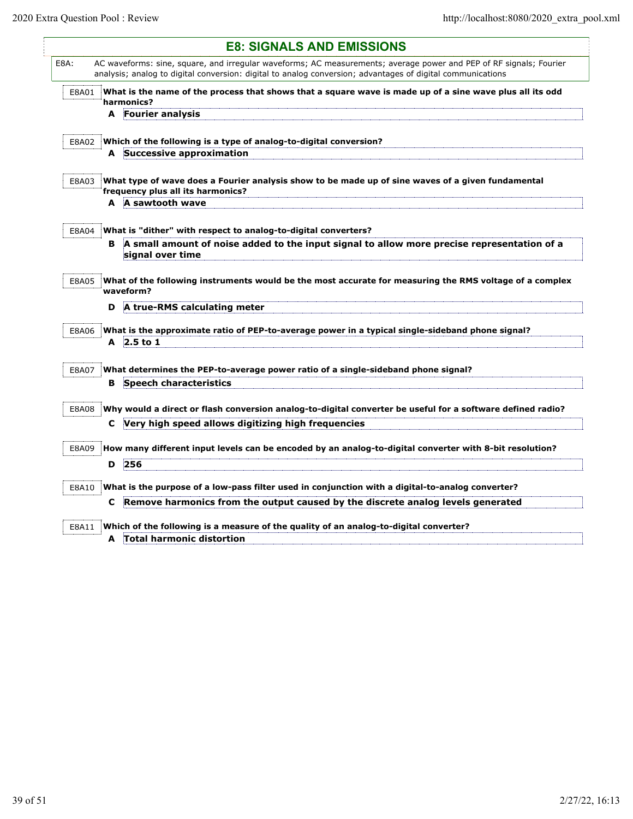|       | <b>E8: SIGNALS AND EMISSIONS</b>                                                                                                                                                                                                 |
|-------|----------------------------------------------------------------------------------------------------------------------------------------------------------------------------------------------------------------------------------|
| E8A:  | AC waveforms: sine, square, and irregular waveforms; AC measurements; average power and PEP of RF signals; Fourier<br>analysis; analog to digital conversion: digital to analog conversion; advantages of digital communications |
| E8A01 | What is the name of the process that shows that a square wave is made up of a sine wave plus all its odd<br>harmonics?                                                                                                           |
|       | <b>Fourier analysis</b><br>A                                                                                                                                                                                                     |
| E8A02 | Which of the following is a type of analog-to-digital conversion?                                                                                                                                                                |
|       | A Successive approximation                                                                                                                                                                                                       |
| E8A03 | What type of wave does a Fourier analysis show to be made up of sine waves of a given fundamental<br>frequency plus all its harmonics?                                                                                           |
|       | A A sawtooth wave                                                                                                                                                                                                                |
| E8A04 | What is "dither" with respect to analog-to-digital converters?                                                                                                                                                                   |
|       | B A small amount of noise added to the input signal to allow more precise representation of a<br>signal over time                                                                                                                |
| E8A05 | What of the following instruments would be the most accurate for measuring the RMS voltage of a complex<br>waveform?                                                                                                             |
|       | A true-RMS calculating meter<br>D                                                                                                                                                                                                |
| E8A06 | What is the approximate ratio of PEP-to-average power in a typical single-sideband phone signal?                                                                                                                                 |
|       | $A$ 2.5 to 1                                                                                                                                                                                                                     |
| E8A07 | What determines the PEP-to-average power ratio of a single-sideband phone signal?                                                                                                                                                |
|       | <b>Speech characteristics</b><br>в                                                                                                                                                                                               |
| E8A08 | Why would a direct or flash conversion analog-to-digital converter be useful for a software defined radio?                                                                                                                       |
|       | Very high speed allows digitizing high frequencies<br>C.                                                                                                                                                                         |
| E8A09 | How many different input levels can be encoded by an analog-to-digital converter with 8-bit resolution?                                                                                                                          |
|       | 256<br>D                                                                                                                                                                                                                         |
| E8A10 | What is the purpose of a low-pass filter used in conjunction with a digital-to-analog converter?                                                                                                                                 |
|       | Remove harmonics from the output caused by the discrete analog levels generated<br>C                                                                                                                                             |
|       | Which of the following is a measure of the quality of an analog-to-digital converter?                                                                                                                                            |
| E8A11 | A Total harmonic distortion                                                                                                                                                                                                      |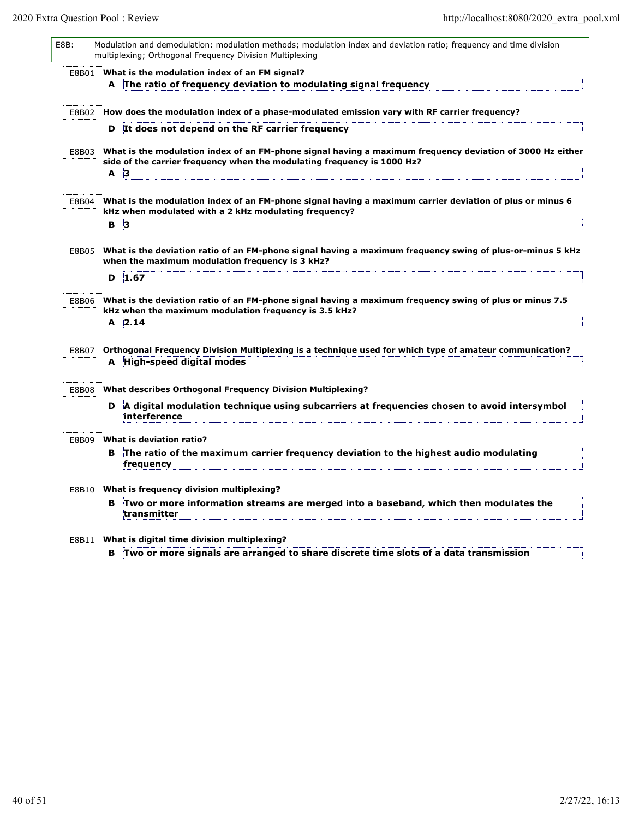L

| E8B:  |   | Modulation and demodulation: modulation methods; modulation index and deviation ratio; frequency and time division<br>multiplexing; Orthogonal Frequency Division Multiplexing       |
|-------|---|--------------------------------------------------------------------------------------------------------------------------------------------------------------------------------------|
| E8B01 |   | What is the modulation index of an FM signal?<br>A The ratio of frequency deviation to modulating signal frequency                                                                   |
| E8B02 |   | How does the modulation index of a phase-modulated emission vary with RF carrier frequency?                                                                                          |
|       | D | It does not depend on the RF carrier frequency                                                                                                                                       |
| E8B03 |   | What is the modulation index of an FM-phone signal having a maximum frequency deviation of 3000 Hz either<br>side of the carrier frequency when the modulating frequency is 1000 Hz? |
|       | A | $\mathbf{3}$                                                                                                                                                                         |
| E8B04 |   | What is the modulation index of an FM-phone signal having a maximum carrier deviation of plus or minus 6<br>kHz when modulated with a 2 kHz modulating frequency?                    |
|       | в | $\vert$ 3                                                                                                                                                                            |
| E8B05 |   | What is the deviation ratio of an FM-phone signal having a maximum frequency swing of plus-or-minus 5 kHz<br>when the maximum modulation frequency is 3 kHz?                         |
|       | D | 1.67                                                                                                                                                                                 |
| E8B06 | A | What is the deviation ratio of an FM-phone signal having a maximum frequency swing of plus or minus 7.5<br>kHz when the maximum modulation frequency is 3.5 kHz?<br>2.14             |
|       |   |                                                                                                                                                                                      |
| E8B07 |   | Orthogonal Frequency Division Multiplexing is a technique used for which type of amateur communication?<br>A High-speed digital modes                                                |
| E8B08 |   | What describes Orthogonal Frequency Division Multiplexing?                                                                                                                           |
|       | D | A digital modulation technique using subcarriers at frequencies chosen to avoid intersymbol<br>interference                                                                          |
| E8B09 |   | What is deviation ratio?                                                                                                                                                             |
|       | в | The ratio of the maximum carrier frequency deviation to the highest audio modulating<br>frequency                                                                                    |
| E8B10 |   | What is frequency division multiplexing?                                                                                                                                             |
|       | в | Two or more information streams are merged into a baseband, which then modulates the<br>transmitter                                                                                  |
| E8B11 |   | What is digital time division multiplexing?                                                                                                                                          |
|       | в | Two or more signals are arranged to share discrete time slots of a data transmission                                                                                                 |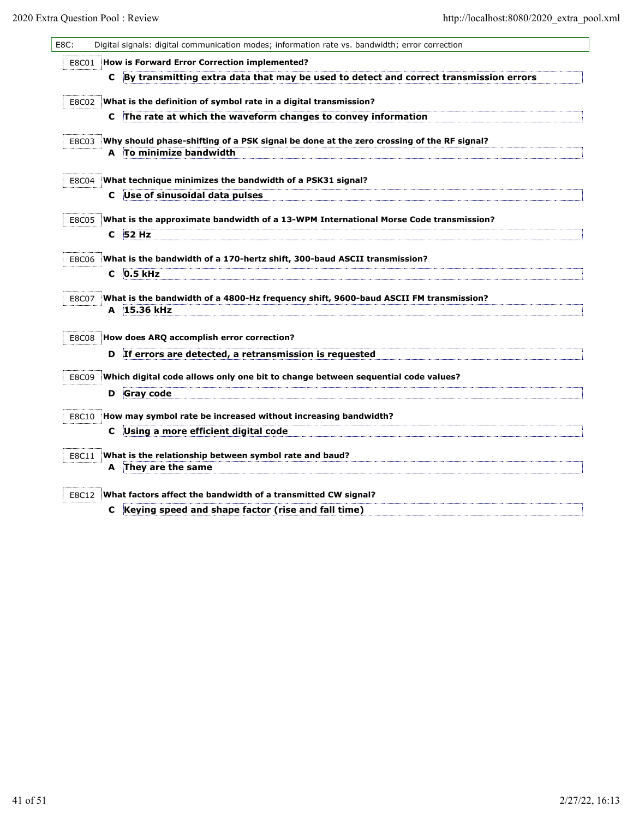| Digital signals: digital communication modes; information rate vs. bandwidth; error correction                      |
|---------------------------------------------------------------------------------------------------------------------|
| How is Forward Error Correction implemented?                                                                        |
| By transmitting extra data that may be used to detect and correct transmission errors<br>C                          |
| What is the definition of symbol rate in a digital transmission?                                                    |
| The rate at which the waveform changes to convey information<br>C                                                   |
|                                                                                                                     |
| Why should phase-shifting of a PSK signal be done at the zero crossing of the RF signal?<br>A To minimize bandwidth |
|                                                                                                                     |
| What technique minimizes the bandwidth of a PSK31 signal?                                                           |
| Use of sinusoidal data pulses<br>C                                                                                  |
| What is the approximate bandwidth of a 13-WPM International Morse Code transmission?                                |
| 52 Hz<br>C.                                                                                                         |
| What is the bandwidth of a 170-hertz shift, 300-baud ASCII transmission?                                            |
| 0.5 kHz<br>C                                                                                                        |
|                                                                                                                     |
| What is the bandwidth of a 4800-Hz frequency shift, 9600-baud ASCII FM transmission?                                |
| A 15.36 kHz                                                                                                         |
| How does ARQ accomplish error correction?                                                                           |
| If errors are detected, a retransmission is requested<br>D                                                          |
| Which digital code allows only one bit to change between sequential code values?                                    |
| <b>Gray code</b><br>D                                                                                               |
|                                                                                                                     |
| How may symbol rate be increased without increasing bandwidth?                                                      |
| Using a more efficient digital code<br>C                                                                            |
| What is the relationship between symbol rate and baud?                                                              |
| A They are the same                                                                                                 |
| What factors affect the bandwidth of a transmitted CW signal?                                                       |
| Keying speed and shape factor (rise and fall time)<br>c                                                             |
|                                                                                                                     |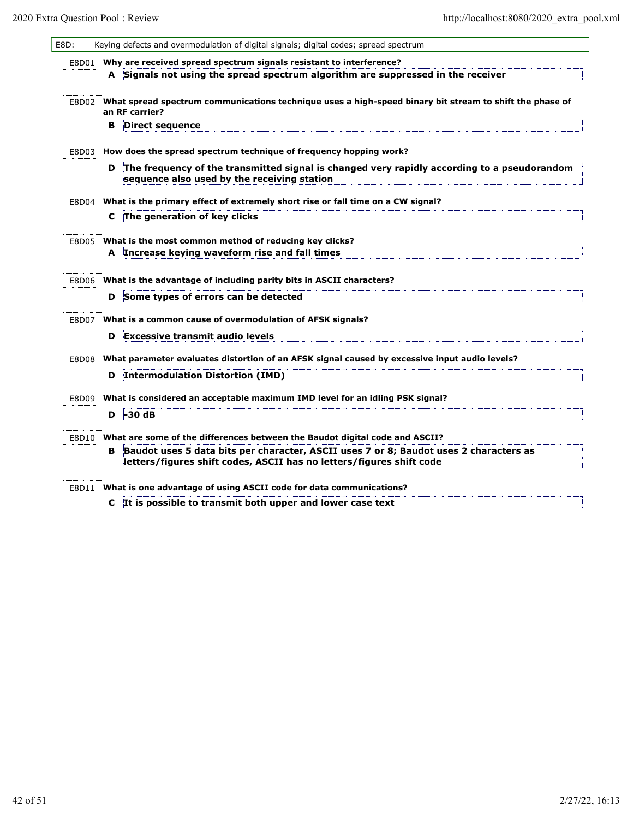| E8D:  |   | Keying defects and overmodulation of digital signals; digital codes; spread spectrum                                                       |
|-------|---|--------------------------------------------------------------------------------------------------------------------------------------------|
| E8D01 |   | Why are received spread spectrum signals resistant to interference?                                                                        |
|       |   | A Signals not using the spread spectrum algorithm are suppressed in the receiver                                                           |
| E8D02 |   | What spread spectrum communications technique uses a high-speed binary bit stream to shift the phase of                                    |
|       | в | an RF carrier?<br>Direct sequence                                                                                                          |
|       |   |                                                                                                                                            |
| E8D03 |   | How does the spread spectrum technique of frequency hopping work?                                                                          |
|       | D | The frequency of the transmitted signal is changed very rapidly according to a pseudorandom<br>sequence also used by the receiving station |
| E8D04 |   | What is the primary effect of extremely short rise or fall time on a CW signal?                                                            |
|       | C | The generation of key clicks                                                                                                               |
|       |   |                                                                                                                                            |
| E8D05 | A | What is the most common method of reducing key clicks?<br>Increase keying waveform rise and fall times                                     |
|       |   |                                                                                                                                            |
| E8D06 |   | What is the advantage of including parity bits in ASCII characters?                                                                        |
|       | D | Some types of errors can be detected                                                                                                       |
| E8D07 |   | What is a common cause of overmodulation of AFSK signals?                                                                                  |
|       | D | <b>Excessive transmit audio levels</b>                                                                                                     |
| E8D08 |   | What parameter evaluates distortion of an AFSK signal caused by excessive input audio levels?                                              |
|       | D | <b>Intermodulation Distortion (IMD)</b>                                                                                                    |
| E8D09 |   | What is considered an acceptable maximum IMD level for an idling PSK signal?                                                               |
|       | D | $-30dB$                                                                                                                                    |
| E8D10 |   | What are some of the differences between the Baudot digital code and ASCII?                                                                |
|       | в | Baudot uses 5 data bits per character, ASCII uses 7 or 8; Baudot uses 2 characters as                                                      |
|       |   | letters/figures shift codes, ASCII has no letters/figures shift code                                                                       |
| E8D11 |   | What is one advantage of using ASCII code for data communications?                                                                         |
|       | c | It is possible to transmit both upper and lower case text                                                                                  |
|       |   |                                                                                                                                            |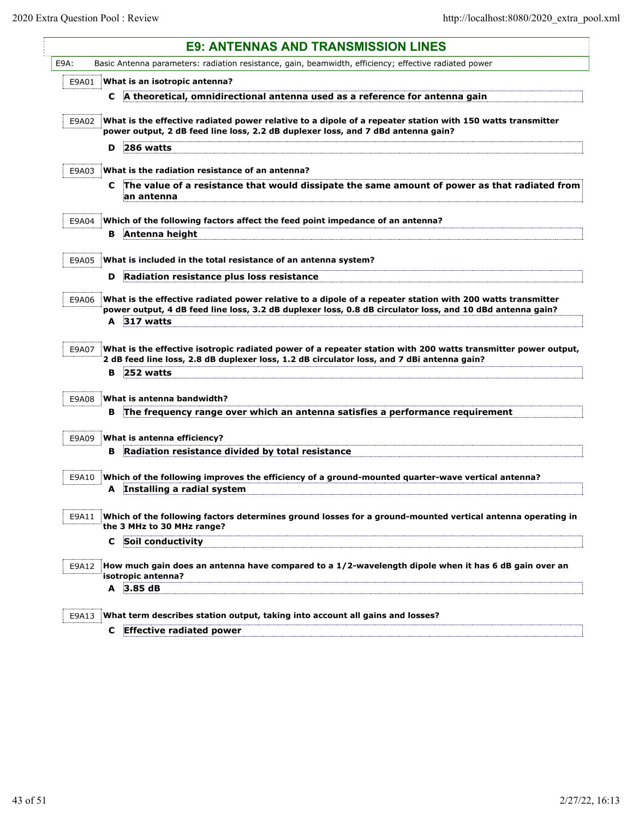| Basic Antenna parameters: radiation resistance, gain, beamwidth, efficiency; effective radiated power<br>What is an isotropic antenna?<br>A theoretical, omnidirectional antenna used as a reference for antenna gain<br>C<br>E9A02 What is the effective radiated power relative to a dipole of a repeater station with 150 watts transmitter<br>power output, 2 dB feed line loss, 2.2 dB duplexer loss, and 7 dBd antenna gain? |
|------------------------------------------------------------------------------------------------------------------------------------------------------------------------------------------------------------------------------------------------------------------------------------------------------------------------------------------------------------------------------------------------------------------------------------|
|                                                                                                                                                                                                                                                                                                                                                                                                                                    |
|                                                                                                                                                                                                                                                                                                                                                                                                                                    |
|                                                                                                                                                                                                                                                                                                                                                                                                                                    |
|                                                                                                                                                                                                                                                                                                                                                                                                                                    |
| 286 watts<br>D                                                                                                                                                                                                                                                                                                                                                                                                                     |
| What is the radiation resistance of an antenna?                                                                                                                                                                                                                                                                                                                                                                                    |
| The value of a resistance that would dissipate the same amount of power as that radiated from<br>C<br>an antenna                                                                                                                                                                                                                                                                                                                   |
| Which of the following factors affect the feed point impedance of an antenna?                                                                                                                                                                                                                                                                                                                                                      |
| Antenna height<br>в                                                                                                                                                                                                                                                                                                                                                                                                                |
| What is included in the total resistance of an antenna system?                                                                                                                                                                                                                                                                                                                                                                     |
| Radiation resistance plus loss resistance<br>D                                                                                                                                                                                                                                                                                                                                                                                     |
| What is the effective radiated power relative to a dipole of a repeater station with 200 watts transmitter<br>power output, 4 dB feed line loss, 3.2 dB duplexer loss, 0.8 dB circulator loss, and 10 dBd antenna gain?                                                                                                                                                                                                            |
| A 317 watts                                                                                                                                                                                                                                                                                                                                                                                                                        |
| What is the effective isotropic radiated power of a repeater station with 200 watts transmitter power output,<br>2 dB feed line loss, 2.8 dB duplexer loss, 1.2 dB circulator loss, and 7 dBi antenna gain?<br>252 watts<br>в                                                                                                                                                                                                      |
| What is antenna bandwidth?                                                                                                                                                                                                                                                                                                                                                                                                         |
| The frequency range over which an antenna satisfies a performance requirement<br>в                                                                                                                                                                                                                                                                                                                                                 |
|                                                                                                                                                                                                                                                                                                                                                                                                                                    |
| What is antenna efficiency?<br>Radiation resistance divided by total resistance<br>в                                                                                                                                                                                                                                                                                                                                               |
|                                                                                                                                                                                                                                                                                                                                                                                                                                    |
| Which of the following improves the efficiency of a ground-mounted quarter-wave vertical antenna?                                                                                                                                                                                                                                                                                                                                  |
| A Installing a radial system                                                                                                                                                                                                                                                                                                                                                                                                       |
| Which of the following factors determines ground losses for a ground-mounted vertical antenna operating in<br>the 3 MHz to 30 MHz range?                                                                                                                                                                                                                                                                                           |
|                                                                                                                                                                                                                                                                                                                                                                                                                                    |
| Soil conductivity<br>C                                                                                                                                                                                                                                                                                                                                                                                                             |
| How much gain does an antenna have compared to a 1/2-wavelength dipole when it has 6 dB gain over an<br>isotropic antenna?                                                                                                                                                                                                                                                                                                         |
|                                                                                                                                                                                                                                                                                                                                                                                                                                    |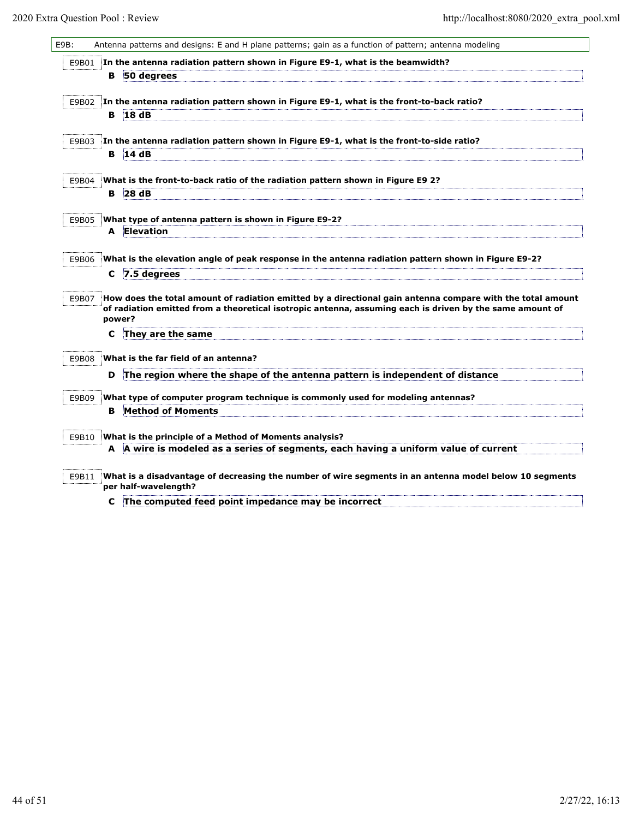| E9B: |       |   | Antenna patterns and designs: E and H plane patterns; gain as a function of pattern; antenna modeling                          |
|------|-------|---|--------------------------------------------------------------------------------------------------------------------------------|
|      | E9B01 |   | In the antenna radiation pattern shown in Figure E9-1, what is the beamwidth?                                                  |
|      |       | в | 50 degrees                                                                                                                     |
|      |       |   |                                                                                                                                |
|      | E9B02 |   | In the antenna radiation pattern shown in Figure E9-1, what is the front-to-back ratio?                                        |
|      |       | в | 18dB                                                                                                                           |
|      | E9B03 |   | In the antenna radiation pattern shown in Figure E9-1, what is the front-to-side ratio?                                        |
|      |       | в | 14dB                                                                                                                           |
|      |       |   |                                                                                                                                |
|      | E9B04 |   | What is the front-to-back ratio of the radiation pattern shown in Figure E9 2?                                                 |
|      |       | в | 28dB                                                                                                                           |
|      |       |   |                                                                                                                                |
|      | E9B05 | A | What type of antenna pattern is shown in Figure E9-2?<br><b>Elevation</b>                                                      |
|      |       |   |                                                                                                                                |
|      | E9B06 |   | What is the elevation angle of peak response in the antenna radiation pattern shown in Figure E9-2?                            |
|      |       | C | 7.5 degrees                                                                                                                    |
|      |       |   |                                                                                                                                |
|      | E9B07 |   | How does the total amount of radiation emitted by a directional gain antenna compare with the total amount                     |
|      |       |   | of radiation emitted from a theoretical isotropic antenna, assuming each is driven by the same amount of<br>power?             |
|      |       | c | They are the same                                                                                                              |
|      |       |   |                                                                                                                                |
|      | E9B08 |   | What is the far field of an antenna?                                                                                           |
|      |       | D | The region where the shape of the antenna pattern is independent of distance                                                   |
|      | E9B09 |   | What type of computer program technique is commonly used for modeling antennas?                                                |
|      |       | в | Method of Moments                                                                                                              |
|      |       |   |                                                                                                                                |
|      | E9B10 |   | What is the principle of a Method of Moments analysis?                                                                         |
|      |       |   | A A wire is modeled as a series of segments, each having a uniform value of current                                            |
|      |       |   |                                                                                                                                |
|      | E9B11 |   | What is a disadvantage of decreasing the number of wire segments in an antenna model below 10 segments<br>per half-wavelength? |
|      |       |   |                                                                                                                                |

**C The computed feed point impedance may be incorrect**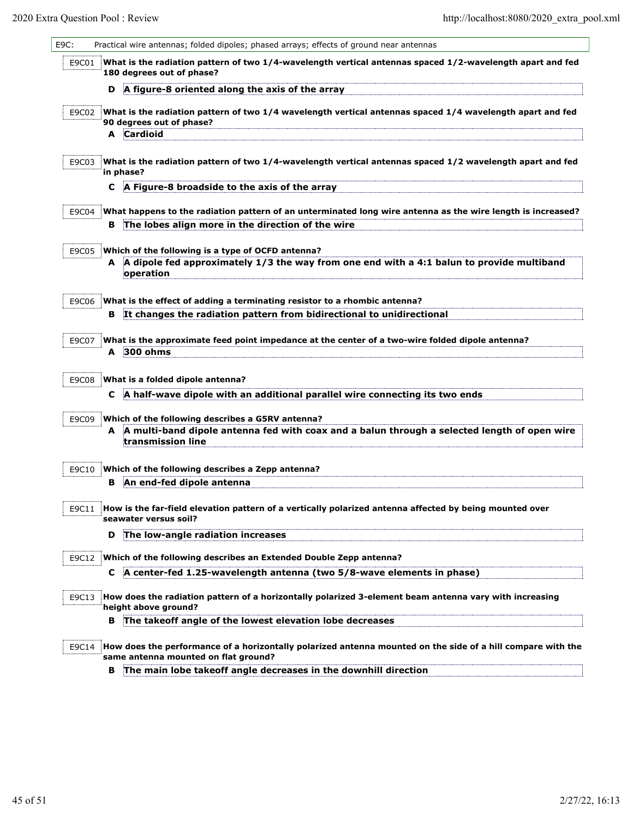| E9C:  |   | Practical wire antennas; folded dipoles; phased arrays; effects of ground near antennas                                                                                 |
|-------|---|-------------------------------------------------------------------------------------------------------------------------------------------------------------------------|
| E9C01 |   | What is the radiation pattern of two 1/4-wavelength vertical antennas spaced 1/2-wavelength apart and fed<br>180 degrees out of phase?                                  |
|       | D | A figure-8 oriented along the axis of the array                                                                                                                         |
| E9C02 |   | What is the radiation pattern of two 1/4 wavelength vertical antennas spaced 1/4 wavelength apart and fed<br>90 degrees out of phase?                                   |
|       | A | Cardioid                                                                                                                                                                |
| E9C03 |   | What is the radiation pattern of two 1/4-wavelength vertical antennas spaced 1/2 wavelength apart and fed<br>in phase?                                                  |
|       | C | A Figure-8 broadside to the axis of the array                                                                                                                           |
| E9C04 |   | What happens to the radiation pattern of an unterminated long wire antenna as the wire length is increased?                                                             |
|       | в | The lobes align more in the direction of the wire                                                                                                                       |
| E9C05 |   | Which of the following is a type of OCFD antenna?                                                                                                                       |
|       | A | A dipole fed approximately 1/3 the way from one end with a 4:1 balun to provide multiband<br>operation                                                                  |
| E9C06 |   | What is the effect of adding a terminating resistor to a rhombic antenna?                                                                                               |
|       | в | It changes the radiation pattern from bidirectional to unidirectional                                                                                                   |
| E9C07 | A | What is the approximate feed point impedance at the center of a two-wire folded dipole antenna?<br>300 ohms                                                             |
| E9C08 |   | What is a folded dipole antenna?                                                                                                                                        |
|       | С | A half-wave dipole with an additional parallel wire connecting its two ends                                                                                             |
| E9C09 |   | Which of the following describes a G5RV antenna?<br>A A multi-band dipole antenna fed with coax and a balun through a selected length of open wire<br>transmission line |
|       |   |                                                                                                                                                                         |
| E9C10 | в | Which of the following describes a Zepp antenna?<br>An end-fed dipole antenna                                                                                           |
| E9C11 |   | How is the far-field elevation pattern of a vertically polarized antenna affected by being mounted over<br>seawater versus soil?                                        |
|       | D | The low-angle radiation increases                                                                                                                                       |
| E9C12 |   | Which of the following describes an Extended Double Zepp antenna?                                                                                                       |
|       | C | A center-fed 1.25-wavelength antenna (two 5/8-wave elements in phase)                                                                                                   |
| E9C13 |   | How does the radiation pattern of a horizontally polarized 3-element beam antenna vary with increasing<br>height above ground?                                          |
|       | в | The takeoff angle of the lowest elevation lobe decreases                                                                                                                |
| E9C14 |   | How does the performance of a horizontally polarized antenna mounted on the side of a hill compare with the<br>same antenna mounted on flat ground?                     |
|       | B | The main lobe takeoff angle decreases in the downhill direction                                                                                                         |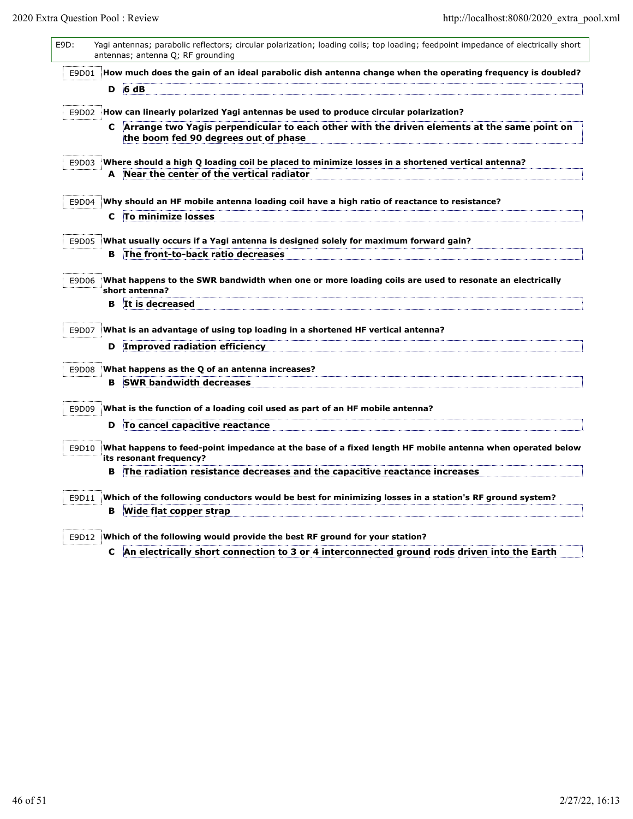| E9D:  |       |    | Yagi antennas; parabolic reflectors; circular polarization; loading coils; top loading; feedpoint impedance of electrically short<br>antennas; antenna Q; RF grounding           |
|-------|-------|----|----------------------------------------------------------------------------------------------------------------------------------------------------------------------------------|
| E9D01 |       |    | How much does the gain of an ideal parabolic dish antenna change when the operating frequency is doubled?                                                                        |
|       |       |    | $D$ 6 dB                                                                                                                                                                         |
| E9D02 |       |    | How can linearly polarized Yagi antennas be used to produce circular polarization?                                                                                               |
|       |       |    | C Arrange two Yagis perpendicular to each other with the driven elements at the same point on<br>the boom fed 90 degrees out of phase                                            |
|       | E9D03 |    | Where should a high Q loading coil be placed to minimize losses in a shortened vertical antenna?                                                                                 |
|       |       |    | A Near the center of the vertical radiator                                                                                                                                       |
| E9D04 |       |    | Why should an HF mobile antenna loading coil have a high ratio of reactance to resistance?                                                                                       |
|       |       | C  | To minimize losses                                                                                                                                                               |
| E9D05 |       |    | What usually occurs if a Yagi antenna is designed solely for maximum forward gain?                                                                                               |
|       |       | в  | The front-to-back ratio decreases                                                                                                                                                |
| E9D06 |       |    | What happens to the SWR bandwidth when one or more loading coils are used to resonate an electrically<br>short antenna?                                                          |
|       |       | в  | It is decreased                                                                                                                                                                  |
| E9D07 |       |    | What is an advantage of using top loading in a shortened HF vertical antenna?                                                                                                    |
|       |       | D  | Improved radiation efficiency                                                                                                                                                    |
| E9D08 |       |    | What happens as the Q of an antenna increases?                                                                                                                                   |
|       |       | в  | <b>SWR bandwidth decreases</b>                                                                                                                                                   |
| E9D09 |       |    | What is the function of a loading coil used as part of an HF mobile antenna?                                                                                                     |
|       |       | D  | To cancel capacitive reactance                                                                                                                                                   |
| E9D10 |       |    | What happens to feed-point impedance at the base of a fixed length HF mobile antenna when operated below<br>its resonant frequency?                                              |
|       |       | в  | The radiation resistance decreases and the capacitive reactance increases                                                                                                        |
| E9D11 |       |    | Which of the following conductors would be best for minimizing losses in a station's RF ground system?                                                                           |
|       |       | в  | Wide flat copper strap                                                                                                                                                           |
|       |       |    |                                                                                                                                                                                  |
|       |       | C. | $E9D12$ Which of the following would provide the best RF ground for your station?<br>An electrically short connection to 3 or 4 interconnected ground rods driven into the Earth |

**C An electrically short connection to 3 or 4 interconnected ground rods driven into the Earth**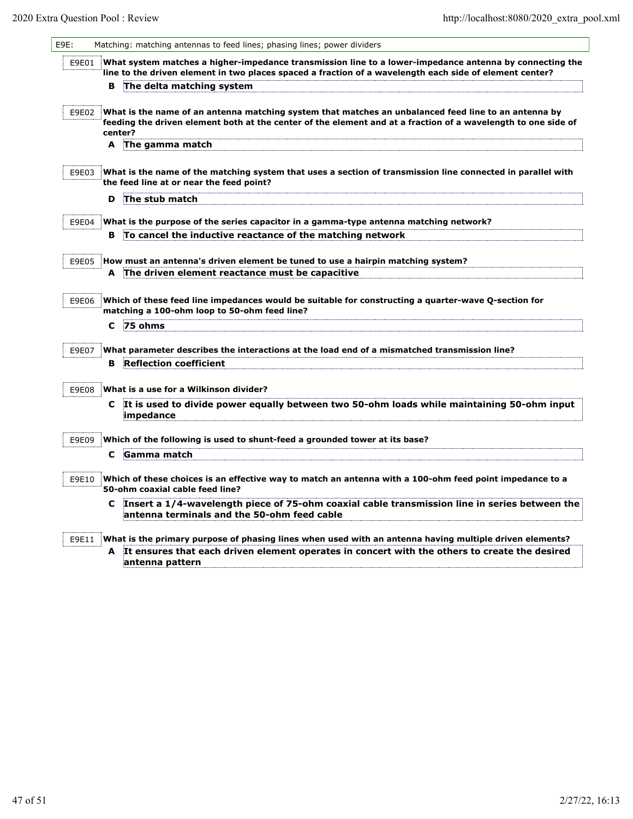$\mathsf{I}$ 

| E9E:  |    | Matching: matching antennas to feed lines; phasing lines; power dividers                                                                                                                                                         |
|-------|----|----------------------------------------------------------------------------------------------------------------------------------------------------------------------------------------------------------------------------------|
| E9E01 |    | What system matches a higher-impedance transmission line to a lower-impedance antenna by connecting the<br>line to the driven element in two places spaced a fraction of a wavelength each side of element center?               |
|       | в  | The delta matching system                                                                                                                                                                                                        |
| E9E02 |    | What is the name of an antenna matching system that matches an unbalanced feed line to an antenna by<br>feeding the driven element both at the center of the element and at a fraction of a wavelength to one side of<br>center? |
|       | A  | The gamma match                                                                                                                                                                                                                  |
| E9E03 |    | What is the name of the matching system that uses a section of transmission line connected in parallel with<br>the feed line at or near the feed point?                                                                          |
|       | D  | The stub match                                                                                                                                                                                                                   |
| E9E04 |    | What is the purpose of the series capacitor in a gamma-type antenna matching network?                                                                                                                                            |
|       | в  | To cancel the inductive reactance of the matching network                                                                                                                                                                        |
|       |    |                                                                                                                                                                                                                                  |
| E9E05 | A  | How must an antenna's driven element be tuned to use a hairpin matching system?<br>The driven element reactance must be capacitive                                                                                               |
|       |    |                                                                                                                                                                                                                                  |
| E9E06 |    | Which of these feed line impedances would be suitable for constructing a quarter-wave Q-section for<br>matching a 100-ohm loop to 50-ohm feed line?                                                                              |
|       | C  | 75 ohms                                                                                                                                                                                                                          |
| E9E07 |    | What parameter describes the interactions at the load end of a mismatched transmission line?                                                                                                                                     |
|       | в. | <b>Reflection coefficient</b>                                                                                                                                                                                                    |
|       |    |                                                                                                                                                                                                                                  |
| E9E08 |    | What is a use for a Wilkinson divider?                                                                                                                                                                                           |
|       | C. | It is used to divide power equally between two 50-ohm loads while maintaining 50-ohm input<br>impedance                                                                                                                          |
| E9E09 |    | Which of the following is used to shunt-feed a grounded tower at its base?                                                                                                                                                       |
|       | C  | <b>Gamma match</b>                                                                                                                                                                                                               |
| E9E10 |    | Which of these choices is an effective way to match an antenna with a 100-ohm feed point impedance to a<br>50-ohm coaxial cable feed line?                                                                                       |
|       | C  | Insert a 1/4-wavelength piece of 75-ohm coaxial cable transmission line in series between the<br>antenna terminals and the 50-ohm feed cable                                                                                     |
| E9E11 |    | What is the primary purpose of phasing lines when used with an antenna having multiple driven elements?                                                                                                                          |
|       | A  | It ensures that each driven element operates in concert with the others to create the desired<br>antenna pattern                                                                                                                 |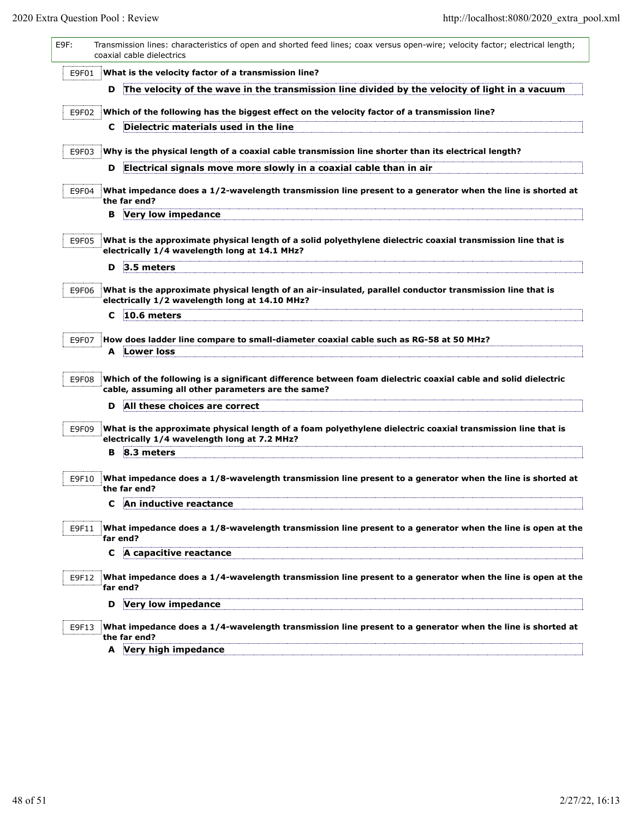| E9F:  | Transmission lines: characteristics of open and shorted feed lines; coax versus open-wire; velocity factor; electrical length;<br>coaxial cable dielectrics         |
|-------|---------------------------------------------------------------------------------------------------------------------------------------------------------------------|
| E9F01 | What is the velocity factor of a transmission line?                                                                                                                 |
|       | The velocity of the wave in the transmission line divided by the velocity of light in a vacuum<br>D                                                                 |
| E9F02 | Which of the following has the biggest effect on the velocity factor of a transmission line?                                                                        |
|       | Dielectric materials used in the line<br>C.                                                                                                                         |
|       | Why is the physical length of a coaxial cable transmission line shorter than its electrical length?                                                                 |
| E9F03 | Electrical signals move more slowly in a coaxial cable than in air<br>D                                                                                             |
|       |                                                                                                                                                                     |
| E9F04 | What impedance does a 1/2-wavelength transmission line present to a generator when the line is shorted at<br>the far end?                                           |
|       | <b>B</b> Very low impedance                                                                                                                                         |
|       |                                                                                                                                                                     |
| E9F05 | What is the approximate physical length of a solid polyethylene dielectric coaxial transmission line that is<br>electrically 1/4 wavelength long at 14.1 MHz?       |
|       | D<br>3.5 meters                                                                                                                                                     |
|       |                                                                                                                                                                     |
| E9F06 | What is the approximate physical length of an air-insulated, parallel conductor transmission line that is<br>electrically 1/2 wavelength long at 14.10 MHz?         |
|       | 10.6 meters<br>C                                                                                                                                                    |
| E9F07 | How does ladder line compare to small-diameter coaxial cable such as RG-58 at 50 MHz?                                                                               |
|       | A Lower loss                                                                                                                                                        |
|       |                                                                                                                                                                     |
| E9F08 | Which of the following is a significant difference between foam dielectric coaxial cable and solid dielectric<br>cable, assuming all other parameters are the same? |
|       | All these choices are correct<br>D                                                                                                                                  |
|       |                                                                                                                                                                     |
| E9F09 | What is the approximate physical length of a foam polyethylene dielectric coaxial transmission line that is<br>electrically 1/4 wavelength long at 7.2 MHz?         |
|       | 8.3 meters<br>в                                                                                                                                                     |
| E9F10 | What impedance does a 1/8-wavelength transmission line present to a generator when the line is shorted at                                                           |
|       | the far end?                                                                                                                                                        |
|       | An inductive reactance                                                                                                                                              |
| E9F11 | What impedance does a 1/8-wavelength transmission line present to a generator when the line is open at the                                                          |
|       | far end?                                                                                                                                                            |
|       | A capacitive reactance<br>C                                                                                                                                         |
| E9F12 | What impedance does a 1/4-wavelength transmission line present to a generator when the line is open at the                                                          |
|       | far end?                                                                                                                                                            |
|       | Very low impedance<br>D                                                                                                                                             |
| E9F13 | What impedance does a 1/4-wavelength transmission line present to a generator when the line is shorted at                                                           |
|       | the far end?<br>A Very high impedance                                                                                                                               |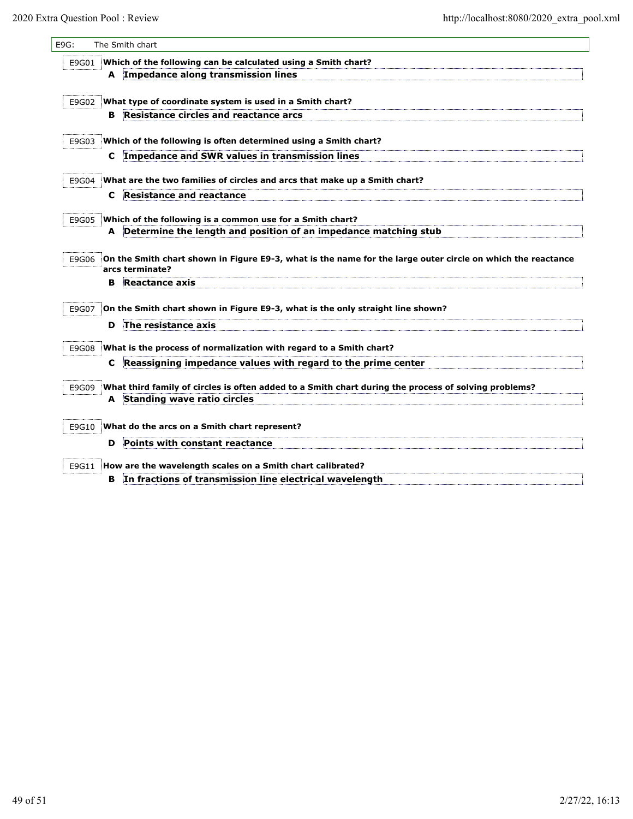| E9G:  |       |   | The Smith chart                                                                                                                |
|-------|-------|---|--------------------------------------------------------------------------------------------------------------------------------|
| E9G01 |       |   | Which of the following can be calculated using a Smith chart?                                                                  |
|       |       | A | Impedance along transmission lines                                                                                             |
| E9G02 |       |   | What type of coordinate system is used in a Smith chart?                                                                       |
|       |       | в | Resistance circles and reactance arcs                                                                                          |
| E9G03 |       |   | Which of the following is often determined using a Smith chart?                                                                |
|       |       | C | Impedance and SWR values in transmission lines                                                                                 |
|       |       |   |                                                                                                                                |
| E9G04 |       |   | What are the two families of circles and arcs that make up a Smith chart?<br>Resistance and reactance                          |
|       |       | c |                                                                                                                                |
| E9G05 |       |   | Which of the following is a common use for a Smith chart?                                                                      |
|       |       | A | Determine the length and position of an impedance matching stub                                                                |
|       | E9G06 |   | On the Smith chart shown in Figure E9-3, what is the name for the large outer circle on which the reactance<br>arcs terminate? |
|       |       | в | <b>Reactance axis</b>                                                                                                          |
| E9G07 |       |   | On the Smith chart shown in Figure E9-3, what is the only straight line shown?                                                 |
|       |       | D | The resistance axis                                                                                                            |
| E9G08 |       |   | What is the process of normalization with regard to a Smith chart?                                                             |
|       |       | c | Reassigning impedance values with regard to the prime center                                                                   |
|       | E9G09 |   | What third family of circles is often added to a Smith chart during the process of solving problems?                           |
|       |       | A | Standing wave ratio circles                                                                                                    |
|       |       |   |                                                                                                                                |
| E9G10 |       |   | What do the arcs on a Smith chart represent?                                                                                   |
|       |       | D | Points with constant reactance                                                                                                 |
| E9G11 |       |   | How are the wavelength scales on a Smith chart calibrated?                                                                     |
|       |       | в | In fractions of transmission line electrical wavelength                                                                        |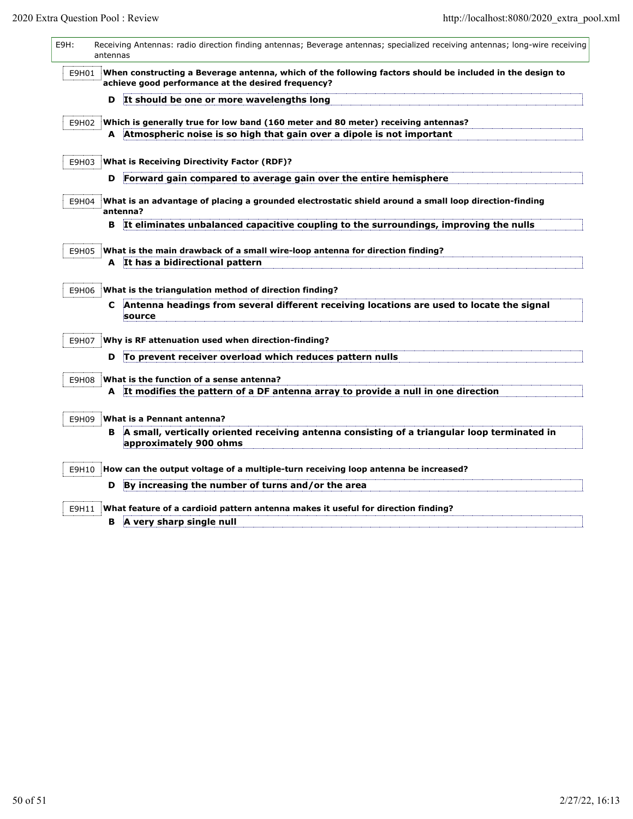| E9H:  | antennas | Receiving Antennas: radio direction finding antennas; Beverage antennas; specialized receiving antennas; long-wire receiving                                   |
|-------|----------|----------------------------------------------------------------------------------------------------------------------------------------------------------------|
| E9H01 |          | When constructing a Beverage antenna, which of the following factors should be included in the design to<br>achieve good performance at the desired frequency? |
|       | D        | It should be one or more wavelengths long                                                                                                                      |
| E9H02 |          | Which is generally true for low band (160 meter and 80 meter) receiving antennas?                                                                              |
|       |          | A Atmospheric noise is so high that gain over a dipole is not important                                                                                        |
| E9H03 |          | <b>What is Receiving Directivity Factor (RDF)?</b>                                                                                                             |
|       | D        | Forward gain compared to average gain over the entire hemisphere                                                                                               |
| E9H04 |          | What is an advantage of placing a grounded electrostatic shield around a small loop direction-finding<br>antenna?                                              |
|       | в        | It eliminates unbalanced capacitive coupling to the surroundings, improving the nulls                                                                          |
| E9H05 |          | What is the main drawback of a small wire-loop antenna for direction finding?                                                                                  |
|       |          | A It has a bidirectional pattern                                                                                                                               |
| E9H06 |          | What is the triangulation method of direction finding?                                                                                                         |
|       | C.       | Antenna headings from several different receiving locations are used to locate the signal<br>source                                                            |
| E9H07 |          | Why is RF attenuation used when direction-finding?                                                                                                             |
|       | D        | To prevent receiver overload which reduces pattern nulls                                                                                                       |
| E9H08 |          | What is the function of a sense antenna?                                                                                                                       |
|       |          | A It modifies the pattern of a DF antenna array to provide a null in one direction                                                                             |
| E9H09 |          | What is a Pennant antenna?                                                                                                                                     |
|       |          | B A small, vertically oriented receiving antenna consisting of a triangular loop terminated in<br>approximately 900 ohms                                       |
| E9H10 |          | How can the output voltage of a multiple-turn receiving loop antenna be increased?                                                                             |
|       | D        | By increasing the number of turns and/or the area                                                                                                              |
| E9H11 |          | What feature of a cardioid pattern antenna makes it useful for direction finding?                                                                              |
|       | в        | A very sharp single null                                                                                                                                       |